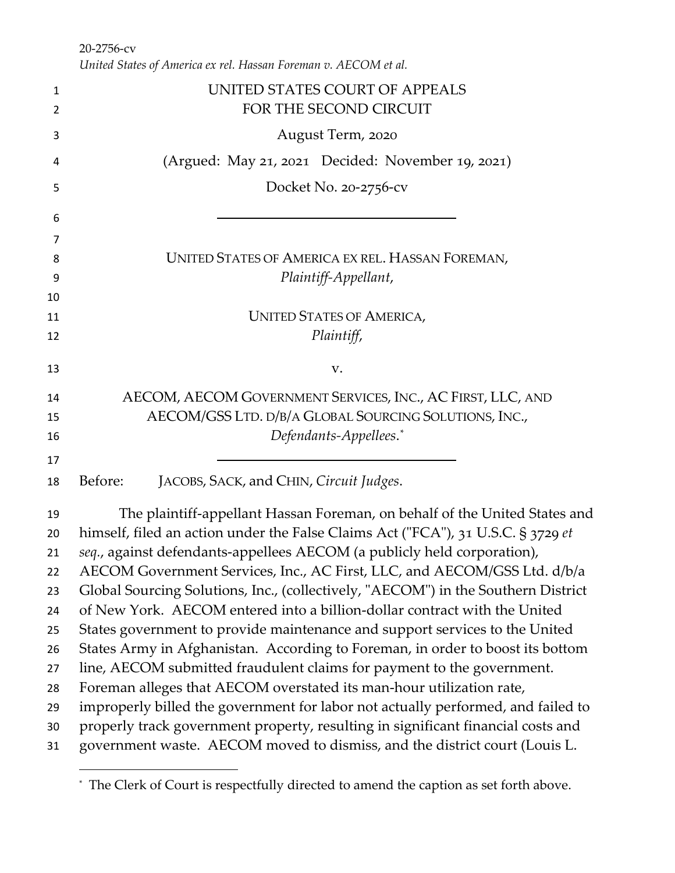*United States of America ex rel. Hassan Foreman v. AECOM et al.*

| 1        | UNITED STATES COURT OF APPEALS                                                                                                                                 |
|----------|----------------------------------------------------------------------------------------------------------------------------------------------------------------|
| 2        | FOR THE SECOND CIRCUIT                                                                                                                                         |
| 3        | August Term, 2020                                                                                                                                              |
| 4        | (Argued: May 21, 2021 Decided: November 19, 2021)                                                                                                              |
| 5        | Docket No. 20-2756-cv                                                                                                                                          |
| 6        |                                                                                                                                                                |
| 7        |                                                                                                                                                                |
| 8        | UNITED STATES OF AMERICA EX REL. HASSAN FOREMAN,                                                                                                               |
| 9        | Plaintiff-Appellant,                                                                                                                                           |
| 10       |                                                                                                                                                                |
| 11       | <b>UNITED STATES OF AMERICA,</b>                                                                                                                               |
| 12       | Plaintiff,                                                                                                                                                     |
| 13       | V.                                                                                                                                                             |
| 14       | AECOM, AECOM GOVERNMENT SERVICES, INC., AC FIRST, LLC, AND                                                                                                     |
| 15       | AECOM/GSS LTD. D/B/A GLOBAL SOURCING SOLUTIONS, INC.,                                                                                                          |
| 16       | Defendants-Appellees.*                                                                                                                                         |
| 17       |                                                                                                                                                                |
| 18       | Before:<br>JACOBS, SACK, and CHIN, Circuit Judges.                                                                                                             |
| 19       | The plaintiff-appellant Hassan Foreman, on behalf of the United States and                                                                                     |
| 20       | himself, filed an action under the False Claims Act ("FCA"), 31 U.S.C. § 3729 et                                                                               |
| 21       | seq., against defendants-appellees AECOM (a publicly held corporation),                                                                                        |
| 22       | AECOM Government Services, Inc., AC First, LLC, and AECOM/GSS Ltd. d/b/a                                                                                       |
| 23       | Global Sourcing Solutions, Inc., (collectively, "AECOM") in the Southern District                                                                              |
| 24       | of New York. AECOM entered into a billion-dollar contract with the United                                                                                      |
| 25       | States government to provide maintenance and support services to the United                                                                                    |
| 26       | States Army in Afghanistan. According to Foreman, in order to boost its bottom                                                                                 |
| 27       | line, AECOM submitted fraudulent claims for payment to the government.                                                                                         |
| 28       | Foreman alleges that AECOM overstated its man-hour utilization rate,                                                                                           |
| 29       | improperly billed the government for labor not actually performed, and failed to                                                                               |
| 30<br>31 | properly track government property, resulting in significant financial costs and<br>government waste. AECOM moved to dismiss, and the district court (Louis L. |
|          |                                                                                                                                                                |

<span id="page-0-0"></span><sup>\*</sup> The Clerk of Court is respectfully directed to amend the caption as set forth above.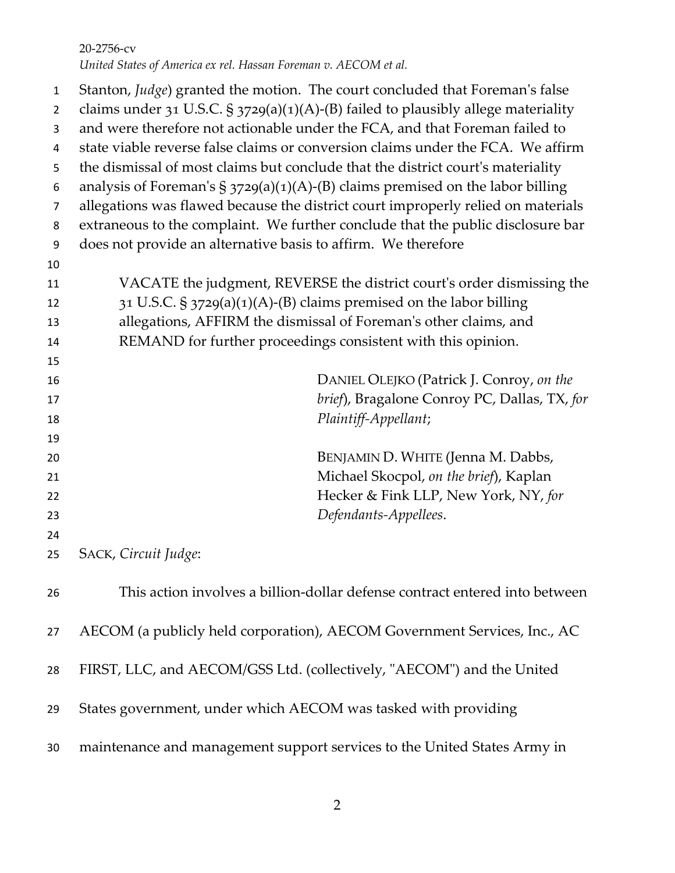Stanton, *Judge*) granted the motion. The court concluded that Foreman's false 2 claims under 31 U.S.C. § 3729(a)(1)(A)-(B) failed to plausibly allege materiality and were therefore not actionable under the FCA, and that Foreman failed to state viable reverse false claims or conversion claims under the FCA. We affirm the dismissal of most claims but conclude that the district court's materiality 6 analysis of Foreman's  $\S 3729(a)(1)(A)-(B)$  claims premised on the labor billing allegations was flawed because the district court improperly relied on materials extraneous to the complaint. We further conclude that the public disclosure bar does not provide an alternative basis to affirm. We therefore VACATE the judgment, REVERSE the district court's order dismissing the 31 U.S.C. § 3729(a)(1)(A)-(B) claims premised on the labor billing allegations, AFFIRM the dismissal of Foreman's other claims, and REMAND for further proceedings consistent with this opinion. DANIEL OLEJKO (Patrick J. Conroy, *on the brief*), Bragalone Conroy PC, Dallas, TX, *for Plaintiff-Appellant*; BENJAMIN D. WHITE (Jenna M. Dabbs, Michael Skocpol, *on the brief*), Kaplan Hecker & Fink LLP, New York, NY, *for Defendants-Appellees*. SACK, *Circuit Judge*: This action involves a billion-dollar defense contract entered into between AECOM (a publicly held corporation), AECOM Government Services, Inc., AC FIRST, LLC, and AECOM/GSS Ltd. (collectively, "AECOM") and the United States government, under which AECOM was tasked with providing maintenance and management support services to the United States Army in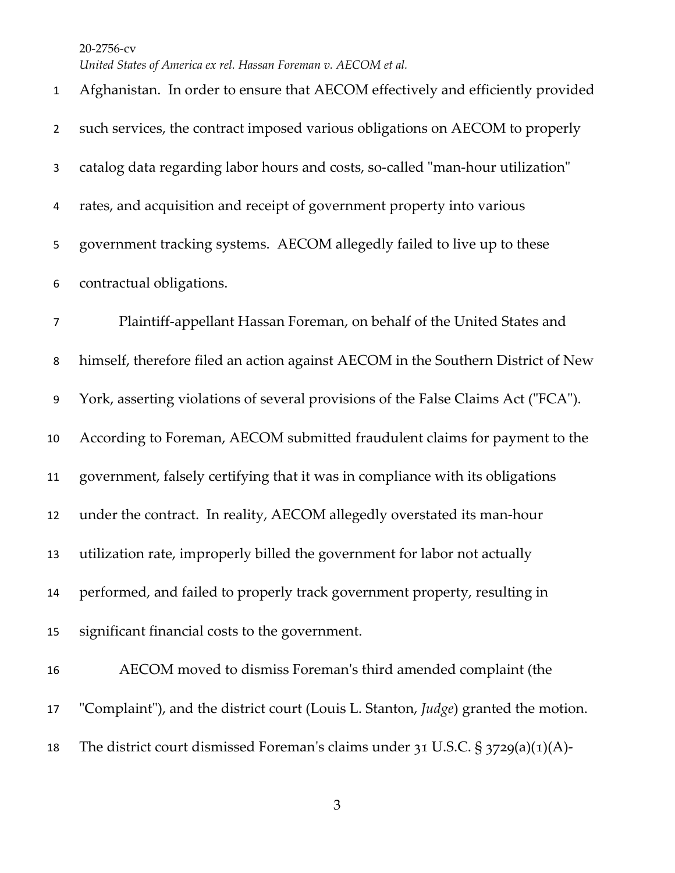*United States of America ex rel. Hassan Foreman v. AECOM et al.*

 Afghanistan. In order to ensure that AECOM effectively and efficiently provided such services, the contract imposed various obligations on AECOM to properly catalog data regarding labor hours and costs, so-called "man-hour utilization" rates, and acquisition and receipt of government property into various government tracking systems. AECOM allegedly failed to live up to these contractual obligations. Plaintiff-appellant Hassan Foreman, on behalf of the United States and himself, therefore filed an action against AECOM in the Southern District of New York, asserting violations of several provisions of the False Claims Act ("FCA"). According to Foreman, AECOM submitted fraudulent claims for payment to the government, falsely certifying that it was in compliance with its obligations under the contract. In reality, AECOM allegedly overstated its man-hour utilization rate, improperly billed the government for labor not actually performed, and failed to properly track government property, resulting in significant financial costs to the government. AECOM moved to dismiss Foreman's third amended complaint (the "Complaint"), and the district court (Louis L. Stanton, *Judge*) granted the motion. The district court dismissed Foreman's claims under 31 U.S.C. § 3729(a)(1)(A)-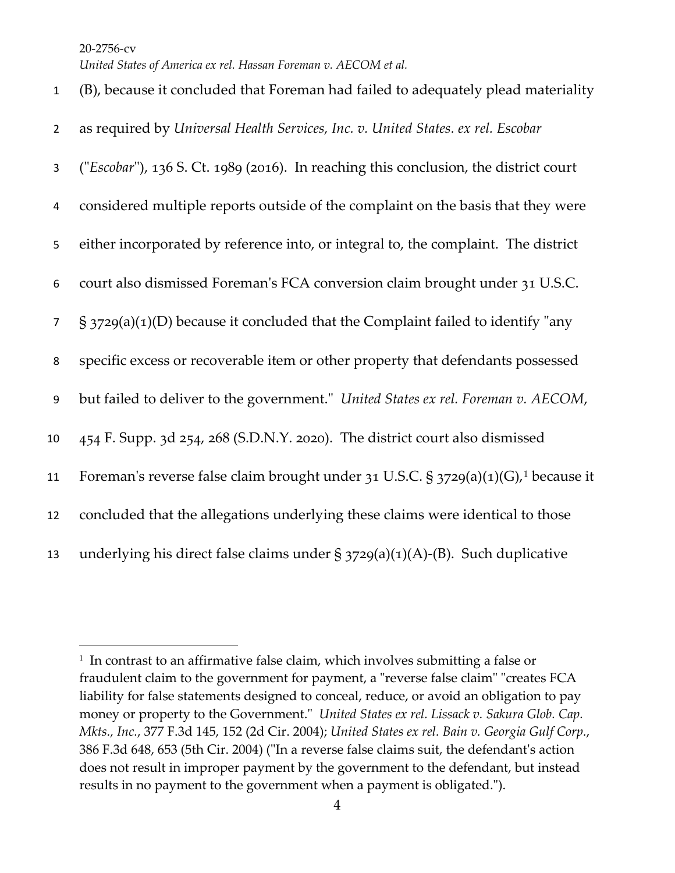| $\mathbf{1}$   | (B), because it concluded that Foreman had failed to adequately plead materiality              |
|----------------|------------------------------------------------------------------------------------------------|
| $\overline{2}$ | as required by Universal Health Services, Inc. v. United States. ex rel. Escobar               |
| 3              | ("Escobar"), 136 S. Ct. 1989 (2016). In reaching this conclusion, the district court           |
| 4              | considered multiple reports outside of the complaint on the basis that they were               |
| 5              | either incorporated by reference into, or integral to, the complaint. The district             |
| 6              | court also dismissed Foreman's FCA conversion claim brought under 31 U.S.C.                    |
| $\overline{7}$ | $\S$ 3729(a)(1)(D) because it concluded that the Complaint failed to identify "any             |
| 8              | specific excess or recoverable item or other property that defendants possessed                |
| 9              | but failed to deliver to the government." United States ex rel. Foreman v. AECOM,              |
| 10             | 454 F. Supp. 3d 254, 268 (S.D.N.Y. 2020). The district court also dismissed                    |
| 11             | Foreman's reverse false claim brought under 31 U.S.C. § 3729(a)(1)(G), <sup>1</sup> because it |
| 12             | concluded that the allegations underlying these claims were identical to those                 |
| 13             | underlying his direct false claims under $\S 3729(a)(1)(A)-(B)$ . Such duplicative             |

<span id="page-3-0"></span><sup>&</sup>lt;sup>1</sup> In contrast to an affirmative false claim, which involves submitting a false or fraudulent claim to the government for payment, a "reverse false claim" "creates FCA liability for false statements designed to conceal, reduce, or avoid an obligation to pay money or property to the Government." *United States ex rel. Lissack v. Sakura Glob. Cap. Mkts., Inc.*, 377 F.3d 145, 152 (2d Cir. 2004); *United States ex rel. Bain v. Georgia Gulf Corp.*, 386 F.3d 648, 653 (5th Cir. 2004) ("In a reverse false claims suit, the defendant's action does not result in improper payment by the government to the defendant, but instead results in no payment to the government when a payment is obligated.").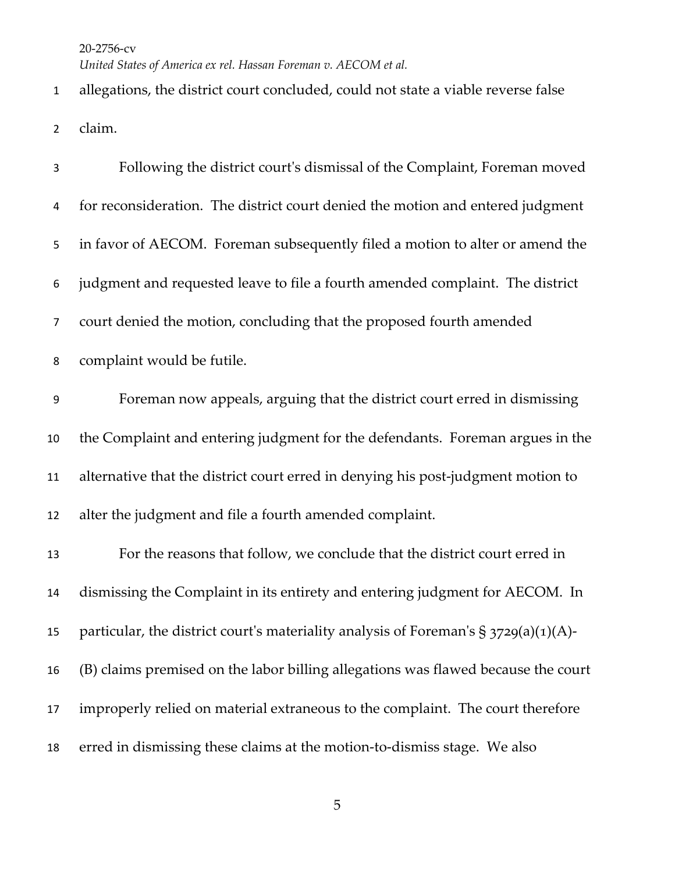*United States of America ex rel. Hassan Foreman v. AECOM et al.*

 allegations, the district court concluded, could not state a viable reverse false claim.

| 3              | Following the district court's dismissal of the Complaint, Foreman moved                |
|----------------|-----------------------------------------------------------------------------------------|
| 4              | for reconsideration. The district court denied the motion and entered judgment          |
| 5              | in favor of AECOM. Foreman subsequently filed a motion to alter or amend the            |
| 6              | judgment and requested leave to file a fourth amended complaint. The district           |
| $\overline{7}$ | court denied the motion, concluding that the proposed fourth amended                    |
| 8              | complaint would be futile.                                                              |
| 9              | Foreman now appeals, arguing that the district court erred in dismissing                |
| 10             | the Complaint and entering judgment for the defendants. Foreman argues in the           |
| 11             | alternative that the district court erred in denying his post-judgment motion to        |
| 12             | alter the judgment and file a fourth amended complaint.                                 |
| 13             | For the reasons that follow, we conclude that the district court erred in               |
| 14             | dismissing the Complaint in its entirety and entering judgment for AECOM. In            |
| 15             | particular, the district court's materiality analysis of Foreman's $\S 3729(a)(1)(A)$ - |
| 16             | (B) claims premised on the labor billing allegations was flawed because the court       |
| 17             | improperly relied on material extraneous to the complaint. The court therefore          |
| 18             | erred in dismissing these claims at the motion-to-dismiss stage. We also                |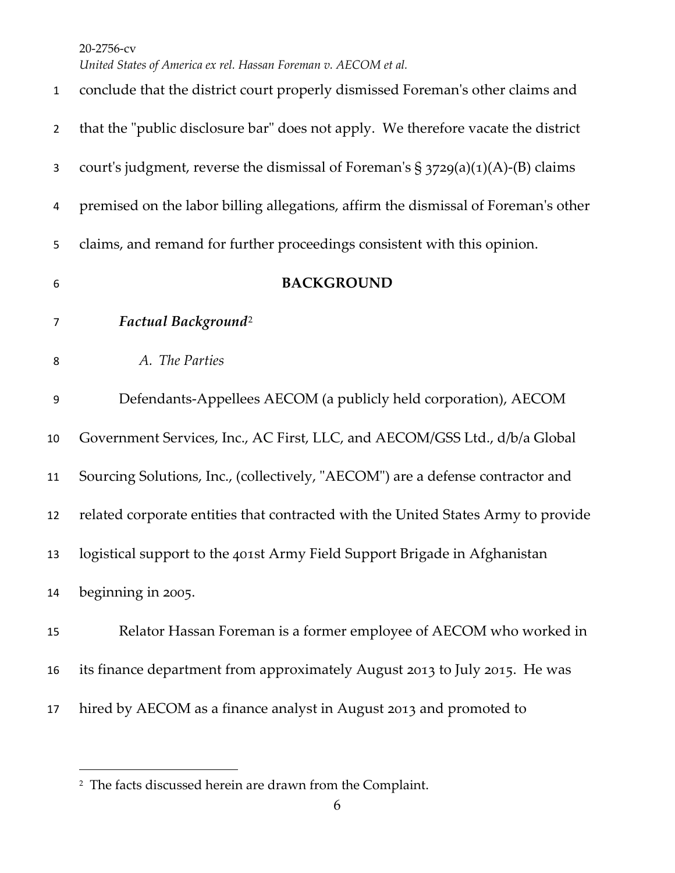| $\mathbf{1}$   | conclude that the district court properly dismissed Foreman's other claims and     |
|----------------|------------------------------------------------------------------------------------|
| $\overline{2}$ | that the "public disclosure bar" does not apply. We therefore vacate the district  |
| 3              | court's judgment, reverse the dismissal of Foreman's $\S$ 3729(a)(1)(A)-(B) claims |
| 4              | premised on the labor billing allegations, affirm the dismissal of Foreman's other |
| 5              | claims, and remand for further proceedings consistent with this opinion.           |
| 6              | <b>BACKGROUND</b>                                                                  |
| $\overline{7}$ | Factual Background <sup>2</sup>                                                    |
| 8              | A. The Parties                                                                     |
| 9              | Defendants-Appellees AECOM (a publicly held corporation), AECOM                    |
| 10             | Government Services, Inc., AC First, LLC, and AECOM/GSS Ltd., d/b/a Global         |
| 11             | Sourcing Solutions, Inc., (collectively, "AECOM") are a defense contractor and     |
| 12             | related corporate entities that contracted with the United States Army to provide  |
| 13             | logistical support to the 401st Army Field Support Brigade in Afghanistan          |
| 14             | beginning in 2005.                                                                 |
| 15             | Relator Hassan Foreman is a former employee of AECOM who worked in                 |
| 16             | its finance department from approximately August 2013 to July 2015. He was         |
| 17             | hired by AECOM as a finance analyst in August 2013 and promoted to                 |

<span id="page-5-0"></span>The facts discussed herein are drawn from the Complaint.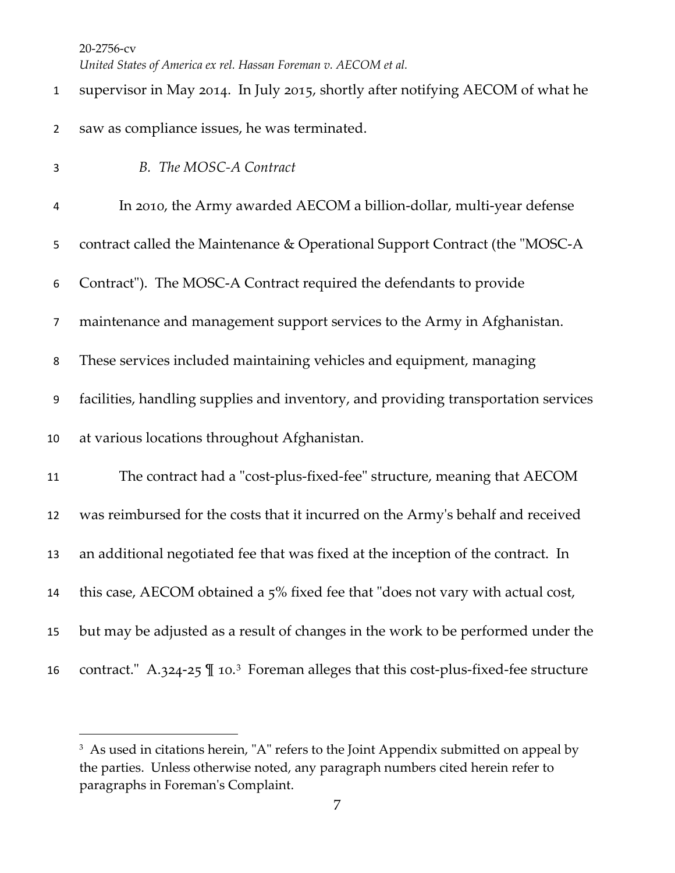| $\mathbf{1}$     | supervisor in May 2014. In July 2015, shortly after notifying AECOM of what he                    |
|------------------|---------------------------------------------------------------------------------------------------|
| $\overline{2}$   | saw as compliance issues, he was terminated.                                                      |
| 3                | B. The MOSC-A Contract                                                                            |
| 4                | In 2010, the Army awarded AECOM a billion-dollar, multi-year defense                              |
| 5                | contract called the Maintenance & Operational Support Contract (the "MOSC-A                       |
| 6                | Contract"). The MOSC-A Contract required the defendants to provide                                |
| $\overline{7}$   | maintenance and management support services to the Army in Afghanistan.                           |
| 8                | These services included maintaining vehicles and equipment, managing                              |
| $\boldsymbol{9}$ | facilities, handling supplies and inventory, and providing transportation services                |
| 10               | at various locations throughout Afghanistan.                                                      |
| 11               | The contract had a "cost-plus-fixed-fee" structure, meaning that AECOM                            |
| 12               | was reimbursed for the costs that it incurred on the Army's behalf and received                   |
| 13               | an additional negotiated fee that was fixed at the inception of the contract. In                  |
| 14               | this case, AECOM obtained a 5% fixed fee that "does not vary with actual cost,                    |
| 15               | but may be adjusted as a result of changes in the work to be performed under the                  |
| 16               | contract." A.324-25 $\P$ 10. <sup>3</sup> Foreman alleges that this cost-plus-fixed-fee structure |

<span id="page-6-0"></span><sup>&</sup>lt;sup>3</sup> As used in citations herein, "A" refers to the Joint Appendix submitted on appeal by the parties. Unless otherwise noted, any paragraph numbers cited herein refer to paragraphs in Foreman's Complaint.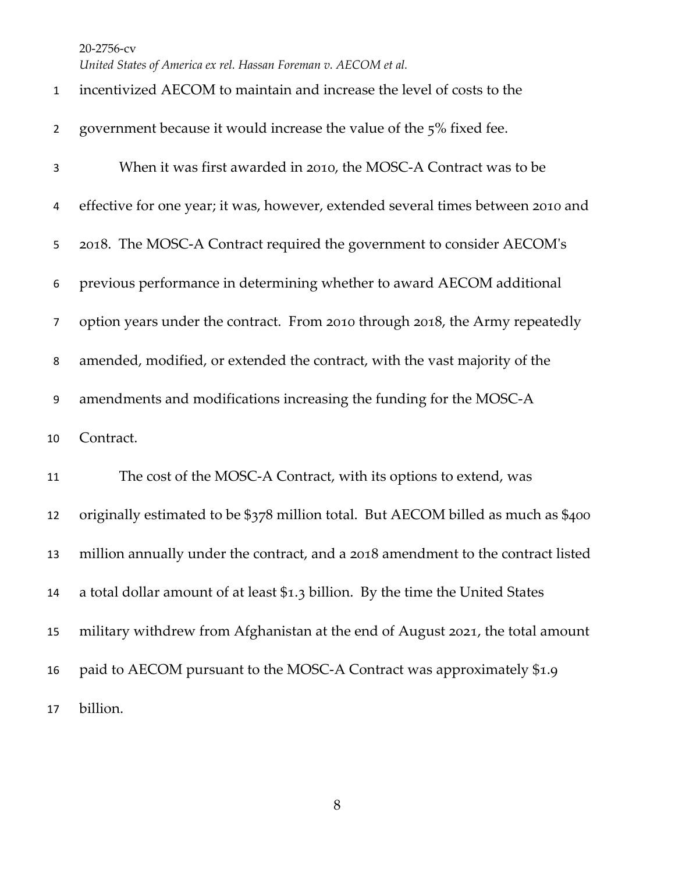*United States of America ex rel. Hassan Foreman v. AECOM et al.*

| $\mathbf{1}$   | incentivized AECOM to maintain and increase the level of costs to the             |
|----------------|-----------------------------------------------------------------------------------|
| $\overline{2}$ | government because it would increase the value of the 5% fixed fee.               |
| 3              | When it was first awarded in 2010, the MOSC-A Contract was to be                  |
| 4              | effective for one year; it was, however, extended several times between 2010 and  |
| 5              | 2018. The MOSC-A Contract required the government to consider AECOM's             |
| 6              | previous performance in determining whether to award AECOM additional             |
| 7              | option years under the contract. From 2010 through 2018, the Army repeatedly      |
| 8              | amended, modified, or extended the contract, with the vast majority of the        |
| 9              | amendments and modifications increasing the funding for the MOSC-A                |
| 10             | Contract.                                                                         |
| 11             | The cost of the MOSC-A Contract, with its options to extend, was                  |
| 12             | originally estimated to be \$378 million total. But AECOM billed as much as \$400 |
| 13             | million annually under the contract, and a 2018 amendment to the contract listed  |
| 14             | a total dollar amount of at least \$1.3 billion. By the time the United States    |
| 15             | military withdrew from Afghanistan at the end of August 2021, the total amount    |
| 16             | paid to AECOM pursuant to the MOSC-A Contract was approximately \$1.9             |
| 17             | billion.                                                                          |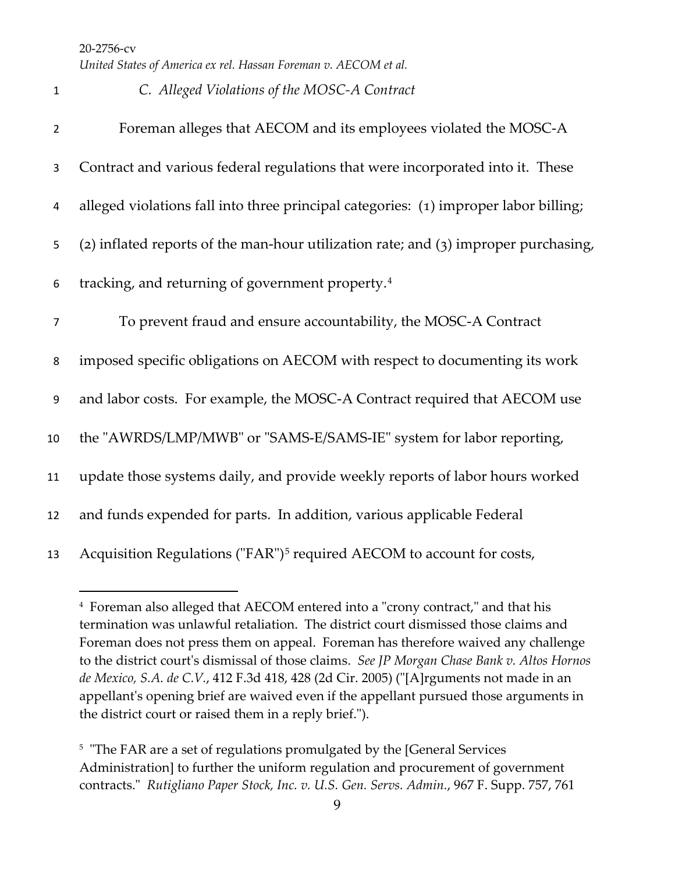1 *C. Alleged Violations of the MOSC-A Contract* 

| $\overline{2}$ | Foreman alleges that AECOM and its employees violated the MOSC-A                      |
|----------------|---------------------------------------------------------------------------------------|
| 3              | Contract and various federal regulations that were incorporated into it. These        |
| 4              | alleged violations fall into three principal categories: (1) improper labor billing;  |
| 5              | (2) inflated reports of the man-hour utilization rate; and $(3)$ improper purchasing, |
| 6              | tracking, and returning of government property. <sup>4</sup>                          |
| $\overline{7}$ | To prevent fraud and ensure accountability, the MOSC-A Contract                       |
| 8              | imposed specific obligations on AECOM with respect to documenting its work            |
| 9              | and labor costs. For example, the MOSC-A Contract required that AECOM use             |
| 10             | the "AWRDS/LMP/MWB" or "SAMS-E/SAMS-IE" system for labor reporting,                   |
| 11             | update those systems daily, and provide weekly reports of labor hours worked          |
| 12             | and funds expended for parts. In addition, various applicable Federal                 |
| 13             | Acquisition Regulations ("FAR") <sup>5</sup> required AECOM to account for costs,     |

<span id="page-8-0"></span><sup>4</sup> Foreman also alleged that AECOM entered into a "crony contract," and that his termination was unlawful retaliation. The district court dismissed those claims and Foreman does not press them on appeal. Foreman has therefore waived any challenge to the district court's dismissal of those claims. *See JP Morgan Chase Bank v. Altos Hornos de Mexico, S.A. de C.V.*, 412 F.3d 418, 428 (2d Cir. 2005) ("[A]rguments not made in an appellant's opening brief are waived even if the appellant pursued those arguments in the district court or raised them in a reply brief.").

<span id="page-8-1"></span><sup>&</sup>lt;sup>5</sup> "The FAR are a set of regulations promulgated by the [General Services Administration] to further the uniform regulation and procurement of government contracts." *Rutigliano Paper Stock, Inc. v. U.S. Gen. Servs. Admin.*, 967 F. Supp. 757, 761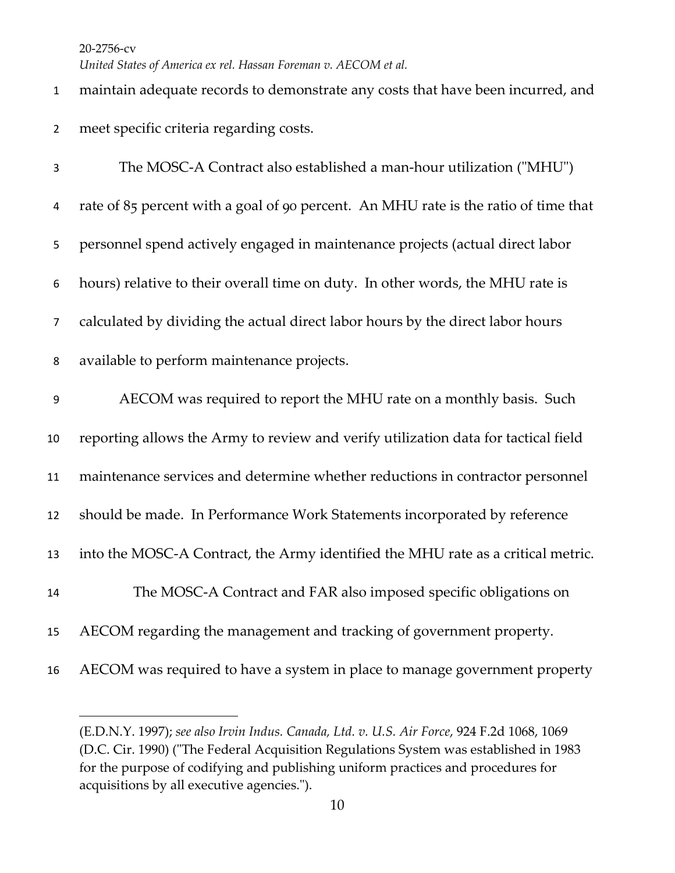*United States of America ex rel. Hassan Foreman v. AECOM et al.*

| $\mathbf{1}$     | maintain adequate records to demonstrate any costs that have been incurred, and     |
|------------------|-------------------------------------------------------------------------------------|
| $\overline{2}$   | meet specific criteria regarding costs.                                             |
| 3                | The MOSC-A Contract also established a man-hour utilization ("MHU")                 |
| 4                | rate of 85 percent with a goal of 90 percent. An MHU rate is the ratio of time that |
| 5                | personnel spend actively engaged in maintenance projects (actual direct labor       |
| 6                | hours) relative to their overall time on duty. In other words, the MHU rate is      |
| $\overline{7}$   | calculated by dividing the actual direct labor hours by the direct labor hours      |
| 8                | available to perform maintenance projects.                                          |
| $\boldsymbol{9}$ | AECOM was required to report the MHU rate on a monthly basis. Such                  |
| 10               | reporting allows the Army to review and verify utilization data for tactical field  |
| 11               | maintenance services and determine whether reductions in contractor personnel       |
| 12               | should be made. In Performance Work Statements incorporated by reference            |
| 13               | into the MOSC-A Contract, the Army identified the MHU rate as a critical metric.    |
| 14               | The MOSC-A Contract and FAR also imposed specific obligations on                    |
| 15               | AECOM regarding the management and tracking of government property.                 |
| 16               | AECOM was required to have a system in place to manage government property          |

<sup>(</sup>E.D.N.Y. 1997); *see also Irvin Indus. Canada, Ltd. v. U.S. Air Force*, 924 F.2d 1068, 1069 (D.C. Cir. 1990) ("The Federal Acquisition Regulations System was established in 1983 for the purpose of codifying and publishing uniform practices and procedures for acquisitions by all executive agencies.").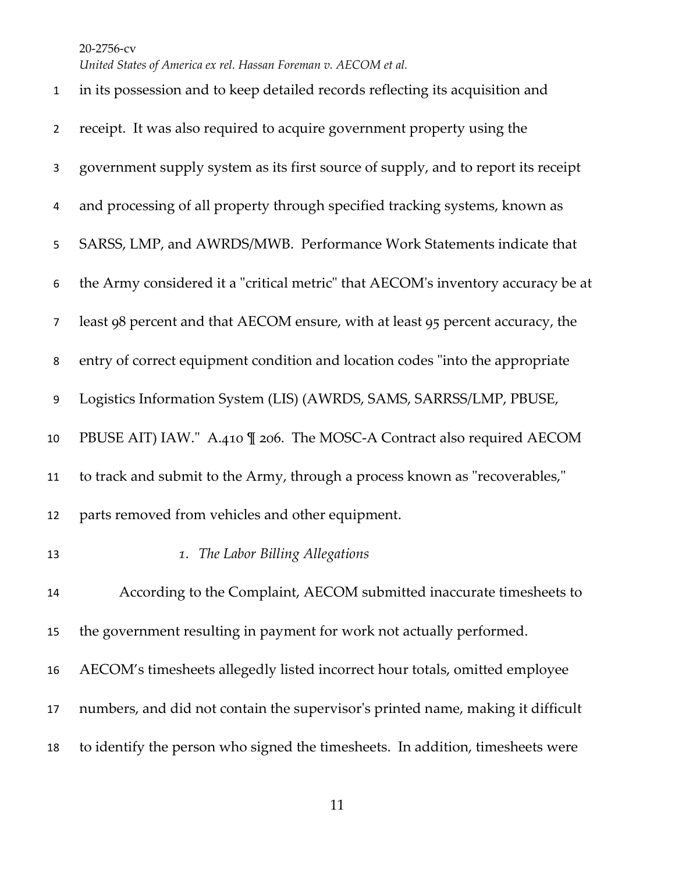*United States of America ex rel. Hassan Foreman v. AECOM et al.*

| $\mathbf{1}$   | in its possession and to keep detailed records reflecting its acquisition and     |
|----------------|-----------------------------------------------------------------------------------|
| $\overline{2}$ | receipt. It was also required to acquire government property using the            |
| 3              | government supply system as its first source of supply, and to report its receipt |
| 4              | and processing of all property through specified tracking systems, known as       |
| 5              | SARSS, LMP, and AWRDS/MWB. Performance Work Statements indicate that              |
| 6              | the Army considered it a "critical metric" that AECOM's inventory accuracy be at  |
| $\overline{7}$ | least 98 percent and that AECOM ensure, with at least 95 percent accuracy, the    |
| 8              | entry of correct equipment condition and location codes "into the appropriate     |
| 9              | Logistics Information System (LIS) (AWRDS, SAMS, SARRSS/LMP, PBUSE,               |
| 10             | PBUSE AIT) IAW." A.410 \[ 206. The MOSC-A Contract also required AECOM            |
| 11             | to track and submit to the Army, through a process known as "recoverables,"       |
| 12             | parts removed from vehicles and other equipment.                                  |
| 13             | 1. The Labor Billing Allegations                                                  |
| 14             | According to the Complaint, AECOM submitted inaccurate timesheets to              |
| 15             | the government resulting in payment for work not actually performed.              |
| 16             | AECOM's timesheets allegedly listed incorrect hour totals, omitted employee       |
| 17             | numbers, and did not contain the supervisor's printed name, making it difficult   |
| 18             | to identify the person who signed the timesheets. In addition, timesheets were    |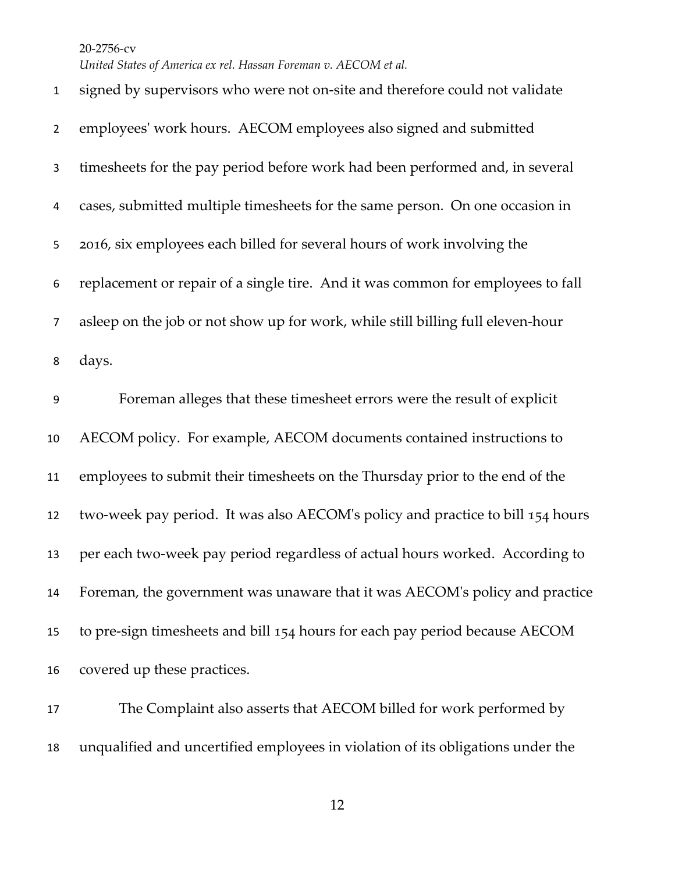*United States of America ex rel. Hassan Foreman v. AECOM et al.*

 signed by supervisors who were not on-site and therefore could not validate employees' work hours. AECOM employees also signed and submitted timesheets for the pay period before work had been performed and, in several cases, submitted multiple timesheets for the same person. On one occasion in 2016, six employees each billed for several hours of work involving the replacement or repair of a single tire. And it was common for employees to fall asleep on the job or not show up for work, while still billing full eleven-hour days. Foreman alleges that these timesheet errors were the result of explicit AECOM policy. For example, AECOM documents contained instructions to employees to submit their timesheets on the Thursday prior to the end of the two-week pay period. It was also AECOM's policy and practice to bill 154 hours per each two-week pay period regardless of actual hours worked. According to Foreman, the government was unaware that it was AECOM's policy and practice to pre-sign timesheets and bill 154 hours for each pay period because AECOM covered up these practices.

 The Complaint also asserts that AECOM billed for work performed by unqualified and uncertified employees in violation of its obligations under the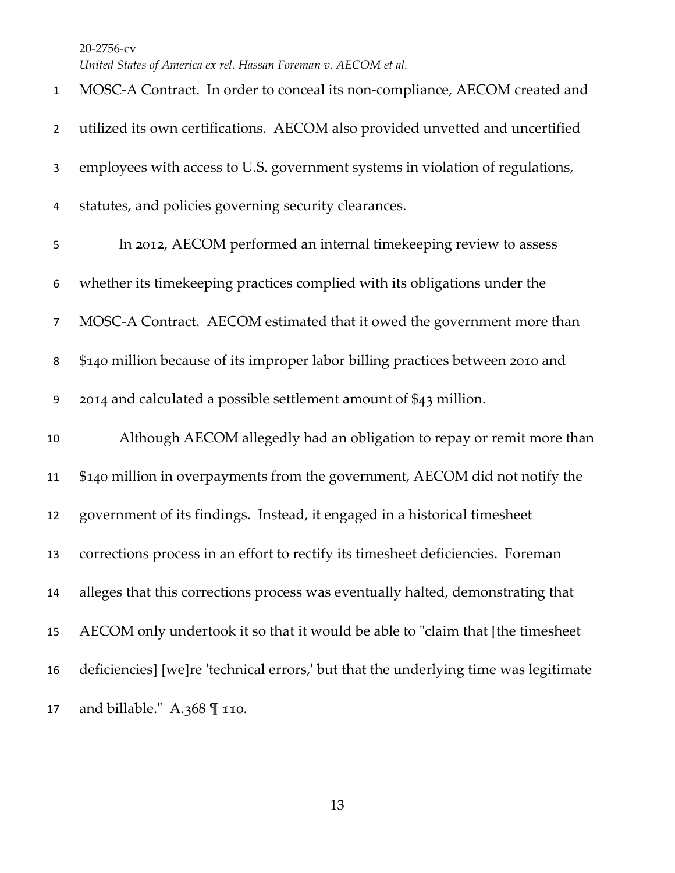| $\mathbf{1}$   | MOSC-A Contract. In order to conceal its non-compliance, AECOM created and           |
|----------------|--------------------------------------------------------------------------------------|
| $\overline{2}$ | utilized its own certifications. AECOM also provided unvetted and uncertified        |
| 3              | employees with access to U.S. government systems in violation of regulations,        |
| 4              | statutes, and policies governing security clearances.                                |
| 5              | In 2012, AECOM performed an internal timekeeping review to assess                    |
| 6              | whether its time keeping practices complied with its obligations under the           |
| $\overline{7}$ | MOSC-A Contract. AECOM estimated that it owed the government more than               |
| 8              | \$140 million because of its improper labor billing practices between 2010 and       |
| 9              | 2014 and calculated a possible settlement amount of \$43 million.                    |
| 10             | Although AECOM allegedly had an obligation to repay or remit more than               |
| 11             | \$140 million in overpayments from the government, AECOM did not notify the          |
| 12             | government of its findings. Instead, it engaged in a historical timesheet            |
| 13             | corrections process in an effort to rectify its timesheet deficiencies. Foreman      |
| 14             | alleges that this corrections process was eventually halted, demonstrating that      |
| 15             | AECOM only undertook it so that it would be able to "claim that [the timesheet       |
| 16             | deficiencies] [we]re 'technical errors,' but that the underlying time was legitimate |
| 17             | and billable." A.368 $\mathbb{I}$ 110.                                               |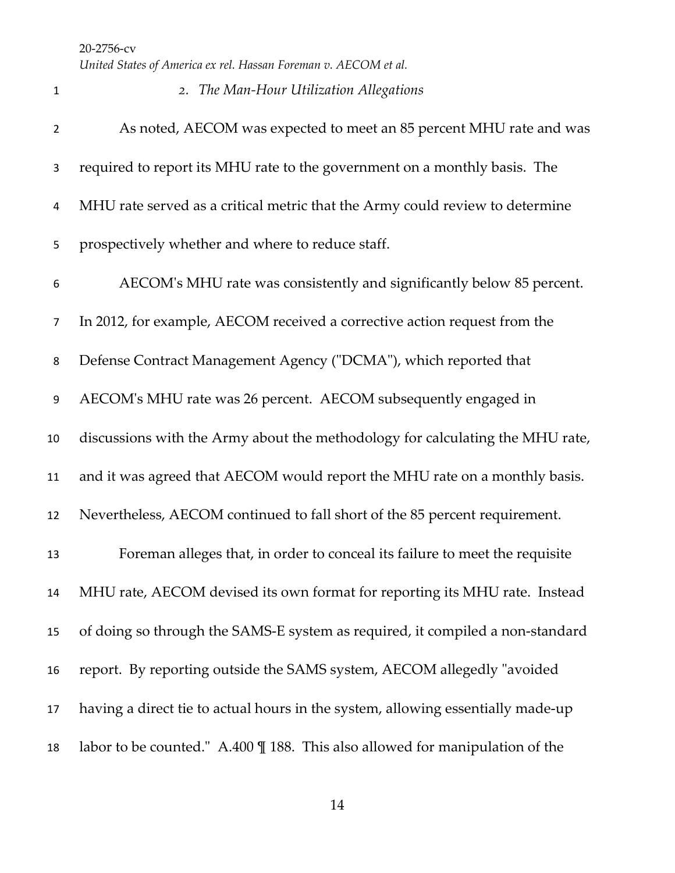*United States of America ex rel. Hassan Foreman v. AECOM et al.*

| 1              | 2. The Man-Hour Utilization Allegations                                         |
|----------------|---------------------------------------------------------------------------------|
| $\overline{2}$ | As noted, AECOM was expected to meet an 85 percent MHU rate and was             |
| 3              | required to report its MHU rate to the government on a monthly basis. The       |
| 4              | MHU rate served as a critical metric that the Army could review to determine    |
| 5              | prospectively whether and where to reduce staff.                                |
| 6              | AECOM's MHU rate was consistently and significantly below 85 percent.           |
| $\overline{7}$ | In 2012, for example, AECOM received a corrective action request from the       |
| 8              | Defense Contract Management Agency ("DCMA"), which reported that                |
| 9              | AECOM's MHU rate was 26 percent. AECOM subsequently engaged in                  |
| 10             | discussions with the Army about the methodology for calculating the MHU rate,   |
| 11             | and it was agreed that AECOM would report the MHU rate on a monthly basis.      |
| 12             | Nevertheless, AECOM continued to fall short of the 85 percent requirement.      |
| 13             | Foreman alleges that, in order to conceal its failure to meet the requisite     |
| 14             | MHU rate, AECOM devised its own format for reporting its MHU rate. Instead      |
| 15             | of doing so through the SAMS-E system as required, it compiled a non-standard   |
| 16             | report. By reporting outside the SAMS system, AECOM allegedly "avoided          |
| 17             | having a direct tie to actual hours in the system, allowing essentially made-up |
| 18             | labor to be counted." A.400 \[ 188. This also allowed for manipulation of the   |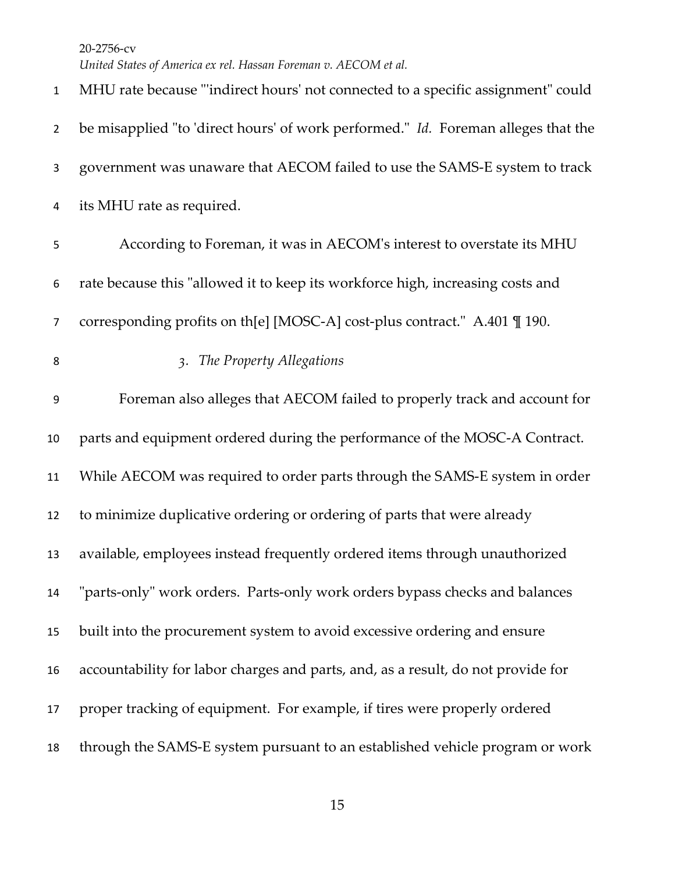MHU rate because "'indirect hours' not connected to a specific assignment" could be misapplied "to 'direct hours' of work performed." *Id.* Foreman alleges that the government was unaware that AECOM failed to use the SAMS-E system to track its MHU rate as required. According to Foreman, it was in AECOM's interest to overstate its MHU rate because this "allowed it to keep its workforce high, increasing costs and corresponding profits on th[e] [MOSC-A] cost-plus contract." A.401 ¶ 190. *3. The Property Allegations* Foreman also alleges that AECOM failed to properly track and account for parts and equipment ordered during the performance of the MOSC-A Contract. While AECOM was required to order parts through the SAMS-E system in order to minimize duplicative ordering or ordering of parts that were already available, employees instead frequently ordered items through unauthorized "parts-only" work orders. Parts-only work orders bypass checks and balances built into the procurement system to avoid excessive ordering and ensure accountability for labor charges and parts, and, as a result, do not provide for proper tracking of equipment. For example, if tires were properly ordered through the SAMS-E system pursuant to an established vehicle program or work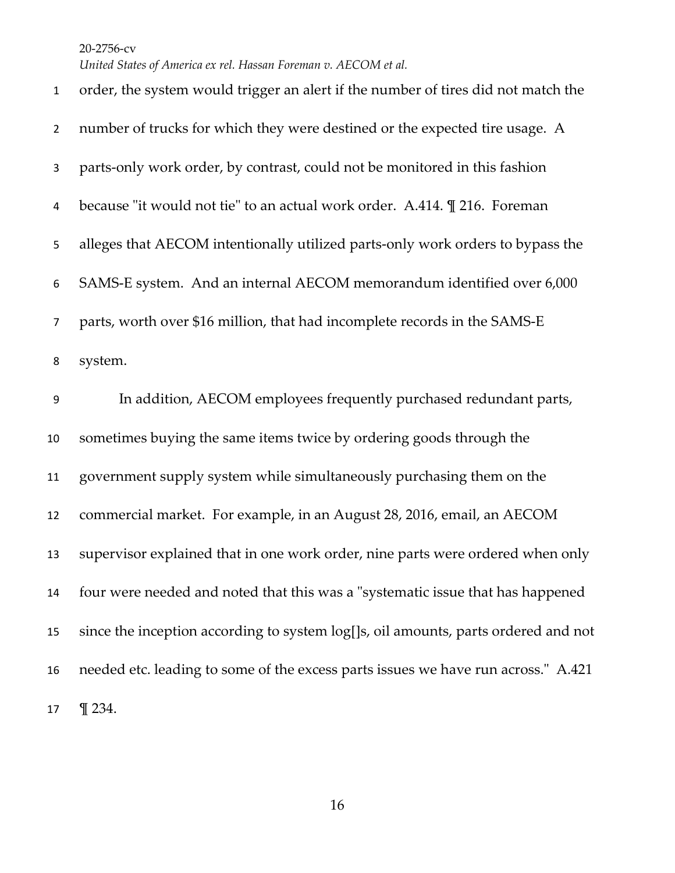*United States of America ex rel. Hassan Foreman v. AECOM et al.*

| $\mathbf{1}$   | order, the system would trigger an alert if the number of tires did not match the  |
|----------------|------------------------------------------------------------------------------------|
| $\overline{2}$ | number of trucks for which they were destined or the expected tire usage. A        |
| 3              | parts-only work order, by contrast, could not be monitored in this fashion         |
| 4              | because "it would not tie" to an actual work order. A.414. <i>[216. Foreman</i>    |
| 5              | alleges that AECOM intentionally utilized parts-only work orders to bypass the     |
| 6              | SAMS-E system. And an internal AECOM memorandum identified over 6,000              |
| $\overline{7}$ | parts, worth over \$16 million, that had incomplete records in the SAMS-E          |
| 8              | system.                                                                            |
| 9              | In addition, AECOM employees frequently purchased redundant parts,                 |
| 10             | sometimes buying the same items twice by ordering goods through the                |
| 11             | government supply system while simultaneously purchasing them on the               |
| 12             | commercial market. For example, in an August 28, 2016, email, an AECOM             |
| 13             | supervisor explained that in one work order, nine parts were ordered when only     |
| 14             | four were needed and noted that this was a "systematic issue that has happened     |
| 15             | since the inception according to system log[]s, oil amounts, parts ordered and not |
| 16             | needed etc. leading to some of the excess parts issues we have run across." A.421  |
| 17             | $\P$ 234.                                                                          |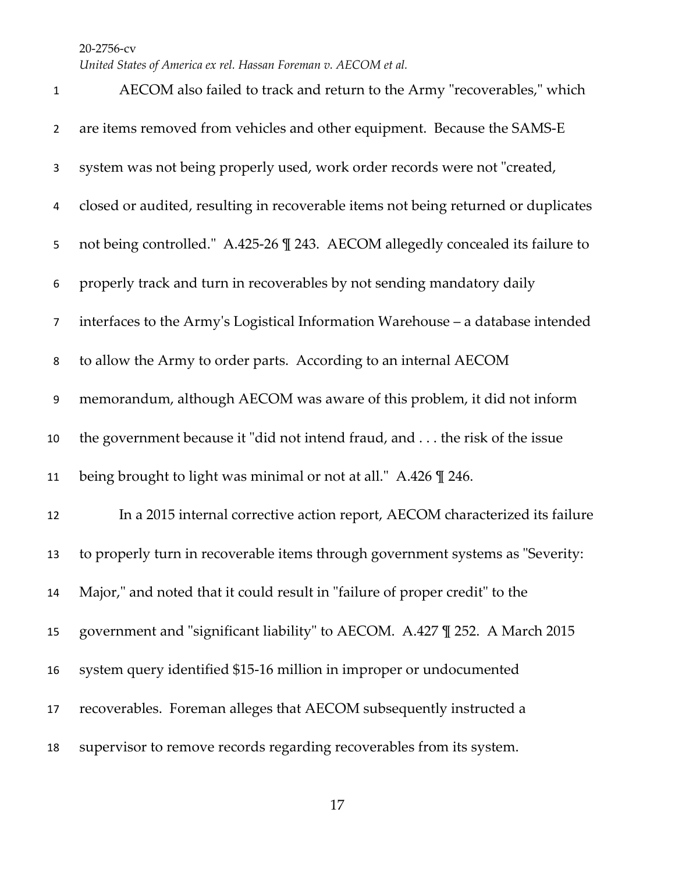| $\mathbf 1$      | AECOM also failed to track and return to the Army "recoverables," which            |
|------------------|------------------------------------------------------------------------------------|
| $\overline{2}$   | are items removed from vehicles and other equipment. Because the SAMS-E            |
| 3                | system was not being properly used, work order records were not "created,          |
| 4                | closed or audited, resulting in recoverable items not being returned or duplicates |
| 5                | not being controlled." A.425-26 \[ 243. AECOM allegedly concealed its failure to   |
| 6                | properly track and turn in recoverables by not sending mandatory daily             |
| $\overline{7}$   | interfaces to the Army's Logistical Information Warehouse - a database intended    |
| 8                | to allow the Army to order parts. According to an internal AECOM                   |
| $\boldsymbol{9}$ | memorandum, although AECOM was aware of this problem, it did not inform            |
| 10               | the government because it "did not intend fraud, and the risk of the issue         |
| 11               | being brought to light was minimal or not at all." A.426 \ll 246.                  |
| 12               | In a 2015 internal corrective action report, AECOM characterized its failure       |
| 13               | to properly turn in recoverable items through government systems as "Severity:     |
| 14               | Major," and noted that it could result in "failure of proper credit" to the        |
| 15               | government and "significant liability" to AECOM. A.427 \ll 252. A March 2015       |
| 16               | system query identified \$15-16 million in improper or undocumented                |
| 17               | recoverables. Foreman alleges that AECOM subsequently instructed a                 |
| 18               | supervisor to remove records regarding recoverables from its system.               |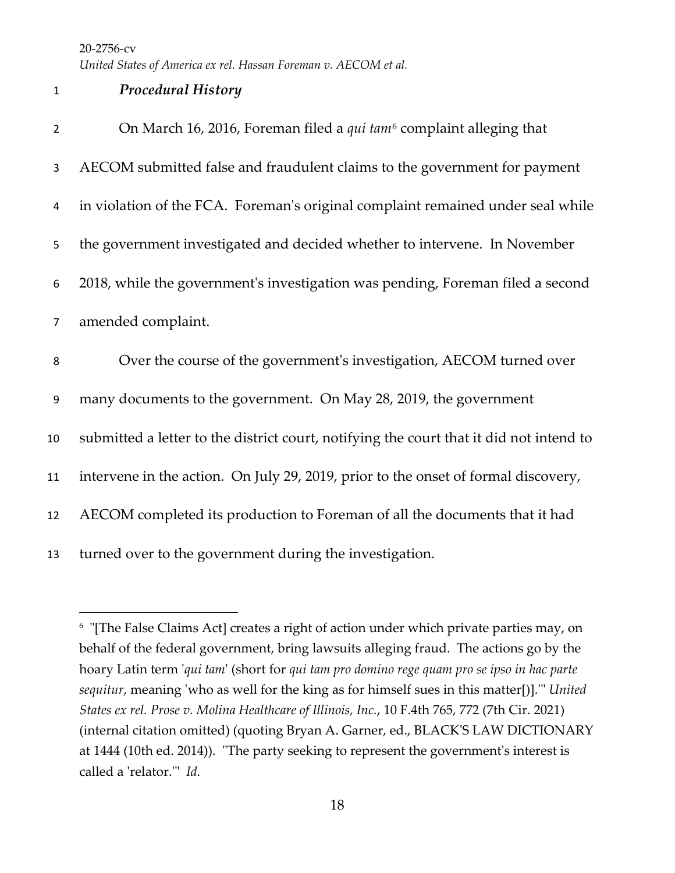*United States of America ex rel. Hassan Foreman v. AECOM et al.*

## *Procedural History*

| $\overline{2}$ | On March 16, 2016, Foreman filed a qui tam <sup>6</sup> complaint alleging that         |
|----------------|-----------------------------------------------------------------------------------------|
| 3              | AECOM submitted false and fraudulent claims to the government for payment               |
| 4              | in violation of the FCA. Foreman's original complaint remained under seal while         |
| 5              | the government investigated and decided whether to intervene. In November               |
| 6              | 2018, while the government's investigation was pending, Foreman filed a second          |
| $\overline{7}$ | amended complaint.                                                                      |
| 8              | Over the course of the government's investigation, AECOM turned over                    |
| $\overline{9}$ | many documents to the government. On May 28, 2019, the government                       |
| 10             | submitted a letter to the district court, notifying the court that it did not intend to |
| 11             | intervene in the action. On July 29, 2019, prior to the onset of formal discovery,      |
| 12             | AECOM completed its production to Foreman of all the documents that it had              |
|                |                                                                                         |

<span id="page-17-0"></span> "[The False Claims Act] creates a right of action under which private parties may, on behalf of the federal government, bring lawsuits alleging fraud. The actions go by the hoary Latin term '*qui tam*' (short for *qui tam pro domino rege quam pro se ipso in hac parte sequitur*, meaning 'who as well for the king as for himself sues in this matter[)].'" *United States ex rel. Prose v. Molina Healthcare of Illinois, Inc.*, 10 F.4th 765, 772 (7th Cir. 2021) (internal citation omitted) (quoting Bryan A. Garner, ed., BLACK'S LAW DICTIONARY at 1444 (10th ed. 2014)). "The party seeking to represent the government's interest is called a 'relator.'" *Id.*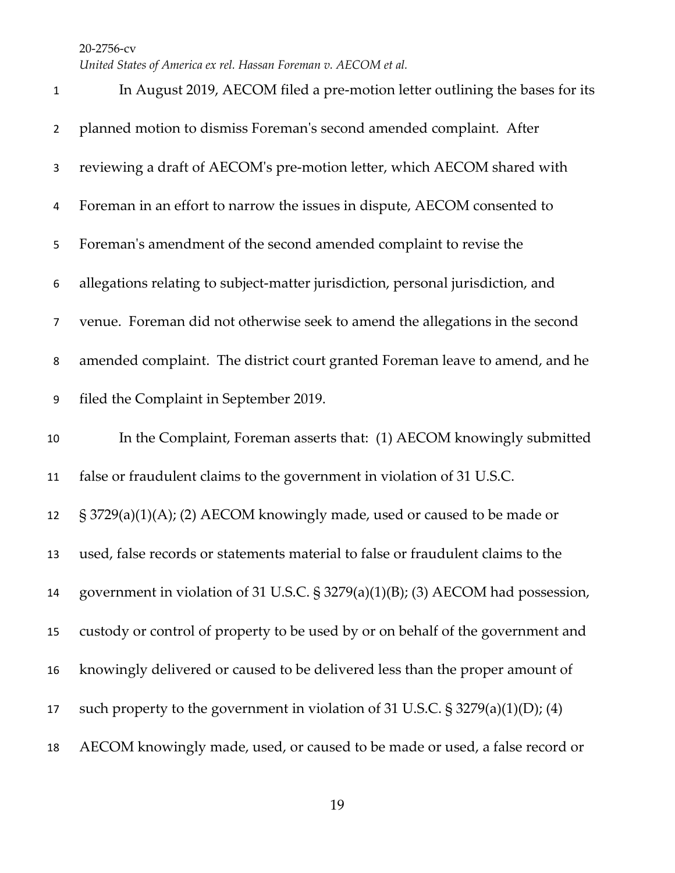| 1              | In August 2019, AECOM filed a pre-motion letter outlining the bases for its       |
|----------------|-----------------------------------------------------------------------------------|
| $\overline{2}$ | planned motion to dismiss Foreman's second amended complaint. After               |
| 3              | reviewing a draft of AECOM's pre-motion letter, which AECOM shared with           |
| 4              | Foreman in an effort to narrow the issues in dispute, AECOM consented to          |
| 5              | Foreman's amendment of the second amended complaint to revise the                 |
| 6              | allegations relating to subject-matter jurisdiction, personal jurisdiction, and   |
| $\overline{7}$ | venue. Foreman did not otherwise seek to amend the allegations in the second      |
| 8              | amended complaint. The district court granted Foreman leave to amend, and he      |
| 9              | filed the Complaint in September 2019.                                            |
| 10             | In the Complaint, Foreman asserts that: (1) AECOM knowingly submitted             |
| 11             | false or fraudulent claims to the government in violation of 31 U.S.C.            |
| 12             | § 3729(a)(1)(A); (2) AECOM knowingly made, used or caused to be made or           |
| 13             | used, false records or statements material to false or fraudulent claims to the   |
| 14             | government in violation of 31 U.S.C. § 3279(a)(1)(B); (3) AECOM had possession,   |
| 15             | custody or control of property to be used by or on behalf of the government and   |
| 16             | knowingly delivered or caused to be delivered less than the proper amount of      |
|                |                                                                                   |
| 17             | such property to the government in violation of 31 U.S.C. $\S$ 3279(a)(1)(D); (4) |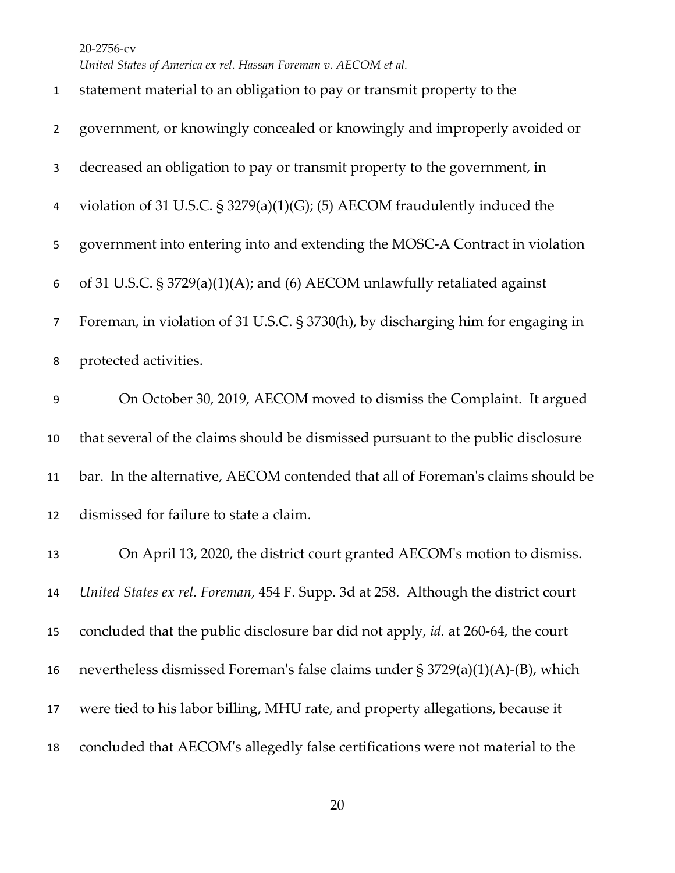*United States of America ex rel. Hassan Foreman v. AECOM et al.*

| $\mathbf{1}$   | statement material to an obligation to pay or transmit property to the             |
|----------------|------------------------------------------------------------------------------------|
| $\overline{2}$ | government, or knowingly concealed or knowingly and improperly avoided or          |
| 3              | decreased an obligation to pay or transmit property to the government, in          |
| 4              | violation of 31 U.S.C. $\S$ 3279(a)(1)(G); (5) AECOM fraudulently induced the      |
| 5              | government into entering into and extending the MOSC-A Contract in violation       |
| 6              | of 31 U.S.C. $\S 3729(a)(1)(A)$ ; and (6) AECOM unlawfully retaliated against      |
| $\overline{7}$ | Foreman, in violation of 31 U.S.C. § 3730(h), by discharging him for engaging in   |
| 8              | protected activities.                                                              |
| 9              | On October 30, 2019, AECOM moved to dismiss the Complaint. It argued               |
| 10             | that several of the claims should be dismissed pursuant to the public disclosure   |
| 11             | bar. In the alternative, AECOM contended that all of Foreman's claims should be    |
| 12             | dismissed for failure to state a claim.                                            |
| 13             | On April 13, 2020, the district court granted AECOM's motion to dismiss.           |
| 14             | United States ex rel. Foreman, 454 F. Supp. 3d at 258. Although the district court |
| 15             | concluded that the public disclosure bar did not apply, id. at 260-64, the court   |
| 16             | nevertheless dismissed Foreman's false claims under $\S 3729(a)(1)(A)$ -(B), which |
| 17             | were tied to his labor billing, MHU rate, and property allegations, because it     |
| 18             | concluded that AECOM's allegedly false certifications were not material to the     |
|                |                                                                                    |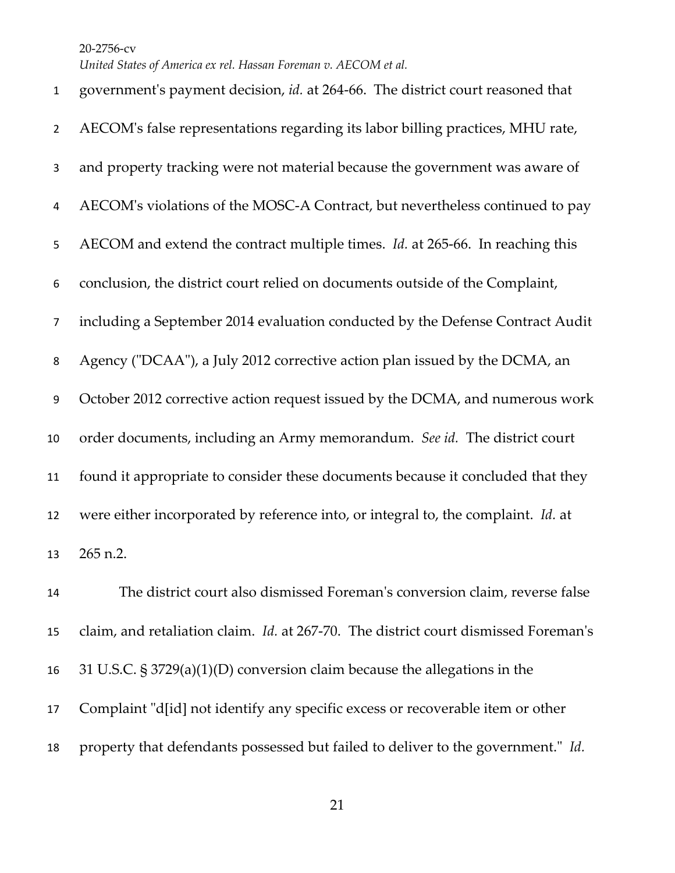*United States of America ex rel. Hassan Foreman v. AECOM et al.*

| $\mathbf{1}$     | government's payment decision, id. at 264-66. The district court reasoned that             |
|------------------|--------------------------------------------------------------------------------------------|
| $\overline{2}$   | AECOM's false representations regarding its labor billing practices, MHU rate,             |
| 3                | and property tracking were not material because the government was aware of                |
| 4                | AECOM's violations of the MOSC-A Contract, but nevertheless continued to pay               |
| 5                | AECOM and extend the contract multiple times. <i>Id.</i> at 265-66. In reaching this       |
| 6                | conclusion, the district court relied on documents outside of the Complaint,               |
| $\overline{7}$   | including a September 2014 evaluation conducted by the Defense Contract Audit              |
| 8                | Agency ("DCAA"), a July 2012 corrective action plan issued by the DCMA, an                 |
| $\boldsymbol{9}$ | October 2012 corrective action request issued by the DCMA, and numerous work               |
| 10               | order documents, including an Army memorandum. See id. The district court                  |
| 11               | found it appropriate to consider these documents because it concluded that they            |
| 12               | were either incorporated by reference into, or integral to, the complaint. Id. at          |
| 13               | 265 n.2.                                                                                   |
| 14               | The district court also dismissed Foreman's conversion claim, reverse false                |
| 15               | claim, and retaliation claim. <i>Id.</i> at 267-70. The district court dismissed Foreman's |
| 16               | 31 U.S.C. $\S 3729(a)(1)(D)$ conversion claim because the allegations in the               |
| 17               | Complaint "d[id] not identify any specific excess or recoverable item or other             |

property that defendants possessed but failed to deliver to the government." *Id.*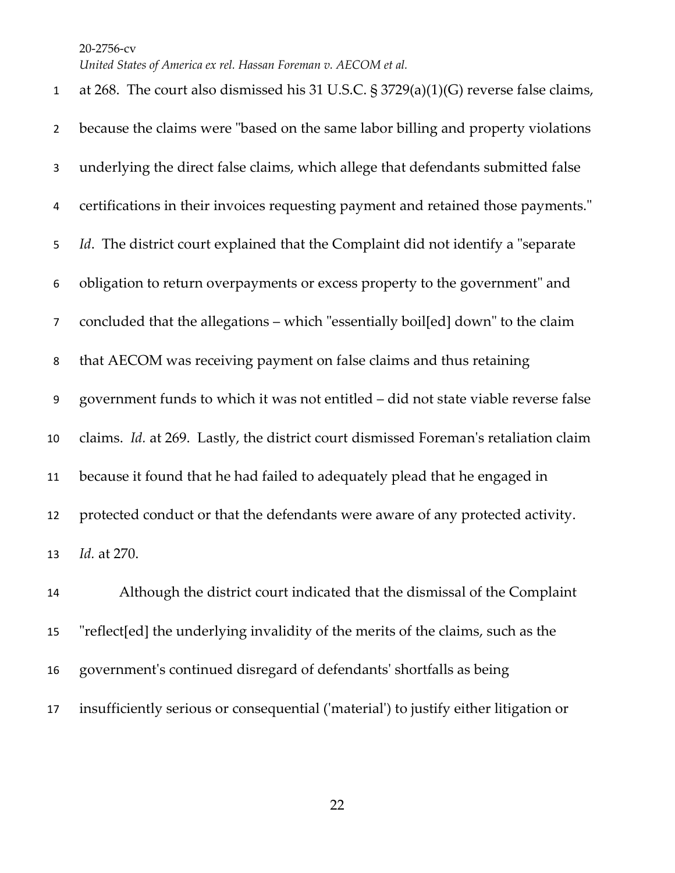*United States of America ex rel. Hassan Foreman v. AECOM et al.*

 at 268. The court also dismissed his 31 U.S.C. § 3729(a)(1)(G) reverse false claims, because the claims were "based on the same labor billing and property violations underlying the direct false claims, which allege that defendants submitted false certifications in their invoices requesting payment and retained those payments." *Id*. The district court explained that the Complaint did not identify a "separate obligation to return overpayments or excess property to the government" and concluded that the allegations – which "essentially boil[ed] down" to the claim that AECOM was receiving payment on false claims and thus retaining government funds to which it was not entitled – did not state viable reverse false claims. *Id.* at 269. Lastly, the district court dismissed Foreman's retaliation claim because it found that he had failed to adequately plead that he engaged in protected conduct or that the defendants were aware of any protected activity. *Id.* at 270. Although the district court indicated that the dismissal of the Complaint "reflect[ed] the underlying invalidity of the merits of the claims, such as the government's continued disregard of defendants' shortfalls as being

insufficiently serious or consequential ('material') to justify either litigation or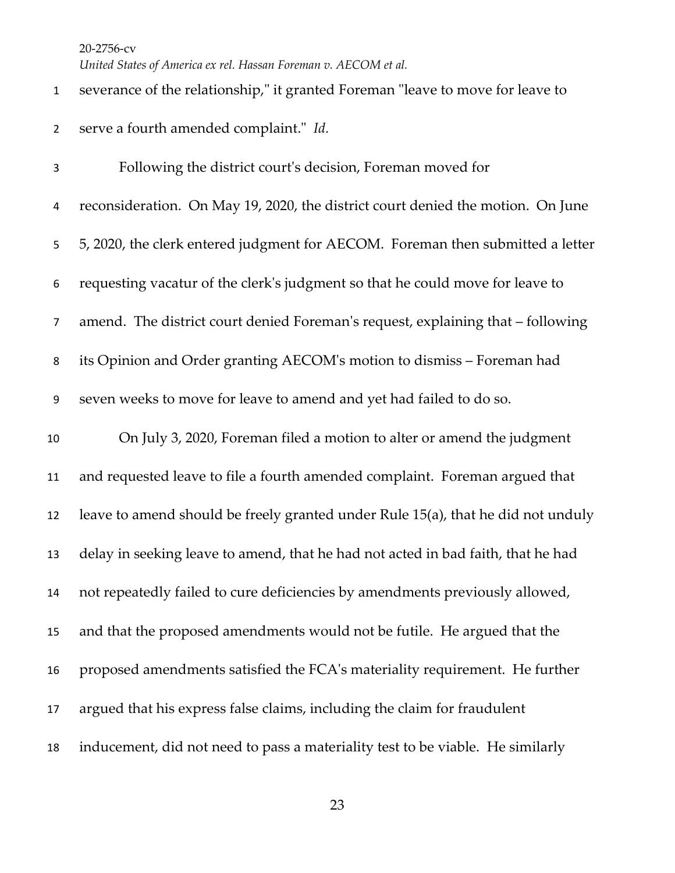*United States of America ex rel. Hassan Foreman v. AECOM et al.*

| $\mathbf{1}$     | severance of the relationship," it granted Foreman "leave to move for leave to   |
|------------------|----------------------------------------------------------------------------------|
| $\overline{2}$   | serve a fourth amended complaint." Id.                                           |
| 3                | Following the district court's decision, Foreman moved for                       |
| 4                | reconsideration. On May 19, 2020, the district court denied the motion. On June  |
| 5                | 5, 2020, the clerk entered judgment for AECOM. Foreman then submitted a letter   |
| 6                | requesting vacatur of the clerk's judgment so that he could move for leave to    |
| $\overline{7}$   | amend. The district court denied Foreman's request, explaining that - following  |
| 8                | its Opinion and Order granting AECOM's motion to dismiss - Foreman had           |
| $\boldsymbol{9}$ | seven weeks to move for leave to amend and yet had failed to do so.              |
| 10               | On July 3, 2020, Foreman filed a motion to alter or amend the judgment           |
| 11               | and requested leave to file a fourth amended complaint. Foreman argued that      |
| 12               | leave to amend should be freely granted under Rule 15(a), that he did not unduly |
| 13               | delay in seeking leave to amend, that he had not acted in bad faith, that he had |
| 14               | not repeatedly failed to cure deficiencies by amendments previously allowed,     |
| 15               | and that the proposed amendments would not be futile. He argued that the         |
| 16               | proposed amendments satisfied the FCA's materiality requirement. He further      |
| 17               | argued that his express false claims, including the claim for fraudulent         |
| 18               | inducement, did not need to pass a materiality test to be viable. He similarly   |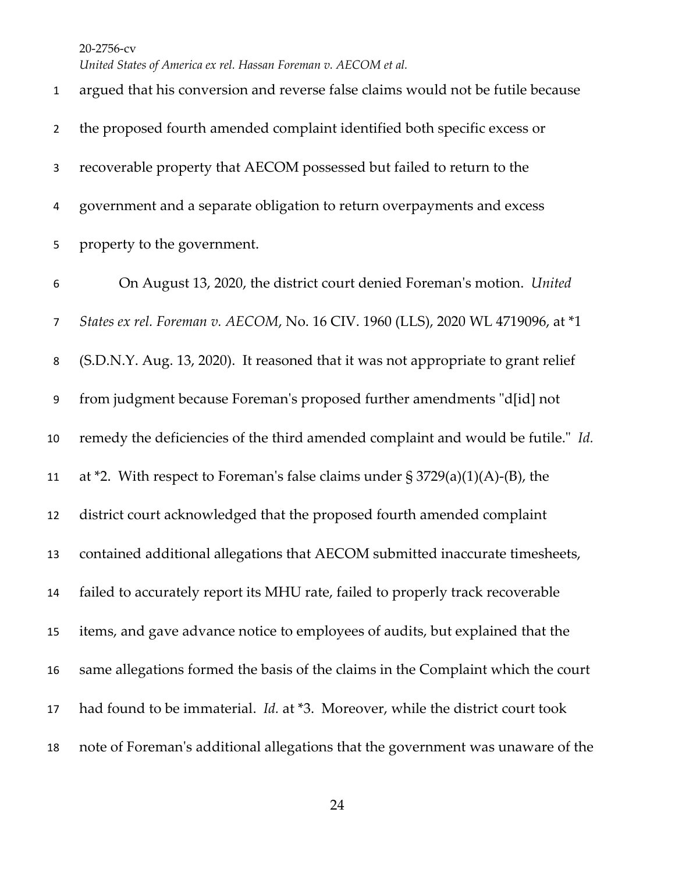*United States of America ex rel. Hassan Foreman v. AECOM et al.*

 argued that his conversion and reverse false claims would not be futile because the proposed fourth amended complaint identified both specific excess or recoverable property that AECOM possessed but failed to return to the government and a separate obligation to return overpayments and excess property to the government. On August 13, 2020, the district court denied Foreman's motion. *United States ex rel. Foreman v. AECOM*, No. 16 CIV. 1960 (LLS), 2020 WL 4719096, at \*1 (S.D.N.Y. Aug. 13, 2020). It reasoned that it was not appropriate to grant relief from judgment because Foreman's proposed further amendments "d[id] not remedy the deficiencies of the third amended complaint and would be futile." *Id.* 11 at  $*$ 2. With respect to Foreman's false claims under  $\S 3729(a)(1)(A)$ -(B), the district court acknowledged that the proposed fourth amended complaint contained additional allegations that AECOM submitted inaccurate timesheets, failed to accurately report its MHU rate, failed to properly track recoverable items, and gave advance notice to employees of audits, but explained that the same allegations formed the basis of the claims in the Complaint which the court had found to be immaterial. *Id.* at \*3. Moreover, while the district court took note of Foreman's additional allegations that the government was unaware of the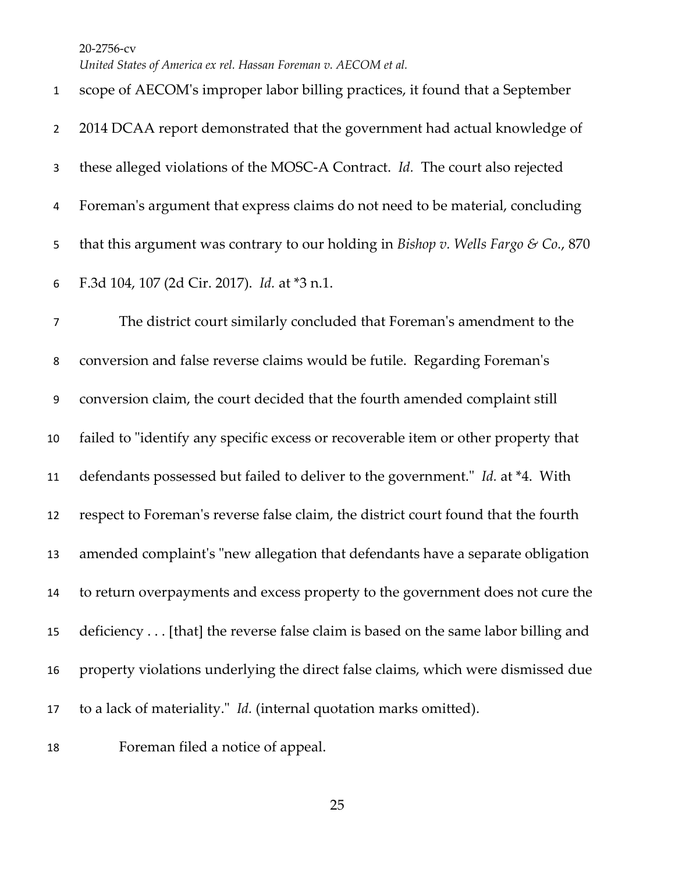*United States of America ex rel. Hassan Foreman v. AECOM et al.*

 scope of AECOM's improper labor billing practices, it found that a September 2 2014 DCAA report demonstrated that the government had actual knowledge of these alleged violations of the MOSC-A Contract. *Id.* The court also rejected Foreman's argument that express claims do not need to be material, concluding that this argument was contrary to our holding in *Bishop v. Wells Fargo & Co.*, 870 F.3d 104, 107 (2d Cir. 2017). *Id.* at \*3 n.1. The district court similarly concluded that Foreman's amendment to the conversion and false reverse claims would be futile. Regarding Foreman's conversion claim, the court decided that the fourth amended complaint still failed to "identify any specific excess or recoverable item or other property that defendants possessed but failed to deliver to the government." *Id.* at \*4. With respect to Foreman's reverse false claim, the district court found that the fourth amended complaint's "new allegation that defendants have a separate obligation to return overpayments and excess property to the government does not cure the deficiency . . . [that] the reverse false claim is based on the same labor billing and property violations underlying the direct false claims, which were dismissed due to a lack of materiality." *Id.* (internal quotation marks omitted).

Foreman filed a notice of appeal.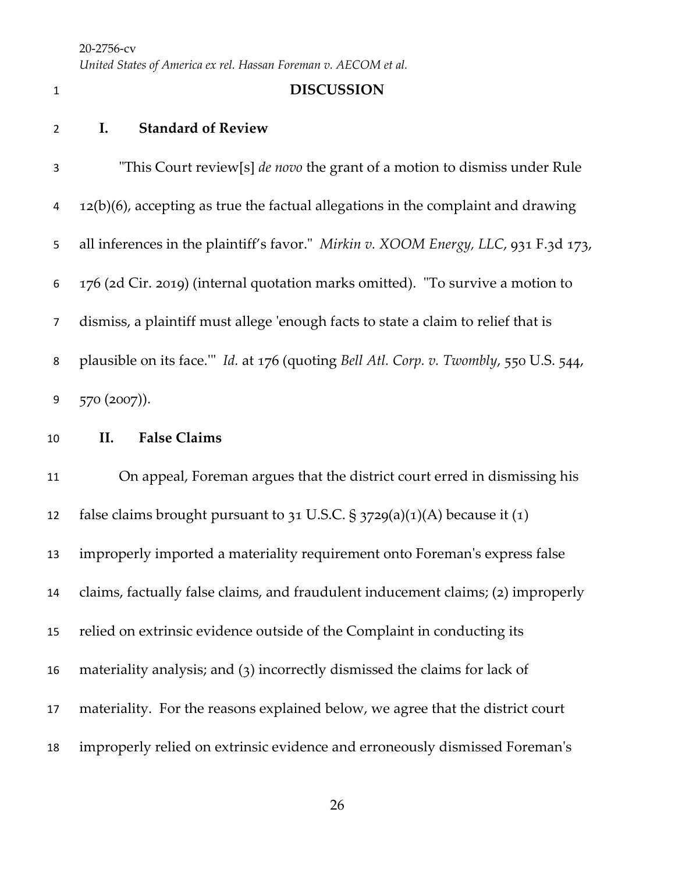*United States of America ex rel. Hassan Foreman v. AECOM et al.*

## **DISCUSSION**

- **I. Standard of Review**
- "This Court review[s] *de novo* the grant of a motion to dismiss under Rule 12(b)(6), accepting as true the factual allegations in the complaint and drawing all inferences in the plaintiff's favor." *Mirkin v. XOOM Energy, LLC*, 931 F.3d 173, 176 (2d Cir. 2019) (internal quotation marks omitted). "To survive a motion to dismiss, a plaintiff must allege 'enough facts to state a claim to relief that is plausible on its face.'" *Id.* at 176 (quoting *Bell Atl. Corp. v. Twombly*, 550 U.S. 544, 570 (2007)).
- **II. False Claims**

 On appeal, Foreman argues that the district court erred in dismissing his 12 false claims brought pursuant to 31 U.S.C.  $\S$  3729(a)(1)(A) because it (1) improperly imported a materiality requirement onto Foreman's express false claims, factually false claims, and fraudulent inducement claims; (2) improperly relied on extrinsic evidence outside of the Complaint in conducting its materiality analysis; and (3) incorrectly dismissed the claims for lack of materiality. For the reasons explained below, we agree that the district court improperly relied on extrinsic evidence and erroneously dismissed Foreman's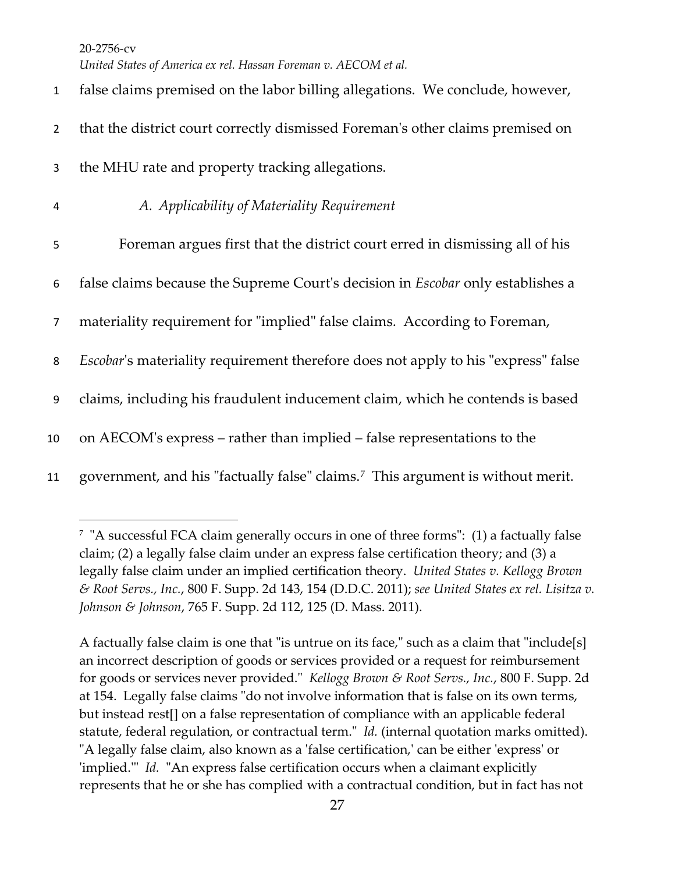*United States of America ex rel. Hassan Foreman v. AECOM et al.*

 false claims premised on the labor billing allegations. We conclude, however, that the district court correctly dismissed Foreman's other claims premised on the MHU rate and property tracking allegations. *A. Applicability of Materiality Requirement* Foreman argues first that the district court erred in dismissing all of his false claims because the Supreme Court's decision in *Escobar* only establishes a materiality requirement for "implied" false claims. According to Foreman, *Escobar*'s materiality requirement therefore does not apply to his "express" false claims, including his fraudulent inducement claim, which he contends is based on AECOM's express – rather than implied – false representations to the 11 government, and his "factually false" claims.<sup>[7](#page-26-0)</sup> This argument is without merit.

A factually false claim is one that "is untrue on its face," such as a claim that "include[s] an incorrect description of goods or services provided or a request for reimbursement for goods or services never provided." *Kellogg Brown & Root Servs., Inc.*, 800 F. Supp. 2d at 154. Legally false claims "do not involve information that is false on its own terms, but instead rest[] on a false representation of compliance with an applicable federal statute, federal regulation, or contractual term." *Id.* (internal quotation marks omitted). "A legally false claim, also known as a 'false certification,' can be either 'express' or 'implied.'" *Id.* "An express false certification occurs when a claimant explicitly represents that he or she has complied with a contractual condition, but in fact has not

<span id="page-26-0"></span><sup>7 &</sup>quot;A successful FCA claim generally occurs in one of three forms": (1) a factually false claim; (2) a legally false claim under an express false certification theory; and (3) a legally false claim under an implied certification theory. *United States v. Kellogg Brown & Root Servs., Inc.*, 800 F. Supp. 2d 143, 154 (D.D.C. 2011); *see United States ex rel. Lisitza v. Johnson & Johnson*, 765 F. Supp. 2d 112, 125 (D. Mass. 2011).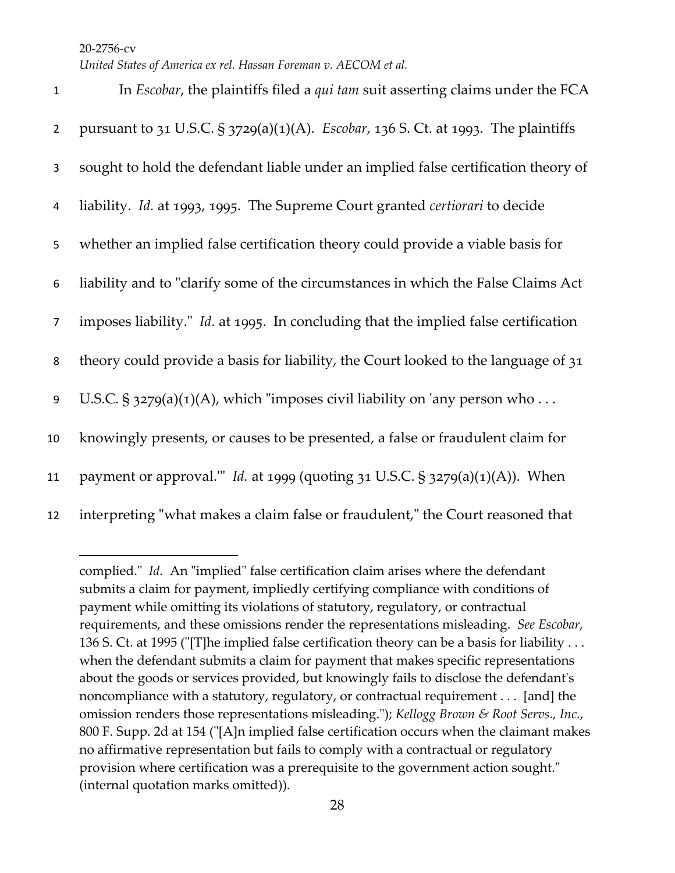| $\mathbf 1$    | In <i>Escobar</i> , the plaintiffs filed a <i>qui tam</i> suit asserting claims under the FCA |
|----------------|-----------------------------------------------------------------------------------------------|
| $\overline{2}$ | pursuant to 31 U.S.C. § 3729(a)(1)(A). Escobar, 136 S. Ct. at 1993. The plaintiffs            |
| 3              | sought to hold the defendant liable under an implied false certification theory of            |
| 4              | liability. Id. at 1993, 1995. The Supreme Court granted certiorari to decide                  |
| 5              | whether an implied false certification theory could provide a viable basis for                |
| 6              | liability and to "clarify some of the circumstances in which the False Claims Act             |
| $\overline{7}$ | imposes liability." Id. at 1995. In concluding that the implied false certification           |
| 8              | theory could provide a basis for liability, the Court looked to the language of 31            |
| 9              | U.S.C. § $3279(a)(1)(A)$ , which "imposes civil liability on 'any person who                  |
| 10             | knowingly presents, or causes to be presented, a false or fraudulent claim for                |
| 11             | payment or approval." <i>Id.</i> at 1999 (quoting $31$ U.S.C. § $3279(a)(1)(A)$ ). When       |
| 12             | interpreting "what makes a claim false or fraudulent," the Court reasoned that                |

complied." *Id.* An "implied" false certification claim arises where the defendant submits a claim for payment, impliedly certifying compliance with conditions of payment while omitting its violations of statutory, regulatory, or contractual requirements, and these omissions render the representations misleading. *See Escobar*, 136 S. Ct. at 1995 ("[T]he implied false certification theory can be a basis for liability . . . when the defendant submits a claim for payment that makes specific representations about the goods or services provided, but knowingly fails to disclose the defendant's noncompliance with a statutory, regulatory, or contractual requirement . . . [and] the omission renders those representations misleading."); *Kellogg Brown & Root Servs., Inc.*, 800 F. Supp. 2d at 154 ("[A]n implied false certification occurs when the claimant makes no affirmative representation but fails to comply with a contractual or regulatory provision where certification was a prerequisite to the government action sought." (internal quotation marks omitted)).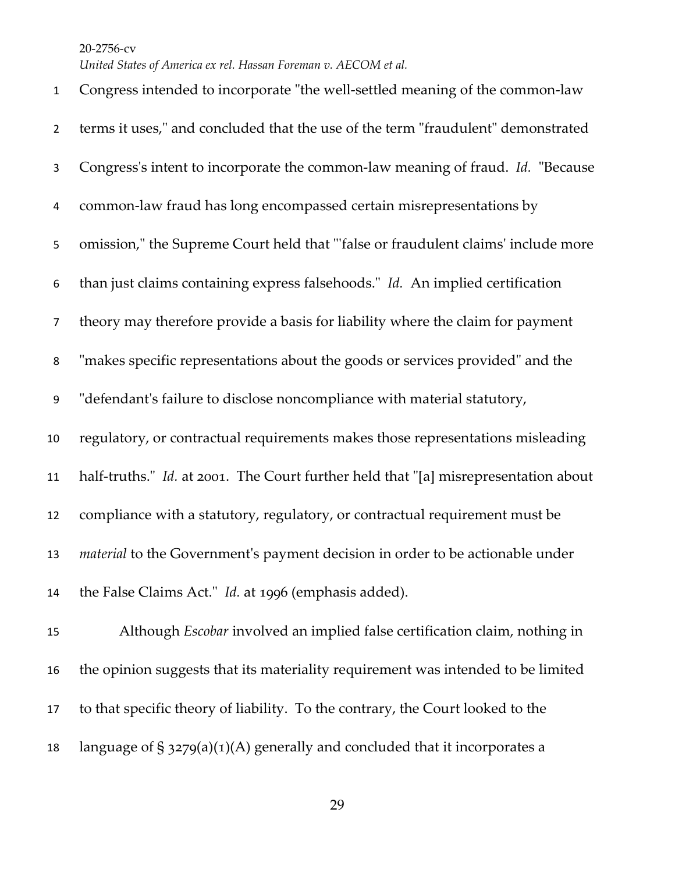*United States of America ex rel. Hassan Foreman v. AECOM et al.*

 Congress intended to incorporate "the well-settled meaning of the common-law terms it uses," and concluded that the use of the term "fraudulent" demonstrated Congress's intent to incorporate the common-law meaning of fraud. *Id.* "Because common-law fraud has long encompassed certain misrepresentations by omission," the Supreme Court held that "'false or fraudulent claims' include more than just claims containing express falsehoods." *Id.* An implied certification theory may therefore provide a basis for liability where the claim for payment "makes specific representations about the goods or services provided" and the "defendant's failure to disclose noncompliance with material statutory, regulatory, or contractual requirements makes those representations misleading half-truths." *Id.* at 2001. The Court further held that "[a] misrepresentation about compliance with a statutory, regulatory, or contractual requirement must be *material* to the Government's payment decision in order to be actionable under the False Claims Act." *Id.* at 1996 (emphasis added). Although *Escobar* involved an implied false certification claim, nothing in the opinion suggests that its materiality requirement was intended to be limited to that specific theory of liability. To the contrary, the Court looked to the

18 language of  $\S$  3279(a)(1)(A) generally and concluded that it incorporates a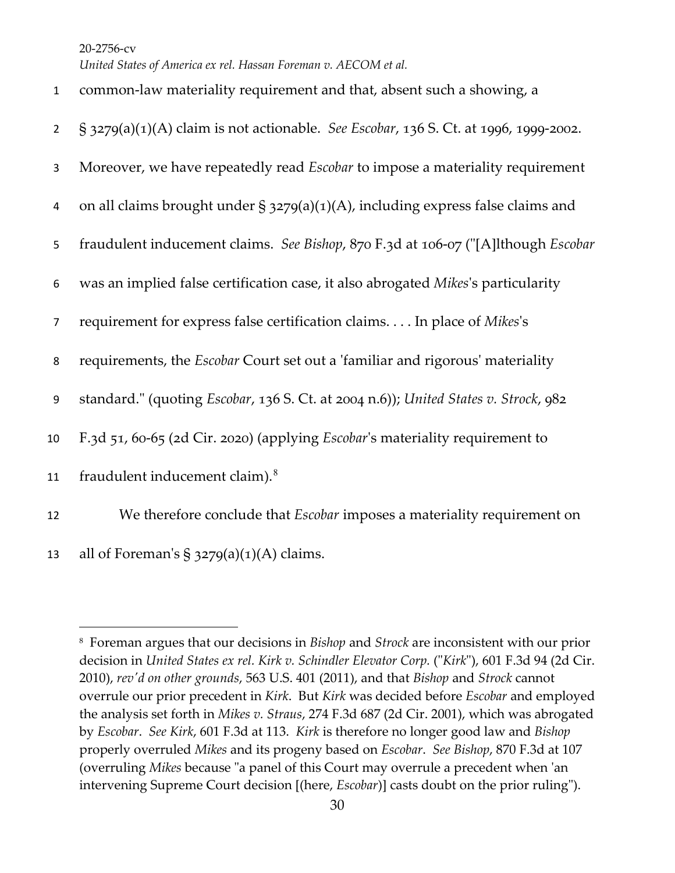*United States of America ex rel. Hassan Foreman v. AECOM et al.*

| $\mathbf 1$    | common-law materiality requirement and that, absent such a showing, a                      |
|----------------|--------------------------------------------------------------------------------------------|
| $\overline{2}$ | § 3279(a)(1)(A) claim is not actionable. See Escobar, 136 S. Ct. at 1996, 1999-2002.       |
| 3              | Moreover, we have repeatedly read <i>Escobar</i> to impose a materiality requirement       |
| 4              | on all claims brought under § $3279(a)(1)(A)$ , including express false claims and         |
| 5              | fraudulent inducement claims. See Bishop, 870 F.3d at 106-07 ("[A]lthough Escobar          |
| 6              | was an implied false certification case, it also abrogated Mikes's particularity           |
| $\overline{7}$ | requirement for express false certification claims. In place of Mikes's                    |
| 8              | requirements, the <i>Escobar</i> Court set out a 'familiar and rigorous' materiality       |
| 9              | standard." (quoting <i>Escobar,</i> 136 S. Ct. at 2004 n.6)); United States v. Strock, 982 |
| 10             | F.3d 51, 60-65 (2d Cir. 2020) (applying <i>Escobar's</i> materiality requirement to        |
| 11             | fraudulent inducement claim). <sup>8</sup>                                                 |
| 12             | We therefore conclude that <i>Escobar</i> imposes a materiality requirement on             |
| 13             | all of Foreman's $\S$ 3279(a)(1)(A) claims.                                                |

<span id="page-29-0"></span><sup>8</sup> Foreman argues that our decisions in *Bishop* and *Strock* are inconsistent with our prior decision in *United States ex rel. Kirk v. Schindler Elevator Corp.* ("*Kirk*"), 601 F.3d 94 (2d Cir. 2010), *rev'd on other grounds*, 563 U.S. 401 (2011), and that *Bishop* and *Strock* cannot overrule our prior precedent in *Kirk*. But *Kirk* was decided before *Escobar* and employed the analysis set forth in *Mikes v. Straus*, 274 F.3d 687 (2d Cir. 2001), which was abrogated by *Escobar*. *See Kirk*, 601 F.3d at 113. *Kirk* is therefore no longer good law and *Bishop* properly overruled *Mikes* and its progeny based on *Escobar*. *See Bishop*, 870 F.3d at 107 (overruling *Mikes* because "a panel of this Court may overrule a precedent when 'an intervening Supreme Court decision [(here, *Escobar*)] casts doubt on the prior ruling").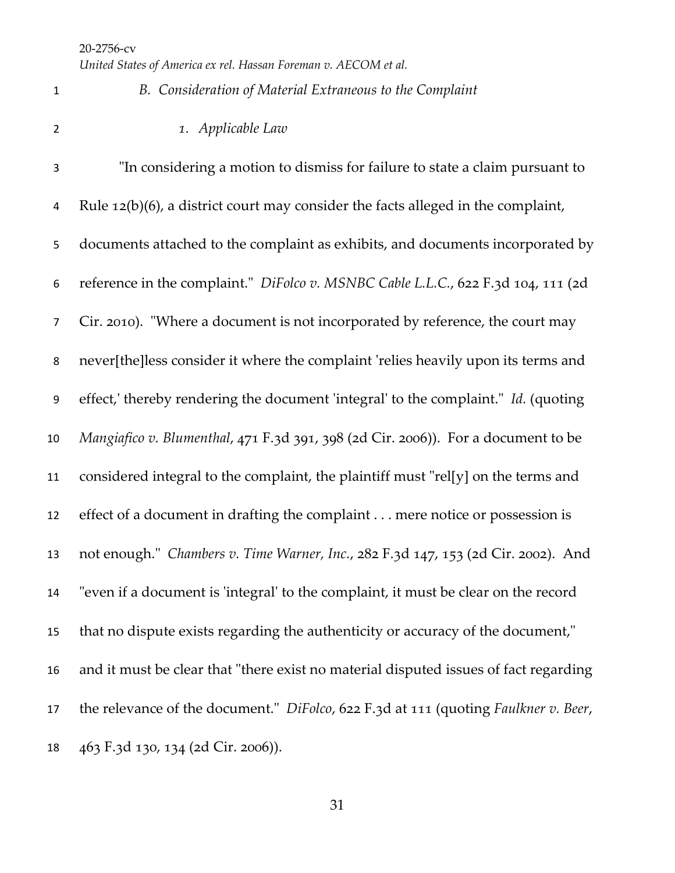*United States of America ex rel. Hassan Foreman v. AECOM et al.*

 *B. Consideration of Material Extraneous to the Complaint 1. Applicable Law* "In considering a motion to dismiss for failure to state a claim pursuant to Rule 12(b)(6), a district court may consider the facts alleged in the complaint, documents attached to the complaint as exhibits, and documents incorporated by reference in the complaint." *DiFolco v. MSNBC Cable L.L.C.*, 622 F.3d 104, 111 (2d Cir. 2010). "Where a document is not incorporated by reference, the court may never[the]less consider it where the complaint 'relies heavily upon its terms and effect,' thereby rendering the document 'integral' to the complaint." *Id.* (quoting *Mangiafico v. Blumenthal*, 471 F.3d 391, 398 (2d Cir. 2006)). For a document to be considered integral to the complaint, the plaintiff must "rel[y] on the terms and effect of a document in drafting the complaint . . . mere notice or possession is not enough." *Chambers v. Time Warner, Inc.*, 282 F.3d 147, 153 (2d Cir. 2002). And "even if a document is 'integral' to the complaint, it must be clear on the record that no dispute exists regarding the authenticity or accuracy of the document," and it must be clear that "there exist no material disputed issues of fact regarding the relevance of the document." *DiFolco*, 622 F.3d at 111 (quoting *Faulkner v. Beer*, 463 F.3d 130, 134 (2d Cir. 2006)).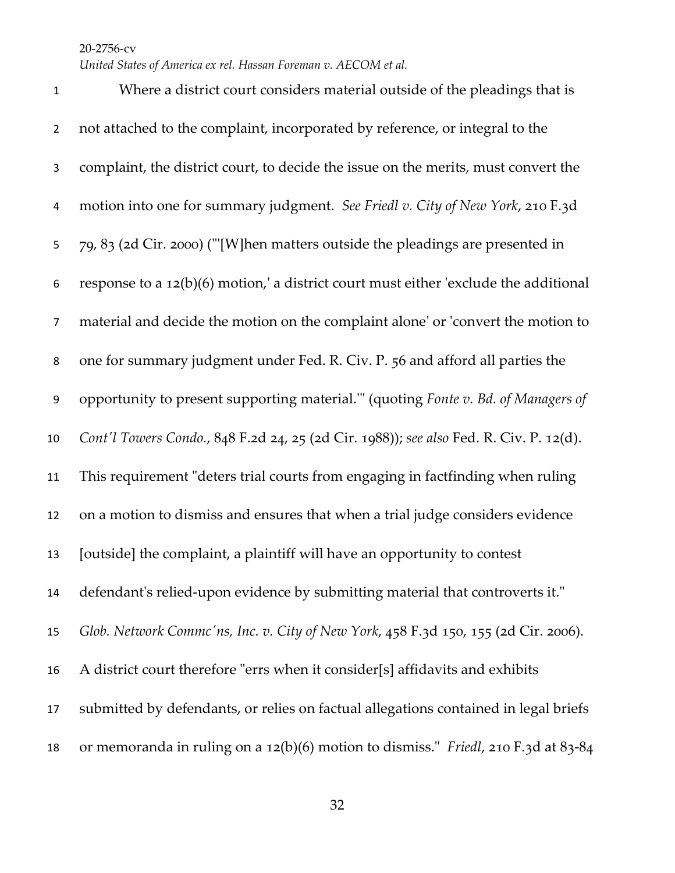*United States of America ex rel. Hassan Foreman v. AECOM et al.*

 Where a district court considers material outside of the pleadings that is not attached to the complaint, incorporated by reference, or integral to the complaint, the district court, to decide the issue on the merits, must convert the motion into one for summary judgment. *See Friedl v. City of New York*, 210 F.3d 79, 83 (2d Cir. 2000) ("'[W]hen matters outside the pleadings are presented in response to a 12(b)(6) motion,' a district court must either 'exclude the additional material and decide the motion on the complaint alone' or 'convert the motion to one for summary judgment under Fed. R. Civ. P. 56 and afford all parties the opportunity to present supporting material.'" (quoting *Fonte v. Bd. of Managers of Cont'l Towers Condo.*, 848 F.2d 24, 25 (2d Cir. 1988)); *see also* Fed. R. Civ. P. 12(d). This requirement "deters trial courts from engaging in factfinding when ruling on a motion to dismiss and ensures that when a trial judge considers evidence [outside] the complaint, a plaintiff will have an opportunity to contest defendant's relied-upon evidence by submitting material that controverts it." *Glob. Network Commc'ns, Inc. v. City of New York*, 458 F.3d 150, 155 (2d Cir. 2006). A district court therefore "errs when it consider[s] affidavits and exhibits submitted by defendants, or relies on factual allegations contained in legal briefs or memoranda in ruling on a 12(b)(6) motion to dismiss." *Friedl*, 210 F.3d at 83-84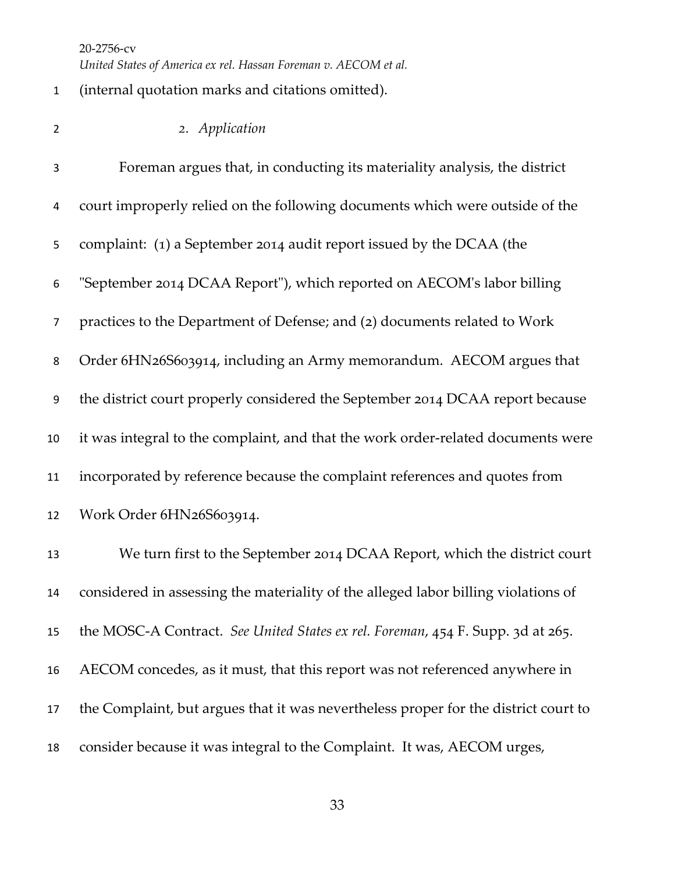(internal quotation marks and citations omitted).

*2. Application*

 Foreman argues that, in conducting its materiality analysis, the district court improperly relied on the following documents which were outside of the complaint: (1) a September 2014 audit report issued by the DCAA (the "September 2014 DCAA Report"), which reported on AECOM's labor billing practices to the Department of Defense; and (2) documents related to Work Order 6HN26S603914, including an Army memorandum. AECOM argues that the district court properly considered the September 2014 DCAA report because it was integral to the complaint, and that the work order-related documents were incorporated by reference because the complaint references and quotes from Work Order 6HN26S603914. We turn first to the September 2014 DCAA Report, which the district court considered in assessing the materiality of the alleged labor billing violations of the MOSC-A Contract. *See United States ex rel. Foreman*, 454 F. Supp. 3d at 265.

 AECOM concedes, as it must, that this report was not referenced anywhere in the Complaint, but argues that it was nevertheless proper for the district court to consider because it was integral to the Complaint. It was, AECOM urges,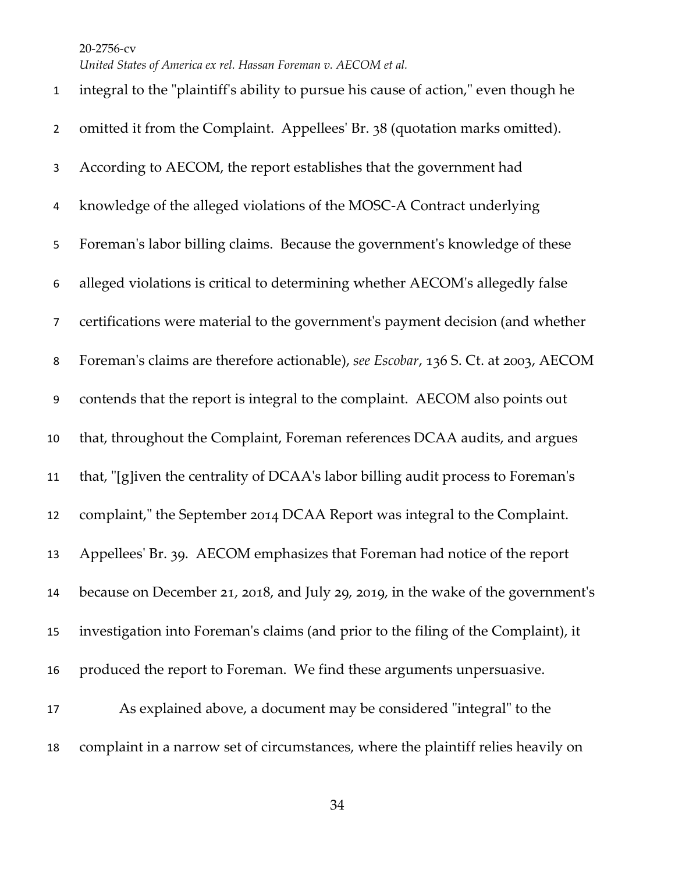*United States of America ex rel. Hassan Foreman v. AECOM et al.*

 integral to the "plaintiff's ability to pursue his cause of action," even though he omitted it from the Complaint. Appellees' Br. 38 (quotation marks omitted). According to AECOM, the report establishes that the government had knowledge of the alleged violations of the MOSC-A Contract underlying Foreman's labor billing claims. Because the government's knowledge of these alleged violations is critical to determining whether AECOM's allegedly false certifications were material to the government's payment decision (and whether Foreman's claims are therefore actionable), *see Escobar*, 136 S. Ct. at 2003, AECOM contends that the report is integral to the complaint. AECOM also points out that, throughout the Complaint, Foreman references DCAA audits, and argues that, "[g]iven the centrality of DCAA's labor billing audit process to Foreman's complaint," the September 2014 DCAA Report was integral to the Complaint. Appellees' Br. 39. AECOM emphasizes that Foreman had notice of the report because on December 21, 2018, and July 29, 2019, in the wake of the government's investigation into Foreman's claims (and prior to the filing of the Complaint), it produced the report to Foreman. We find these arguments unpersuasive. As explained above, a document may be considered "integral" to the complaint in a narrow set of circumstances, where the plaintiff relies heavily on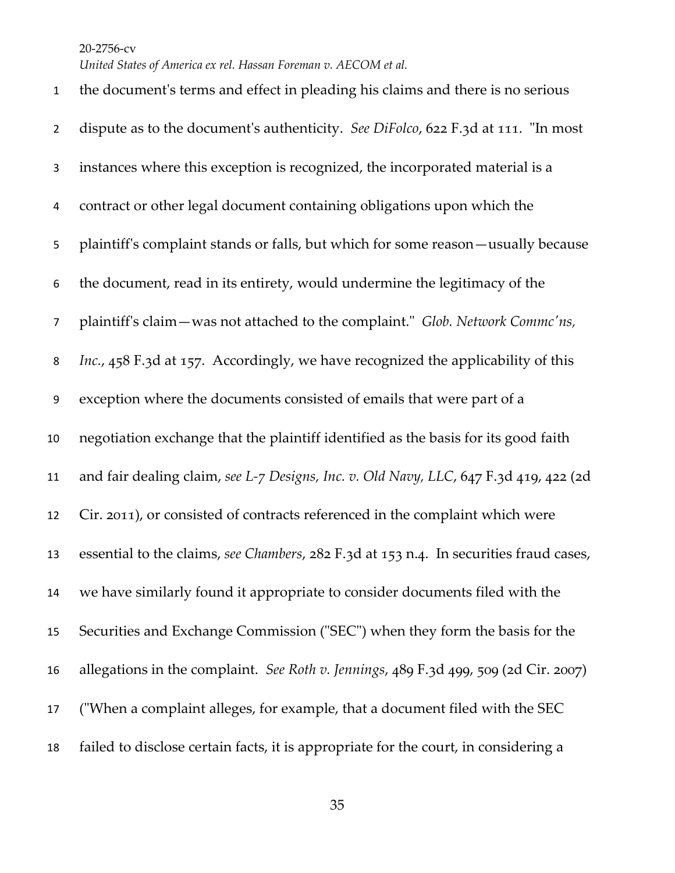*United States of America ex rel. Hassan Foreman v. AECOM et al.*

 the document's terms and effect in pleading his claims and there is no serious dispute as to the document's authenticity. *See DiFolco*, 622 F.3d at 111. "In most instances where this exception is recognized, the incorporated material is a contract or other legal document containing obligations upon which the plaintiff's complaint stands or falls, but which for some reason—usually because the document, read in its entirety, would undermine the legitimacy of the plaintiff's claim—was not attached to the complaint." *Glob. Network Commc'ns, Inc.*, 458 F.3d at 157. Accordingly, we have recognized the applicability of this exception where the documents consisted of emails that were part of a negotiation exchange that the plaintiff identified as the basis for its good faith and fair dealing claim, *see L-7 Designs, Inc. v. Old Navy, LLC*, 647 F.3d 419, 422 (2d Cir. 2011), or consisted of contracts referenced in the complaint which were essential to the claims, *see Chambers*, 282 F.3d at 153 n.4. In securities fraud cases, we have similarly found it appropriate to consider documents filed with the Securities and Exchange Commission ("SEC") when they form the basis for the allegations in the complaint. *See Roth v. Jennings*, 489 F.3d 499, 509 (2d Cir. 2007) ("When a complaint alleges, for example, that a document filed with the SEC failed to disclose certain facts, it is appropriate for the court, in considering a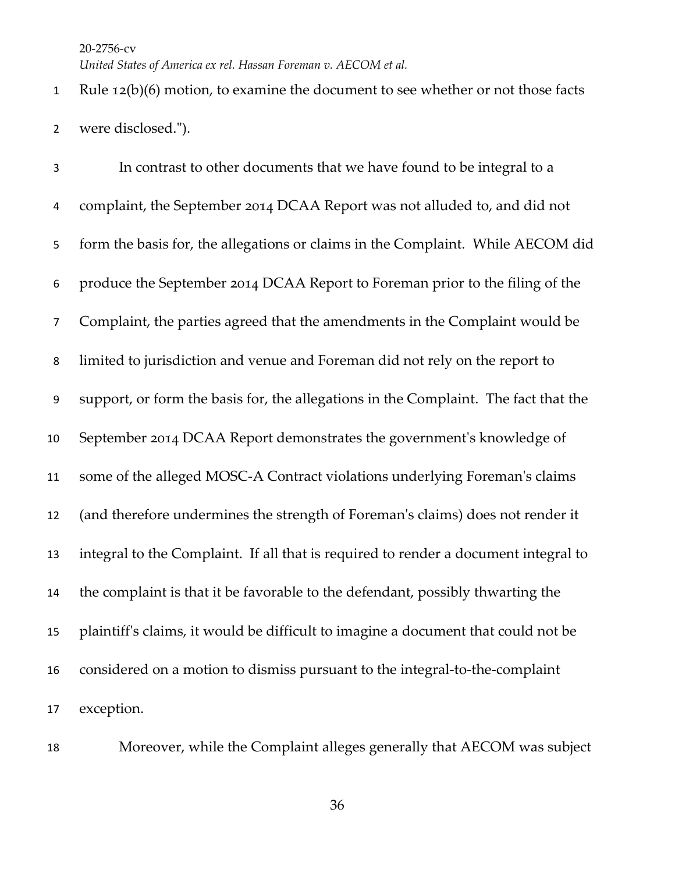Rule 12(b)(6) motion, to examine the document to see whether or not those facts were disclosed.").

 In contrast to other documents that we have found to be integral to a complaint, the September 2014 DCAA Report was not alluded to, and did not form the basis for, the allegations or claims in the Complaint. While AECOM did produce the September 2014 DCAA Report to Foreman prior to the filing of the Complaint, the parties agreed that the amendments in the Complaint would be limited to jurisdiction and venue and Foreman did not rely on the report to support, or form the basis for, the allegations in the Complaint. The fact that the September 2014 DCAA Report demonstrates the government's knowledge of some of the alleged MOSC-A Contract violations underlying Foreman's claims (and therefore undermines the strength of Foreman's claims) does not render it integral to the Complaint. If all that is required to render a document integral to the complaint is that it be favorable to the defendant, possibly thwarting the plaintiff's claims, it would be difficult to imagine a document that could not be considered on a motion to dismiss pursuant to the integral-to-the-complaint exception.

Moreover, while the Complaint alleges generally that AECOM was subject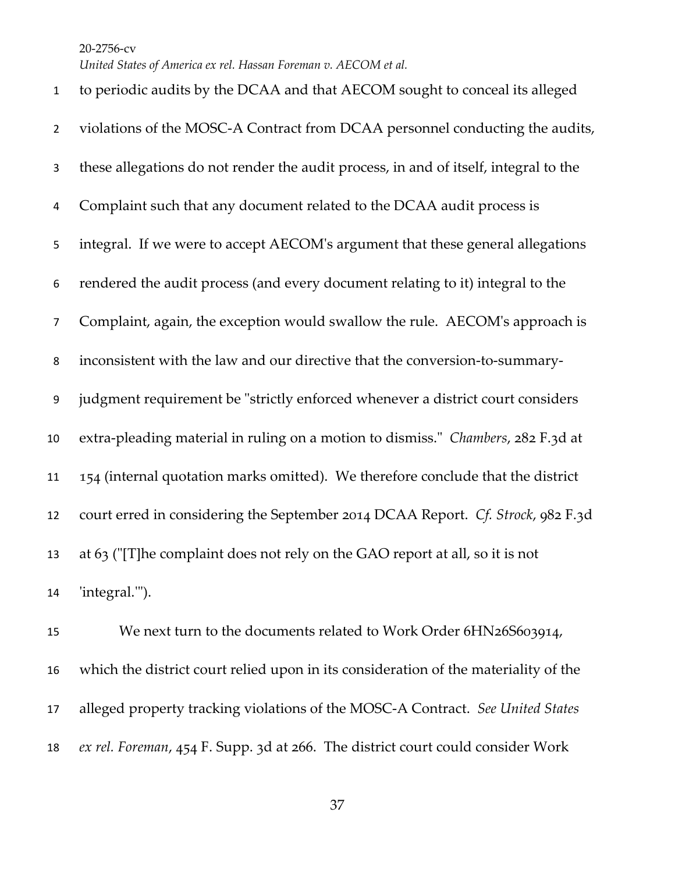to periodic audits by the DCAA and that AECOM sought to conceal its alleged violations of the MOSC-A Contract from DCAA personnel conducting the audits, these allegations do not render the audit process, in and of itself, integral to the Complaint such that any document related to the DCAA audit process is integral. If we were to accept AECOM's argument that these general allegations rendered the audit process (and every document relating to it) integral to the Complaint, again, the exception would swallow the rule. AECOM's approach is inconsistent with the law and our directive that the conversion-to-summary- judgment requirement be "strictly enforced whenever a district court considers extra-pleading material in ruling on a motion to dismiss." *Chambers*, 282 F.3d at 154 (internal quotation marks omitted). We therefore conclude that the district court erred in considering the September 2014 DCAA Report. *Cf. Strock*, 982 F.3d at 63 ("[T]he complaint does not rely on the GAO report at all, so it is not 'integral.'").

15 We next turn to the documents related to Work Order 6HN26S603914, which the district court relied upon in its consideration of the materiality of the alleged property tracking violations of the MOSC-A Contract. *See United States ex rel. Foreman*, 454 F. Supp. 3d at 266. The district court could consider Work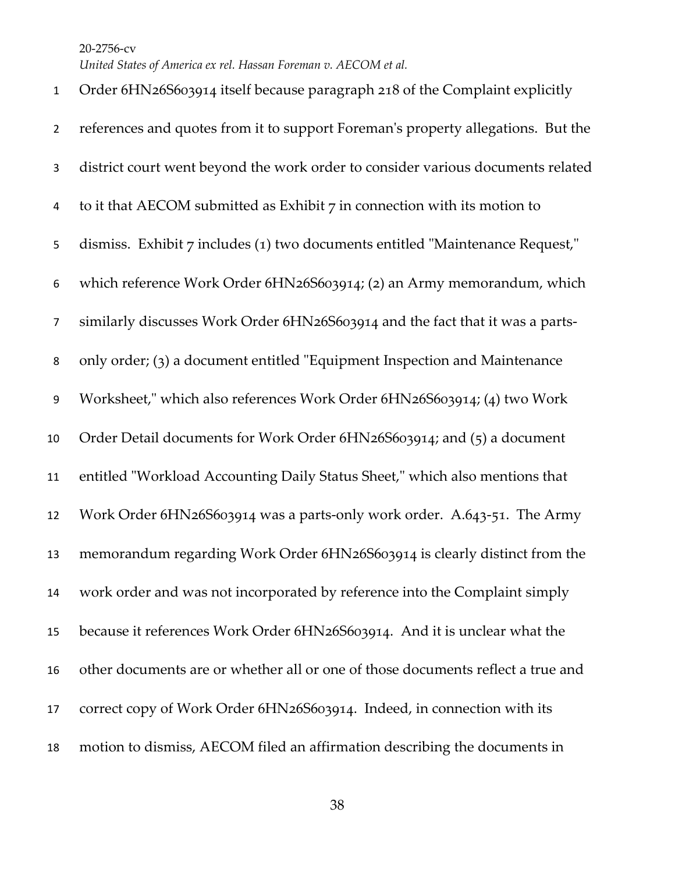*United States of America ex rel. Hassan Foreman v. AECOM et al.*

| $\mathbf{1}$   | Order 6HN26S603914 itself because paragraph 218 of the Complaint explicitly      |
|----------------|----------------------------------------------------------------------------------|
| $\overline{2}$ | references and quotes from it to support Foreman's property allegations. But the |
| 3              | district court went beyond the work order to consider various documents related  |
| 4              | to it that AECOM submitted as Exhibit $7$ in connection with its motion to       |
| 5              | dismiss. Exhibit 7 includes (1) two documents entitled "Maintenance Request,"    |
| 6              | which reference Work Order 6HN26S603914; (2) an Army memorandum, which           |
| $\overline{7}$ | similarly discusses Work Order 6HN26S603914 and the fact that it was a parts-    |
| 8              | only order; (3) a document entitled "Equipment Inspection and Maintenance        |
| 9              | Worksheet," which also references Work Order 6HN26S603914; (4) two Work          |
| 10             | Order Detail documents for Work Order 6HN26S603914; and (5) a document           |
| 11             | entitled "Workload Accounting Daily Status Sheet," which also mentions that      |
| 12             | Work Order 6HN26S603914 was a parts-only work order. A.643-51. The Army          |
| 13             | memorandum regarding Work Order 6HN26S603914 is clearly distinct from the        |
| 14             | work order and was not incorporated by reference into the Complaint simply       |
| 15             | because it references Work Order 6HN26S603914. And it is unclear what the        |
| 16             | other documents are or whether all or one of those documents reflect a true and  |
| 17             | correct copy of Work Order 6HN26S603914. Indeed, in connection with its          |
| 18             | motion to dismiss, AECOM filed an affirmation describing the documents in        |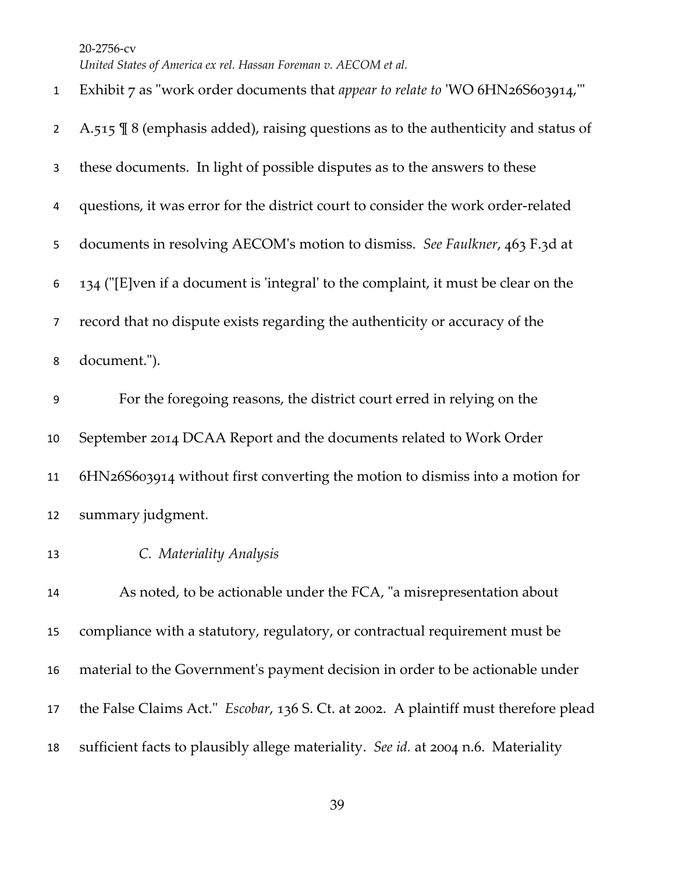*United States of America ex rel. Hassan Foreman v. AECOM et al.*

| $\mathbf{1}$   | Exhibit 7 as "work order documents that appear to relate to 'WO 6HN26S603914,"                 |
|----------------|------------------------------------------------------------------------------------------------|
| $\overline{2}$ | A.515 $\frac{1}{3}$ 8 (emphasis added), raising questions as to the authenticity and status of |
| 3              | these documents. In light of possible disputes as to the answers to these                      |
| 4              | questions, it was error for the district court to consider the work order-related              |
| 5              | documents in resolving AECOM's motion to dismiss. See Faulkner, 463 F.3d at                    |
| 6              | 134 ("[E]ven if a document is 'integral' to the complaint, it must be clear on the             |
| 7              | record that no dispute exists regarding the authenticity or accuracy of the                    |
| 8              | document.").                                                                                   |
| 9              | For the foregoing reasons, the district court erred in relying on the                          |
| 10             | September 2014 DCAA Report and the documents related to Work Order                             |
| 11             | 6HN26S603914 without first converting the motion to dismiss into a motion for                  |
| 12             | summary judgment.                                                                              |
| 13             | C. Materiality Analysis                                                                        |
| 14             | As noted, to be actionable under the FCA, "a misrepresentation about                           |
| 15             | compliance with a statutory, regulatory, or contractual requirement must be                    |
| 16             | material to the Government's payment decision in order to be actionable under                  |
| 17             | the False Claims Act." <i>Escobar</i> , 136 S. Ct. at 2002. A plaintiff must therefore plead   |
| 18             | sufficient facts to plausibly allege materiality. See id. at 2004 n.6. Materiality             |
|                |                                                                                                |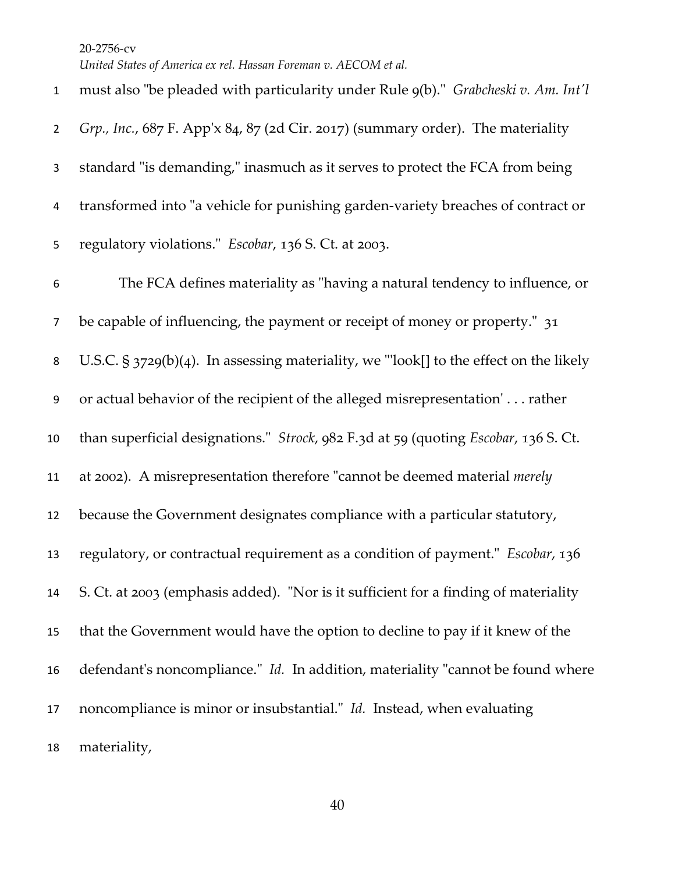must also "be pleaded with particularity under Rule 9(b)." *Grabcheski v. Am. Int'l Grp., Inc.*, 687 F. App'x 84, 87 (2d Cir. 2017) (summary order). The materiality standard "is demanding," inasmuch as it serves to protect the FCA from being transformed into "a vehicle for punishing garden-variety breaches of contract or regulatory violations." *Escobar*, 136 S. Ct. at 2003. The FCA defines materiality as "having a natural tendency to influence, or be capable of influencing, the payment or receipt of money or property." 31 U.S.C. § 3729(b)(4). In assessing materiality, we "'look[] to the effect on the likely or actual behavior of the recipient of the alleged misrepresentation' . . . rather than superficial designations." *Strock*, 982 F.3d at 59 (quoting *Escobar*, 136 S. Ct. at 2002). A misrepresentation therefore "cannot be deemed material *merely* because the Government designates compliance with a particular statutory, regulatory, or contractual requirement as a condition of payment." *Escobar*, 136 S. Ct. at 2003 (emphasis added). "Nor is it sufficient for a finding of materiality that the Government would have the option to decline to pay if it knew of the defendant's noncompliance." *Id.* In addition, materiality "cannot be found where noncompliance is minor or insubstantial." *Id.* Instead, when evaluating materiality,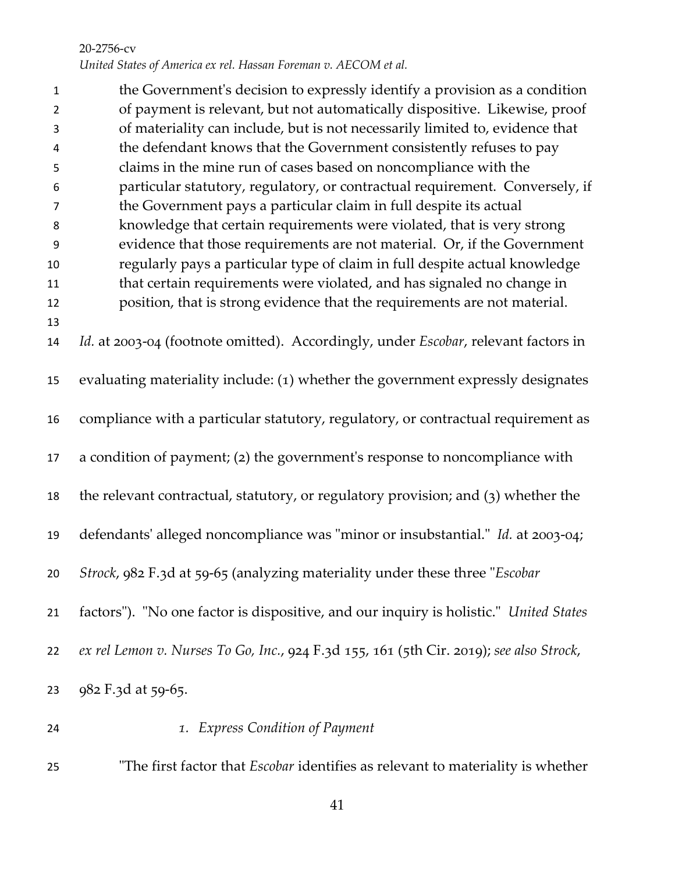| $\mathbf{1}$   | the Government's decision to expressly identify a provision as a condition                 |
|----------------|--------------------------------------------------------------------------------------------|
| $\overline{2}$ | of payment is relevant, but not automatically dispositive. Likewise, proof                 |
| 3              | of materiality can include, but is not necessarily limited to, evidence that               |
| 4              | the defendant knows that the Government consistently refuses to pay                        |
| 5              | claims in the mine run of cases based on noncompliance with the                            |
| 6              | particular statutory, regulatory, or contractual requirement. Conversely, if               |
| $\overline{7}$ | the Government pays a particular claim in full despite its actual                          |
| 8              | knowledge that certain requirements were violated, that is very strong                     |
| $9\,$          | evidence that those requirements are not material. Or, if the Government                   |
| 10             | regularly pays a particular type of claim in full despite actual knowledge                 |
| 11             | that certain requirements were violated, and has signaled no change in                     |
| 12             | position, that is strong evidence that the requirements are not material.                  |
| 13             |                                                                                            |
| 14             | Id. at 2003-04 (footnote omitted). Accordingly, under <i>Escobar</i> , relevant factors in |
|                |                                                                                            |
| 15             | evaluating materiality include: (1) whether the government expressly designates            |
| 16             | compliance with a particular statutory, regulatory, or contractual requirement as          |
|                |                                                                                            |
| 17             | a condition of payment; (2) the government's response to noncompliance with                |
|                |                                                                                            |
| 18             | the relevant contractual, statutory, or regulatory provision; and (3) whether the          |
|                |                                                                                            |
| 19             | defendants' alleged noncompliance was "minor or insubstantial." Id. at 2003-04;            |
|                |                                                                                            |
| 20             | Strock, 982 F.3d at 59-65 (analyzing materiality under these three "Escobar                |
|                |                                                                                            |
| 21             | factors"). "No one factor is dispositive, and our inquiry is holistic." United States      |
| 22             | ex rel Lemon v. Nurses To Go, Inc., 924 F.3d 155, 161 (5th Cir. 2019); see also Strock,    |
|                |                                                                                            |
| 23             | 982 F.3d at 59-65.                                                                         |
|                |                                                                                            |
| 24             | 1. Express Condition of Payment                                                            |

"The first factor that *Escobar* identifies as relevant to materiality is whether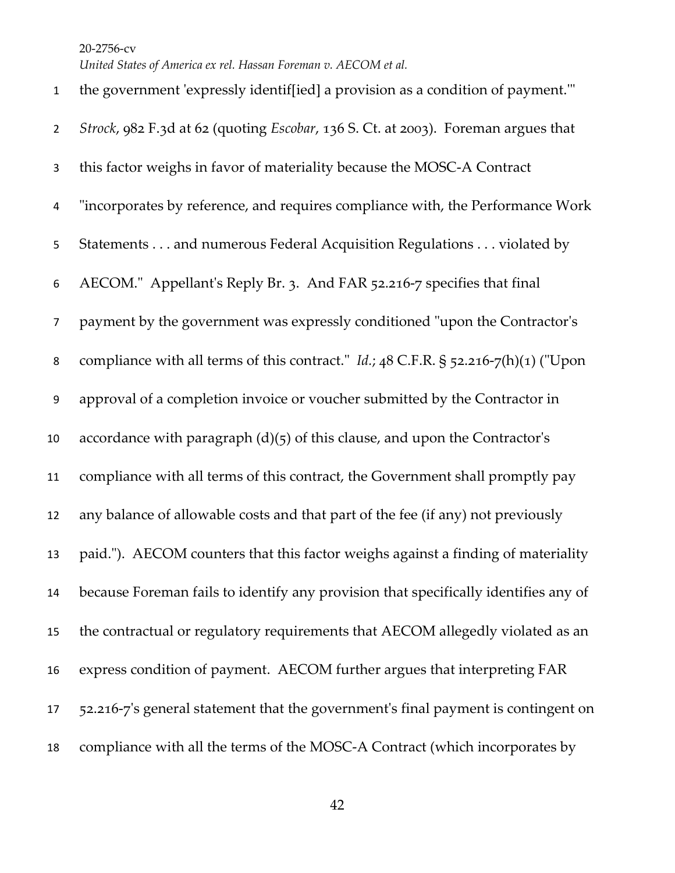*United States of America ex rel. Hassan Foreman v. AECOM et al.*

 the government 'expressly identif[ied] a provision as a condition of payment.'" *Strock*, 982 F.3d at 62 (quoting *Escobar*, 136 S. Ct. at 2003). Foreman argues that this factor weighs in favor of materiality because the MOSC-A Contract "incorporates by reference, and requires compliance with, the Performance Work Statements . . . and numerous Federal Acquisition Regulations . . . violated by AECOM." Appellant's Reply Br. 3. And FAR 52.216-7 specifies that final payment by the government was expressly conditioned "upon the Contractor's compliance with all terms of this contract." *Id.*; 48 C.F.R. § 52.216-7(h)(1) ("Upon approval of a completion invoice or voucher submitted by the Contractor in 10 accordance with paragraph  $(d)(5)$  of this clause, and upon the Contractor's compliance with all terms of this contract, the Government shall promptly pay any balance of allowable costs and that part of the fee (if any) not previously paid."). AECOM counters that this factor weighs against a finding of materiality because Foreman fails to identify any provision that specifically identifies any of the contractual or regulatory requirements that AECOM allegedly violated as an express condition of payment. AECOM further argues that interpreting FAR 52.216-7's general statement that the government's final payment is contingent on compliance with all the terms of the MOSC-A Contract (which incorporates by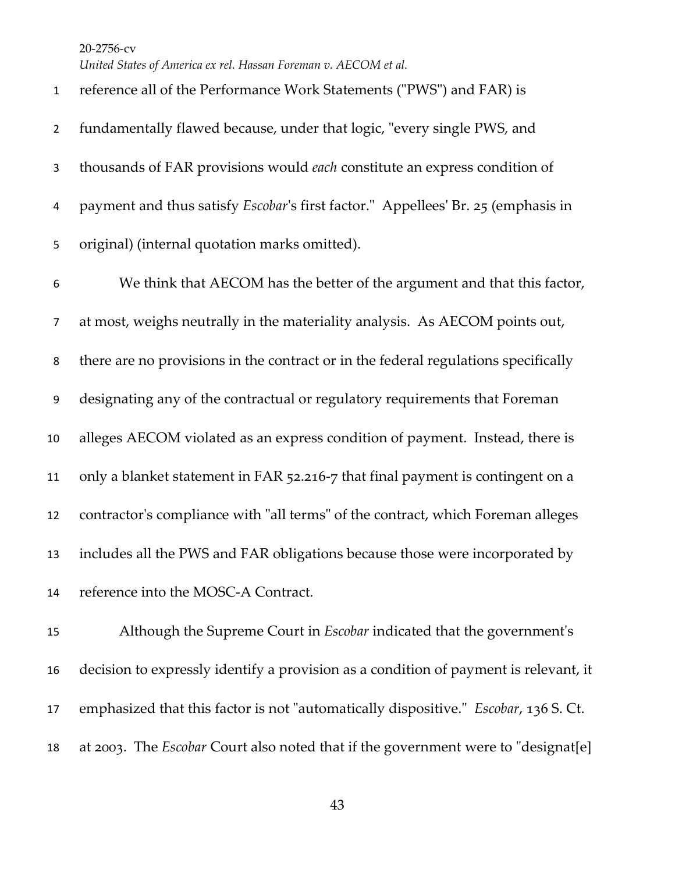*United States of America ex rel. Hassan Foreman v. AECOM et al.*

| $\mathbf{1}$     | reference all of the Performance Work Statements ("PWS") and FAR) is                    |
|------------------|-----------------------------------------------------------------------------------------|
| $\overline{2}$   | fundamentally flawed because, under that logic, "every single PWS, and                  |
| 3                | thousands of FAR provisions would each constitute an express condition of               |
| 4                | payment and thus satisfy <i>Escobar's</i> first factor." Appellees' Br. 25 (emphasis in |
| 5                | original) (internal quotation marks omitted).                                           |
| 6                | We think that AECOM has the better of the argument and that this factor,                |
| $\overline{7}$   | at most, weighs neutrally in the materiality analysis. As AECOM points out,             |
| 8                | there are no provisions in the contract or in the federal regulations specifically      |
| $\boldsymbol{9}$ | designating any of the contractual or regulatory requirements that Foreman              |
| 10               | alleges AECOM violated as an express condition of payment. Instead, there is            |
| 11               | only a blanket statement in FAR 52.216-7 that final payment is contingent on a          |
| 12               | contractor's compliance with "all terms" of the contract, which Foreman alleges         |
| 13               | includes all the PWS and FAR obligations because those were incorporated by             |
| 14               | reference into the MOSC-A Contract.                                                     |
| 15               | Although the Supreme Court in <i>Escobar</i> indicated that the government's            |

 decision to expressly identify a provision as a condition of payment is relevant, it emphasized that this factor is not "automatically dispositive." *Escobar*, 136 S. Ct. at 2003. The *Escobar* Court also noted that if the government were to "designat[e]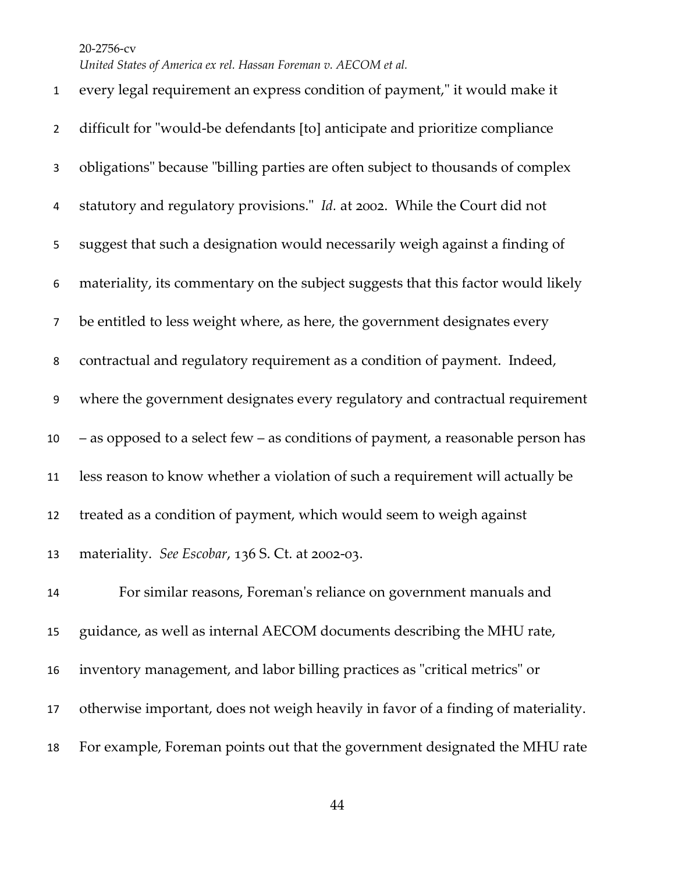*United States of America ex rel. Hassan Foreman v. AECOM et al.*

 every legal requirement an express condition of payment," it would make it difficult for "would-be defendants [to] anticipate and prioritize compliance obligations" because "billing parties are often subject to thousands of complex statutory and regulatory provisions." *Id.* at 2002. While the Court did not suggest that such a designation would necessarily weigh against a finding of materiality, its commentary on the subject suggests that this factor would likely be entitled to less weight where, as here, the government designates every contractual and regulatory requirement as a condition of payment. Indeed, where the government designates every regulatory and contractual requirement – as opposed to a select few – as conditions of payment, a reasonable person has less reason to know whether a violation of such a requirement will actually be treated as a condition of payment, which would seem to weigh against materiality. *See Escobar*, 136 S. Ct. at 2002-03. For similar reasons, Foreman's reliance on government manuals and guidance, as well as internal AECOM documents describing the MHU rate, inventory management, and labor billing practices as "critical metrics" or otherwise important, does not weigh heavily in favor of a finding of materiality. For example, Foreman points out that the government designated the MHU rate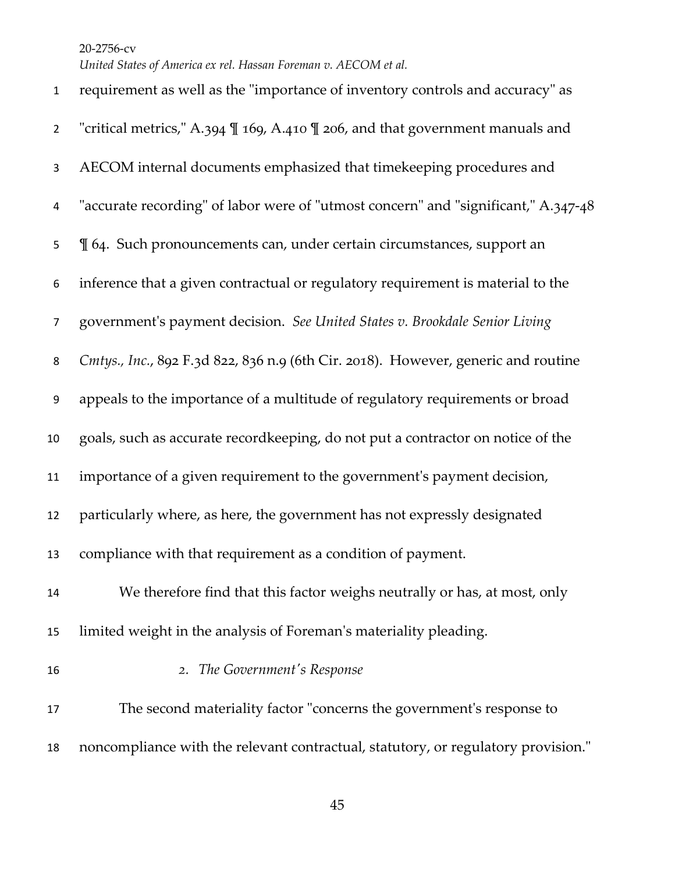| $\mathbf{1}$   | requirement as well as the "importance of inventory controls and accuracy" as      |
|----------------|------------------------------------------------------------------------------------|
| $\overline{2}$ | "critical metrics," A.394 \ll 169, A.410 \ll 206, and that government manuals and  |
| 3              | AECOM internal documents emphasized that timekeeping procedures and                |
| 4              | "accurate recording" of labor were of "utmost concern" and "significant," A.347-48 |
| 5              | I 64. Such pronouncements can, under certain circumstances, support an             |
| 6              | inference that a given contractual or regulatory requirement is material to the    |
| 7              | government's payment decision. See United States v. Brookdale Senior Living        |
| 8              | Cmtys., Inc., 892 F.3d 822, 836 n.9 (6th Cir. 2018). However, generic and routine  |
| 9              | appeals to the importance of a multitude of regulatory requirements or broad       |
| 10             | goals, such as accurate recordkeeping, do not put a contractor on notice of the    |
| 11             | importance of a given requirement to the government's payment decision,            |
| 12             | particularly where, as here, the government has not expressly designated           |
| 13             | compliance with that requirement as a condition of payment.                        |
| 14             | We therefore find that this factor weighs neutrally or has, at most, only          |
| 15             | limited weight in the analysis of Foreman's materiality pleading.                  |
| 16             | 2. The Government's Response                                                       |
| 17             | The second materiality factor "concerns the government's response to               |
| 18             | noncompliance with the relevant contractual, statutory, or regulatory provision."  |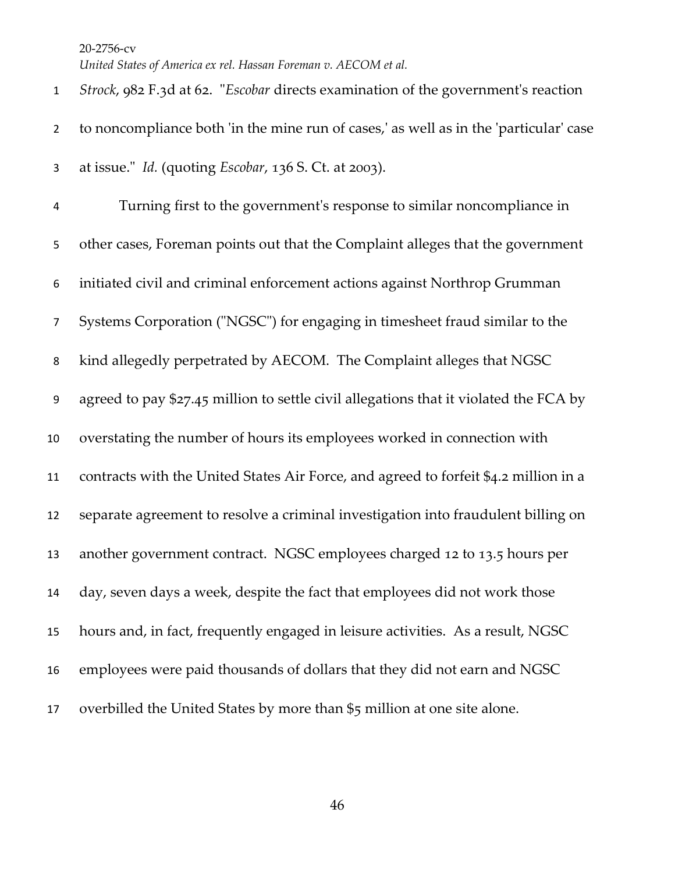*United States of America ex rel. Hassan Foreman v. AECOM et al.*

 *Strock*, 982 F.3d at 62. "*Escobar* directs examination of the government's reaction to noncompliance both 'in the mine run of cases,' as well as in the 'particular' case at issue." *Id.* (quoting *Escobar*, 136 S. Ct. at 2003). Turning first to the government's response to similar noncompliance in other cases, Foreman points out that the Complaint alleges that the government initiated civil and criminal enforcement actions against Northrop Grumman Systems Corporation ("NGSC") for engaging in timesheet fraud similar to the kind allegedly perpetrated by AECOM. The Complaint alleges that NGSC agreed to pay \$27.45 million to settle civil allegations that it violated the FCA by overstating the number of hours its employees worked in connection with contracts with the United States Air Force, and agreed to forfeit \$4.2 million in a separate agreement to resolve a criminal investigation into fraudulent billing on another government contract. NGSC employees charged 12 to 13.5 hours per day, seven days a week, despite the fact that employees did not work those hours and, in fact, frequently engaged in leisure activities. As a result, NGSC employees were paid thousands of dollars that they did not earn and NGSC overbilled the United States by more than \$5 million at one site alone.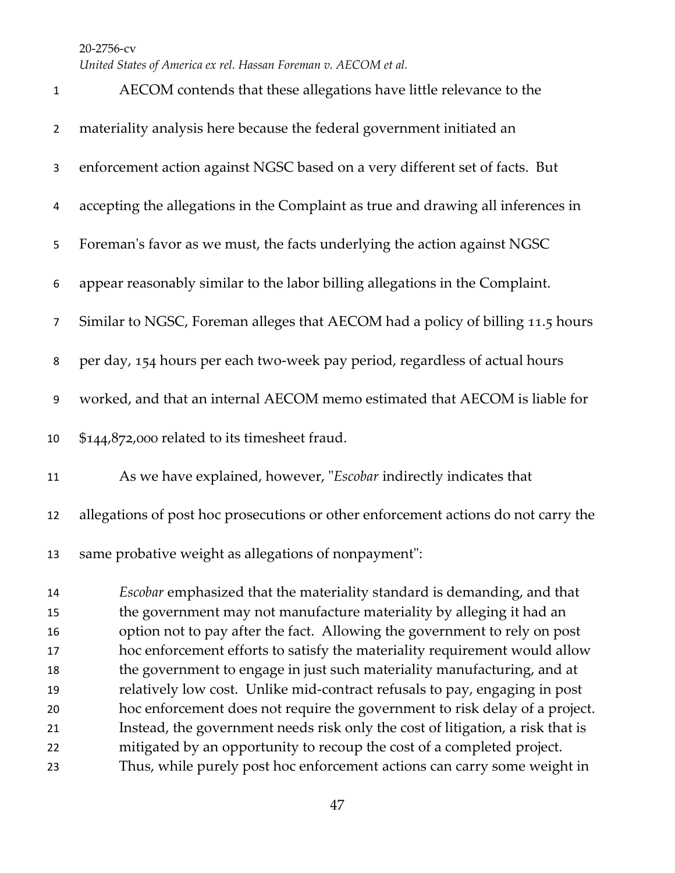*United States of America ex rel. Hassan Foreman v. AECOM et al.*

| $\mathbf{1}$   | AECOM contends that these allegations have little relevance to the                 |
|----------------|------------------------------------------------------------------------------------|
| $\overline{2}$ | materiality analysis here because the federal government initiated an              |
| 3              | enforcement action against NGSC based on a very different set of facts. But        |
| 4              | accepting the allegations in the Complaint as true and drawing all inferences in   |
| 5              | Foreman's favor as we must, the facts underlying the action against NGSC           |
| 6              | appear reasonably similar to the labor billing allegations in the Complaint.       |
| $\overline{7}$ | Similar to NGSC, Foreman alleges that AECOM had a policy of billing 11.5 hours     |
| 8              | per day, 154 hours per each two-week pay period, regardless of actual hours        |
| 9              | worked, and that an internal AECOM memo estimated that AECOM is liable for         |
| 10             | \$144,872,000 related to its timesheet fraud.                                      |
| 11             | As we have explained, however, "Escobar indirectly indicates that                  |
| 12             | allegations of post hoc prosecutions or other enforcement actions do not carry the |
| 13             | same probative weight as allegations of nonpayment":                               |
| 14             | Escobar emphasized that the materiality standard is demanding, and that            |
| 15             | the government may not manufacture materiality by alleging it had an               |
| 16             | option not to pay after the fact. Allowing the government to rely on post          |
| 17             | hoc enforcement efforts to satisfy the materiality requirement would allow         |
| 18             | the government to engage in just such materiality manufacturing, and at            |
| 19             | relatively low cost. Unlike mid-contract refusals to pay, engaging in post         |
| 20             | hoc enforcement does not require the government to risk delay of a project.        |
| 21             | Instead, the government needs risk only the cost of litigation, a risk that is     |
| 22             | mitigated by an opportunity to recoup the cost of a completed project.             |
| 23             | Thus, while purely post hoc enforcement actions can carry some weight in           |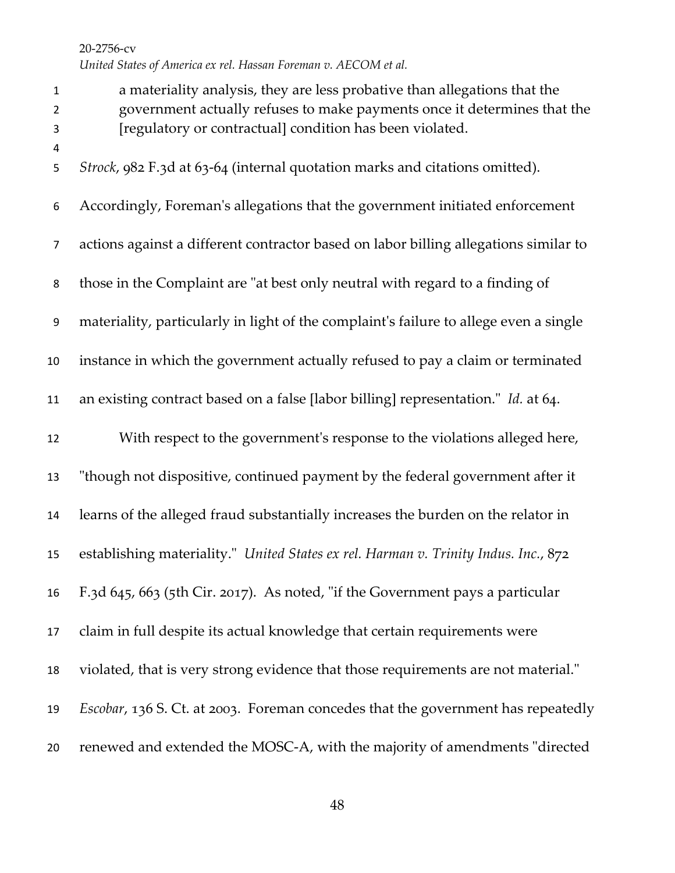a materiality analysis, they are less probative than allegations that the government actually refuses to make payments once it determines that the [regulatory or contractual] condition has been violated. *Strock*, 982 F.3d at 63-64 (internal quotation marks and citations omitted). Accordingly, Foreman's allegations that the government initiated enforcement actions against a different contractor based on labor billing allegations similar to those in the Complaint are "at best only neutral with regard to a finding of materiality, particularly in light of the complaint's failure to allege even a single instance in which the government actually refused to pay a claim or terminated an existing contract based on a false [labor billing] representation." *Id.* at 64. With respect to the government's response to the violations alleged here, "though not dispositive, continued payment by the federal government after it learns of the alleged fraud substantially increases the burden on the relator in establishing materiality." *United States ex rel. Harman v. Trinity Indus. Inc.*, 872 F.3d 645, 663 (5th Cir. 2017). As noted, "if the Government pays a particular claim in full despite its actual knowledge that certain requirements were violated, that is very strong evidence that those requirements are not material." *Escobar*, 136 S. Ct. at 2003. Foreman concedes that the government has repeatedly renewed and extended the MOSC-A, with the majority of amendments "directed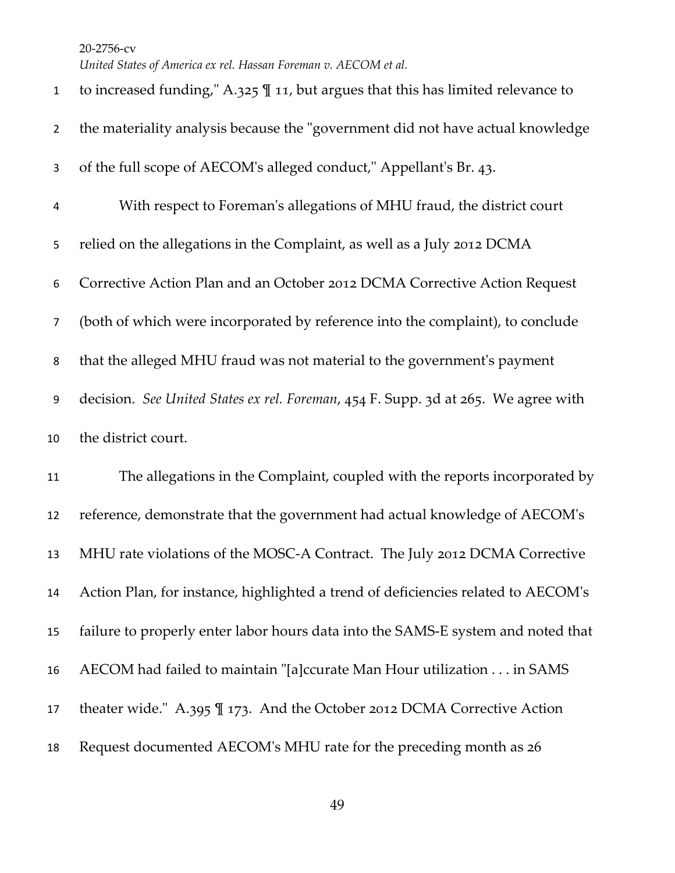*United States of America ex rel. Hassan Foreman v. AECOM et al.*

| $\mathbf{1}$   | to increased funding," A.325 $\P$ 11, but argues that this has limited relevance to |
|----------------|-------------------------------------------------------------------------------------|
| $\overline{2}$ | the materiality analysis because the "government did not have actual knowledge      |
| 3              | of the full scope of AECOM's alleged conduct," Appellant's Br. 43.                  |
| 4              | With respect to Foreman's allegations of MHU fraud, the district court              |
| 5              | relied on the allegations in the Complaint, as well as a July 2012 DCMA             |
| 6              | Corrective Action Plan and an October 2012 DCMA Corrective Action Request           |
| $\overline{7}$ | (both of which were incorporated by reference into the complaint), to conclude      |
| 8              | that the alleged MHU fraud was not material to the government's payment             |
| 9              | decision. See United States ex rel. Foreman, 454 F. Supp. 3d at 265. We agree with  |
|                |                                                                                     |
| 10             | the district court.                                                                 |
| 11             | The allegations in the Complaint, coupled with the reports incorporated by          |
| 12             | reference, demonstrate that the government had actual knowledge of AECOM's          |
| 13             | MHU rate violations of the MOSC-A Contract. The July 2012 DCMA Corrective           |
| 14             | Action Plan, for instance, highlighted a trend of deficiencies related to AECOM's   |
| 15             | failure to properly enter labor hours data into the SAMS-E system and noted that    |
| 16             | AECOM had failed to maintain "[a]ccurate Man Hour utilization in SAMS               |
| 17             | theater wide." A.395 $\mathbb{I}$ 173. And the October 2012 DCMA Corrective Action  |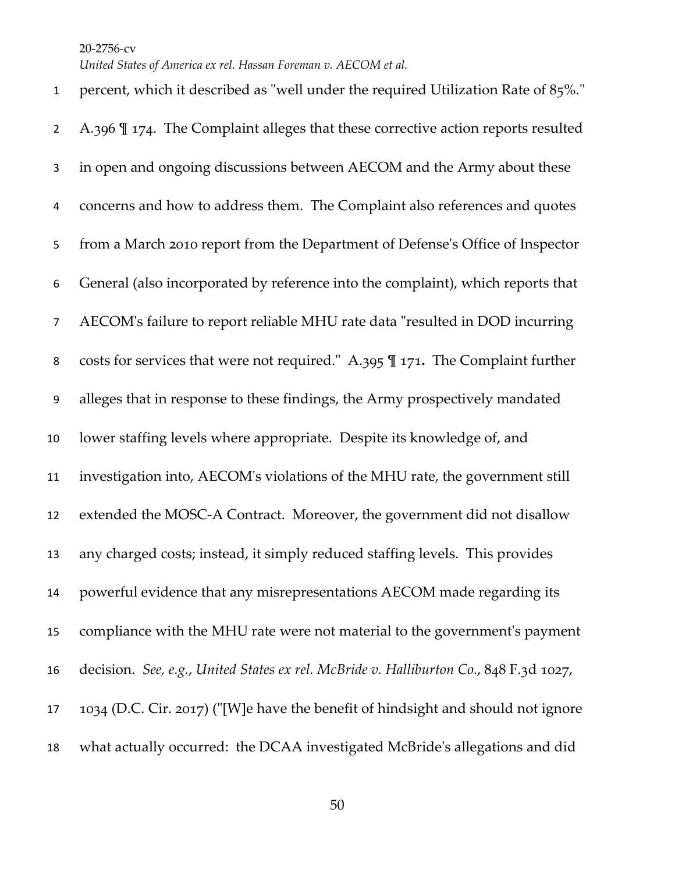*United States of America ex rel. Hassan Foreman v. AECOM et al.*

 percent, which it described as "well under the required Utilization Rate of 85%." A.396 ¶ 174. The Complaint alleges that these corrective action reports resulted in open and ongoing discussions between AECOM and the Army about these concerns and how to address them. The Complaint also references and quotes from a March 2010 report from the Department of Defense's Office of Inspector General (also incorporated by reference into the complaint), which reports that AECOM's failure to report reliable MHU rate data "resulted in DOD incurring costs for services that were not required." A.395 ¶ 171**.** The Complaint further alleges that in response to these findings, the Army prospectively mandated lower staffing levels where appropriate. Despite its knowledge of, and investigation into, AECOM's violations of the MHU rate, the government still extended the MOSC-A Contract. Moreover, the government did not disallow any charged costs; instead, it simply reduced staffing levels. This provides powerful evidence that any misrepresentations AECOM made regarding its compliance with the MHU rate were not material to the government's payment decision. *See, e.g.*, *United States ex rel. McBride v. Halliburton Co.*, 848 F.3d 1027, 1034 (D.C. Cir. 2017) ("[W]e have the benefit of hindsight and should not ignore what actually occurred: the DCAA investigated McBride's allegations and did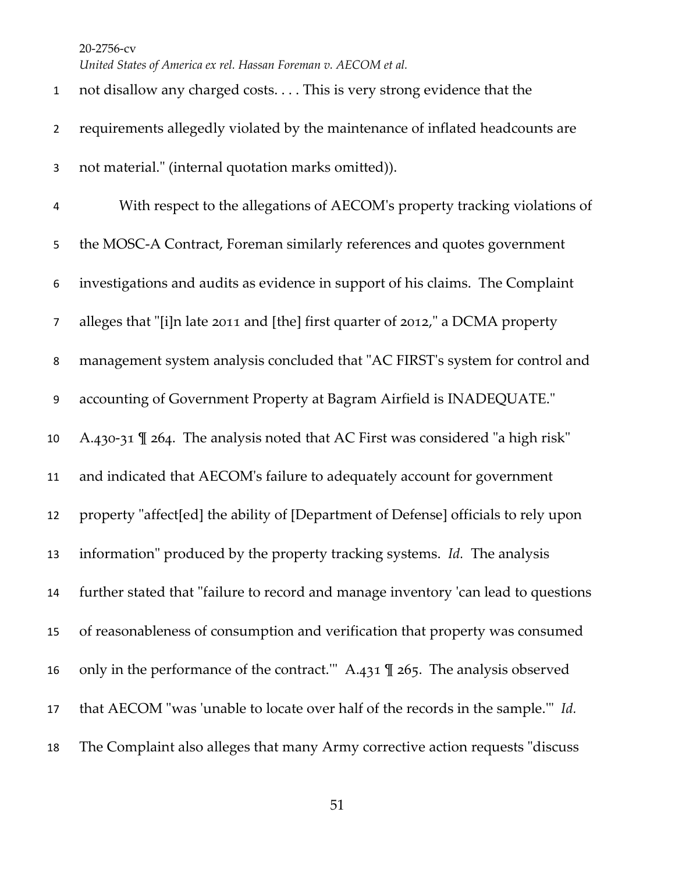*United States of America ex rel. Hassan Foreman v. AECOM et al.*

| $\mathbf{1}$   | not disallow any charged costs. This is very strong evidence that the                    |
|----------------|------------------------------------------------------------------------------------------|
| $\overline{2}$ | requirements allegedly violated by the maintenance of inflated headcounts are            |
| 3              | not material." (internal quotation marks omitted)).                                      |
| 4              | With respect to the allegations of AECOM's property tracking violations of               |
| 5              | the MOSC-A Contract, Foreman similarly references and quotes government                  |
| 6              | investigations and audits as evidence in support of his claims. The Complaint            |
| 7              | alleges that "[i]n late 2011 and [the] first quarter of 2012," a DCMA property           |
| 8              | management system analysis concluded that "AC FIRST's system for control and             |
| 9              | accounting of Government Property at Bagram Airfield is INADEQUATE."                     |
| 10             | A.430-31 $\mathbb{I}$ 264. The analysis noted that AC First was considered "a high risk" |
| 11             | and indicated that AECOM's failure to adequately account for government                  |
| 12             | property "affect[ed] the ability of [Department of Defense] officials to rely upon       |
| 13             | information" produced by the property tracking systems. Id. The analysis                 |
| 14             | further stated that "failure to record and manage inventory 'can lead to questions       |
| 15             | of reasonableness of consumption and verification that property was consumed             |
| 16             | only in the performance of the contract." A.431 $\mathbb{I}$ 265. The analysis observed  |
| 17             | that AECOM "was 'unable to locate over half of the records in the sample." Id.           |
| 18             | The Complaint also alleges that many Army corrective action requests "discuss"           |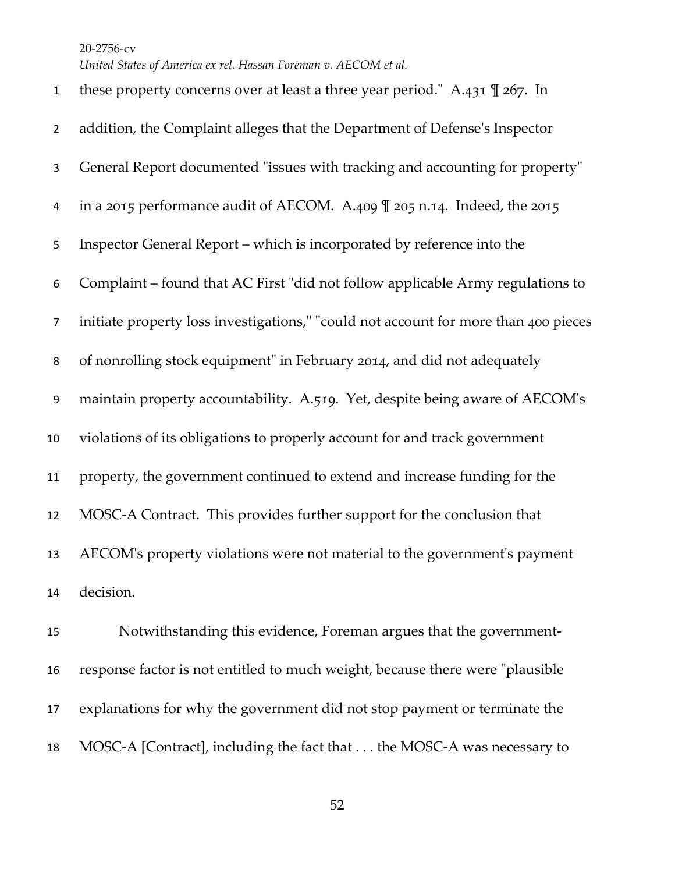*United States of America ex rel. Hassan Foreman v. AECOM et al.*

| $\mathbf{1}$     | these property concerns over at least a three year period." A.431 $\mathbb{I}$ 267. In |
|------------------|----------------------------------------------------------------------------------------|
| $\overline{2}$   | addition, the Complaint alleges that the Department of Defense's Inspector             |
| 3                | General Report documented "issues with tracking and accounting for property"           |
| 4                | in a 2015 performance audit of AECOM. A.409 \l 205 n.14. Indeed, the 2015              |
| 5                | Inspector General Report – which is incorporated by reference into the                 |
| 6                | Complaint - found that AC First "did not follow applicable Army regulations to         |
| $\overline{7}$   | initiate property loss investigations," "could not account for more than 400 pieces    |
| 8                | of nonrolling stock equipment" in February 2014, and did not adequately                |
| $\boldsymbol{9}$ | maintain property accountability. A.519. Yet, despite being aware of AECOM's           |
| 10               | violations of its obligations to properly account for and track government             |
| 11               | property, the government continued to extend and increase funding for the              |
| 12               | MOSC-A Contract. This provides further support for the conclusion that                 |
| 13               | AECOM's property violations were not material to the government's payment              |
| 14               | decision.                                                                              |
| 15               | Notwithstanding this evidence, Foreman argues that the government-                     |
|                  |                                                                                        |

 response factor is not entitled to much weight, because there were "plausible explanations for why the government did not stop payment or terminate the MOSC-A [Contract], including the fact that . . . the MOSC-A was necessary to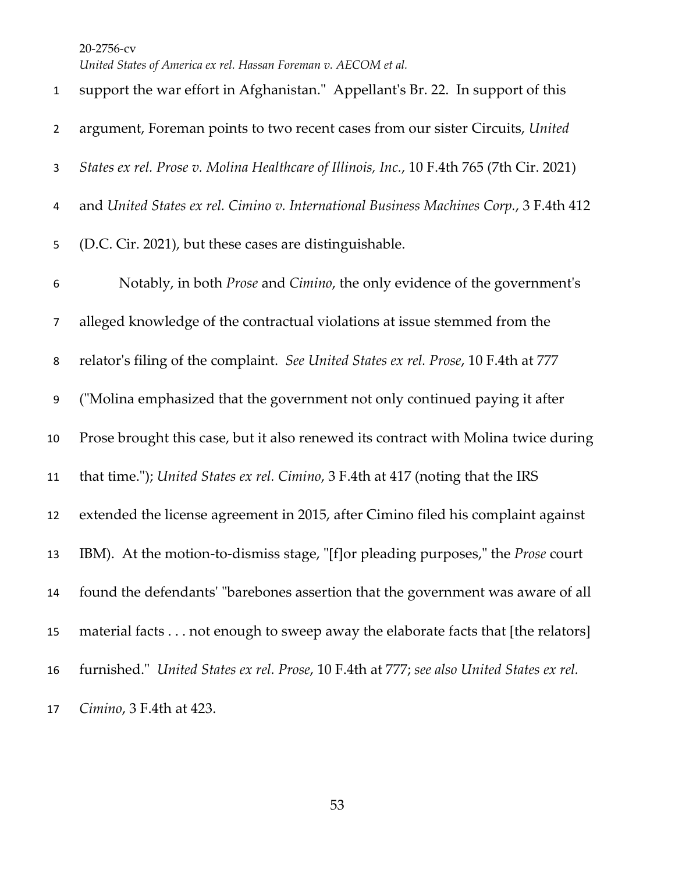*United States of America ex rel. Hassan Foreman v. AECOM et al.*

| $\mathbf{1}$   | support the war effort in Afghanistan." Appellant's Br. 22. In support of this            |
|----------------|-------------------------------------------------------------------------------------------|
| $\overline{2}$ | argument, Foreman points to two recent cases from our sister Circuits, United             |
| 3              | States ex rel. Prose v. Molina Healthcare of Illinois, Inc., 10 F.4th 765 (7th Cir. 2021) |
| 4              | and United States ex rel. Cimino v. International Business Machines Corp., 3 F.4th 412    |
| 5              | (D.C. Cir. 2021), but these cases are distinguishable.                                    |
| 6              | Notably, in both Prose and Cimino, the only evidence of the government's                  |
| $\overline{7}$ | alleged knowledge of the contractual violations at issue stemmed from the                 |
| 8              | relator's filing of the complaint. See United States ex rel. Prose, 10 F.4th at 777       |
| 9              | ("Molina emphasized that the government not only continued paying it after                |
| 10             | Prose brought this case, but it also renewed its contract with Molina twice during        |
| 11             | that time."); United States ex rel. Cimino, 3 F.4th at 417 (noting that the IRS           |
| 12             | extended the license agreement in 2015, after Cimino filed his complaint against          |
| 13             | IBM). At the motion-to-dismiss stage, "[f] or pleading purposes," the <i>Prose</i> court  |
| 14             | found the defendants' "barebones assertion that the government was aware of all           |
| 15             | material facts not enough to sweep away the elaborate facts that [the relators]           |
| 16             | furnished." United States ex rel. Prose, 10 F.4th at 777; see also United States ex rel.  |
| 17             | Cimino, 3 F.4th at 423.                                                                   |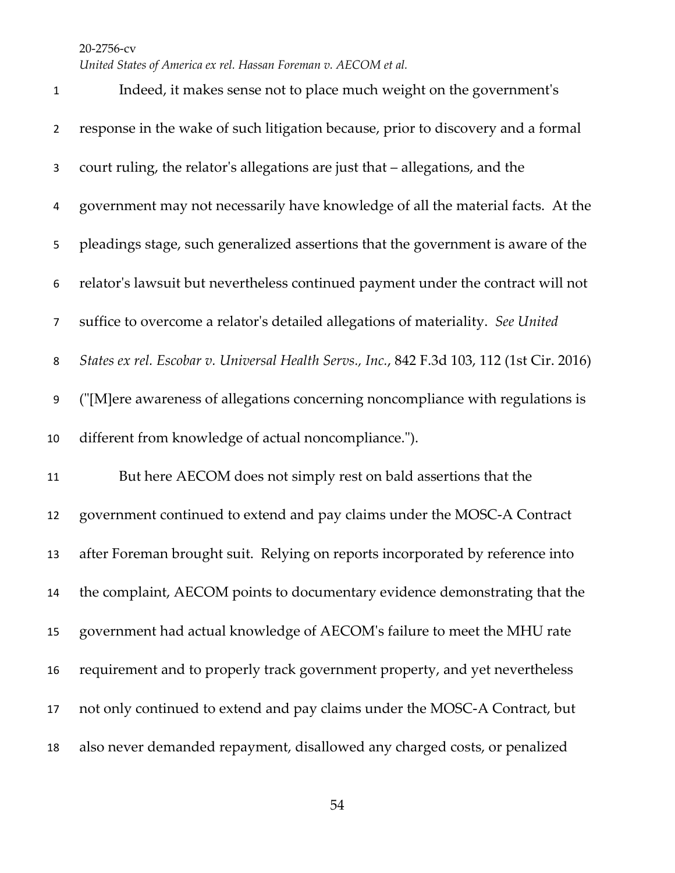*United States of America ex rel. Hassan Foreman v. AECOM et al.*

 Indeed, it makes sense not to place much weight on the government's response in the wake of such litigation because, prior to discovery and a formal court ruling, the relator's allegations are just that – allegations, and the government may not necessarily have knowledge of all the material facts. At the pleadings stage, such generalized assertions that the government is aware of the relator's lawsuit but nevertheless continued payment under the contract will not suffice to overcome a relator's detailed allegations of materiality. *See United States ex rel. Escobar v. Universal Health Servs., Inc.*, 842 F.3d 103, 112 (1st Cir. 2016) ("[M]ere awareness of allegations concerning noncompliance with regulations is different from knowledge of actual noncompliance."). But here AECOM does not simply rest on bald assertions that the government continued to extend and pay claims under the MOSC-A Contract after Foreman brought suit. Relying on reports incorporated by reference into the complaint, AECOM points to documentary evidence demonstrating that the government had actual knowledge of AECOM's failure to meet the MHU rate requirement and to properly track government property, and yet nevertheless not only continued to extend and pay claims under the MOSC-A Contract, but also never demanded repayment, disallowed any charged costs, or penalized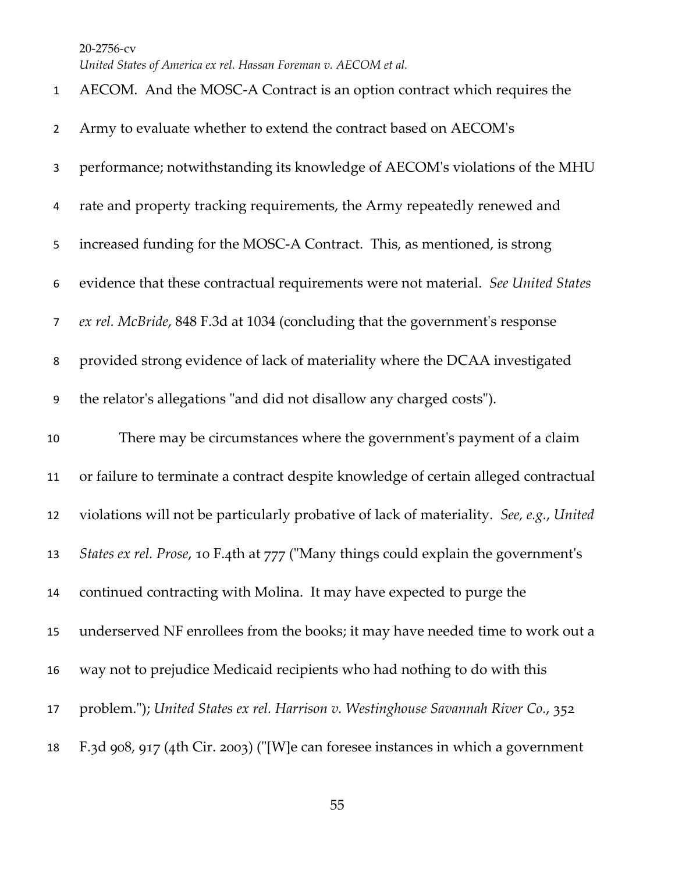| $\mathbf{1}$   | AECOM. And the MOSC-A Contract is an option contract which requires the                 |
|----------------|-----------------------------------------------------------------------------------------|
| $\overline{2}$ | Army to evaluate whether to extend the contract based on AECOM's                        |
| 3              | performance; notwithstanding its knowledge of AECOM's violations of the MHU             |
| 4              | rate and property tracking requirements, the Army repeatedly renewed and                |
| 5              | increased funding for the MOSC-A Contract. This, as mentioned, is strong                |
| 6              | evidence that these contractual requirements were not material. See United States       |
| $\overline{7}$ | ex rel. McBride, 848 F.3d at 1034 (concluding that the government's response            |
| 8              | provided strong evidence of lack of materiality where the DCAA investigated             |
| 9              | the relator's allegations "and did not disallow any charged costs").                    |
| $10\,$         | There may be circumstances where the government's payment of a claim                    |
|                |                                                                                         |
| 11             | or failure to terminate a contract despite knowledge of certain alleged contractual     |
| 12             | violations will not be particularly probative of lack of materiality. See, e.g., United |
| 13             | States ex rel. Prose, 10 F.4th at 777 ("Many things could explain the government's      |
| 14             | continued contracting with Molina. It may have expected to purge the                    |
| 15             | underserved NF enrollees from the books; it may have needed time to work out a          |
| 16             | way not to prejudice Medicaid recipients who had nothing to do with this                |
| 17             | problem."); United States ex rel. Harrison v. Westinghouse Savannah River Co., 352      |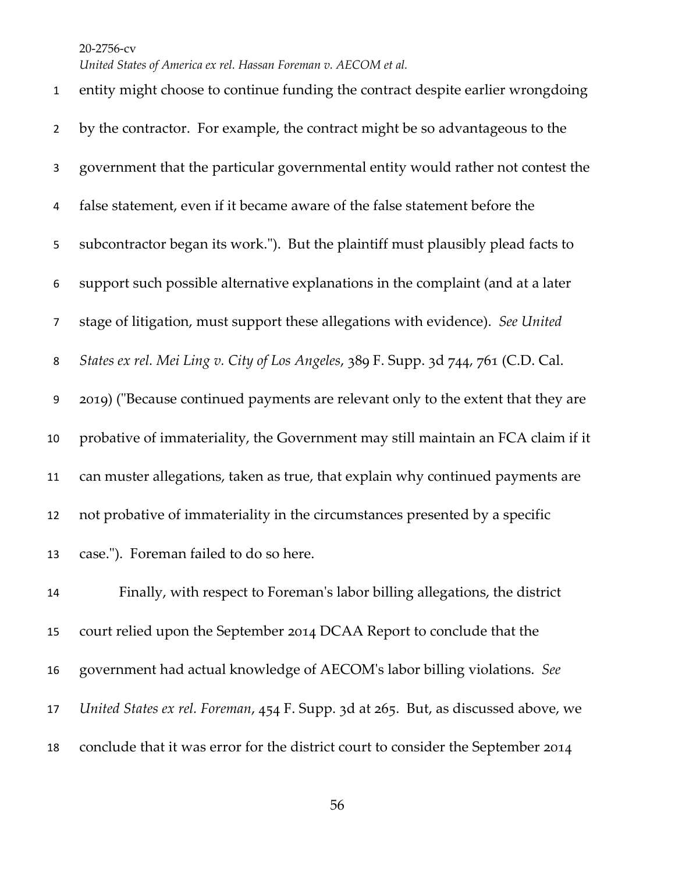*United States of America ex rel. Hassan Foreman v. AECOM et al.*

 entity might choose to continue funding the contract despite earlier wrongdoing by the contractor. For example, the contract might be so advantageous to the government that the particular governmental entity would rather not contest the false statement, even if it became aware of the false statement before the subcontractor began its work."). But the plaintiff must plausibly plead facts to support such possible alternative explanations in the complaint (and at a later stage of litigation, must support these allegations with evidence). *See United States ex rel. Mei Ling v. City of Los Angeles*, 389 F. Supp. 3d 744, 761 (C.D. Cal. 2019) ("Because continued payments are relevant only to the extent that they are probative of immateriality, the Government may still maintain an FCA claim if it can muster allegations, taken as true, that explain why continued payments are not probative of immateriality in the circumstances presented by a specific case."). Foreman failed to do so here. Finally, with respect to Foreman's labor billing allegations, the district

 court relied upon the September 2014 DCAA Report to conclude that the government had actual knowledge of AECOM's labor billing violations. *See United States ex rel. Foreman*, 454 F. Supp. 3d at 265. But, as discussed above, we conclude that it was error for the district court to consider the September 2014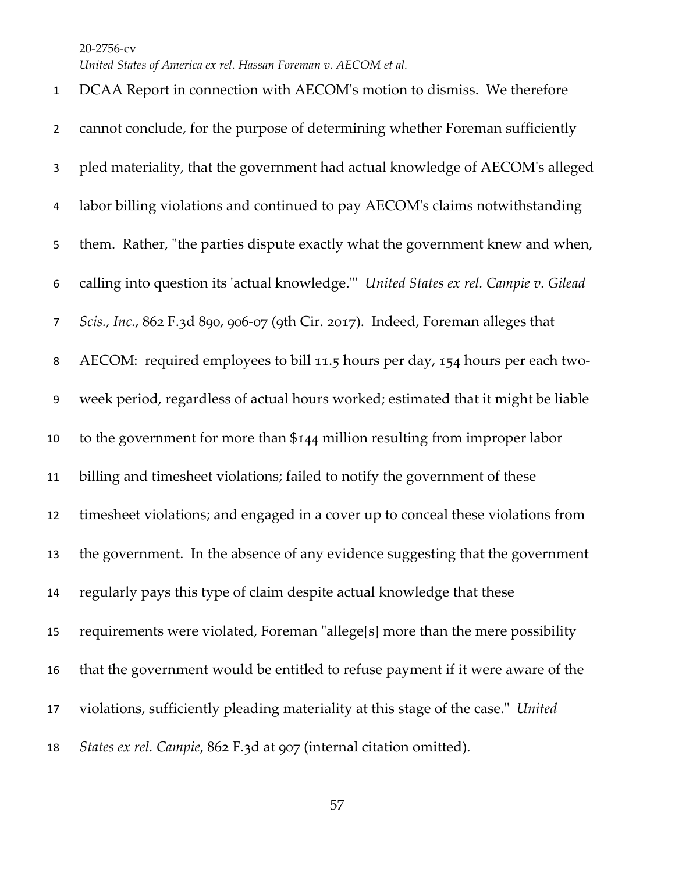DCAA Report in connection with AECOM's motion to dismiss. We therefore cannot conclude, for the purpose of determining whether Foreman sufficiently pled materiality, that the government had actual knowledge of AECOM's alleged labor billing violations and continued to pay AECOM's claims notwithstanding them. Rather, "the parties dispute exactly what the government knew and when, calling into question its 'actual knowledge.'" *United States ex rel. Campie v. Gilead Scis., Inc.*, 862 F.3d 890, 906-07 (9th Cir. 2017). Indeed, Foreman alleges that AECOM: required employees to bill 11.5 hours per day, 154 hours per each two- week period, regardless of actual hours worked; estimated that it might be liable to the government for more than \$144 million resulting from improper labor billing and timesheet violations; failed to notify the government of these timesheet violations; and engaged in a cover up to conceal these violations from the government. In the absence of any evidence suggesting that the government regularly pays this type of claim despite actual knowledge that these requirements were violated, Foreman "allege[s] more than the mere possibility that the government would be entitled to refuse payment if it were aware of the violations, sufficiently pleading materiality at this stage of the case." *United States ex rel. Campie*, 862 F.3d at 907 (internal citation omitted).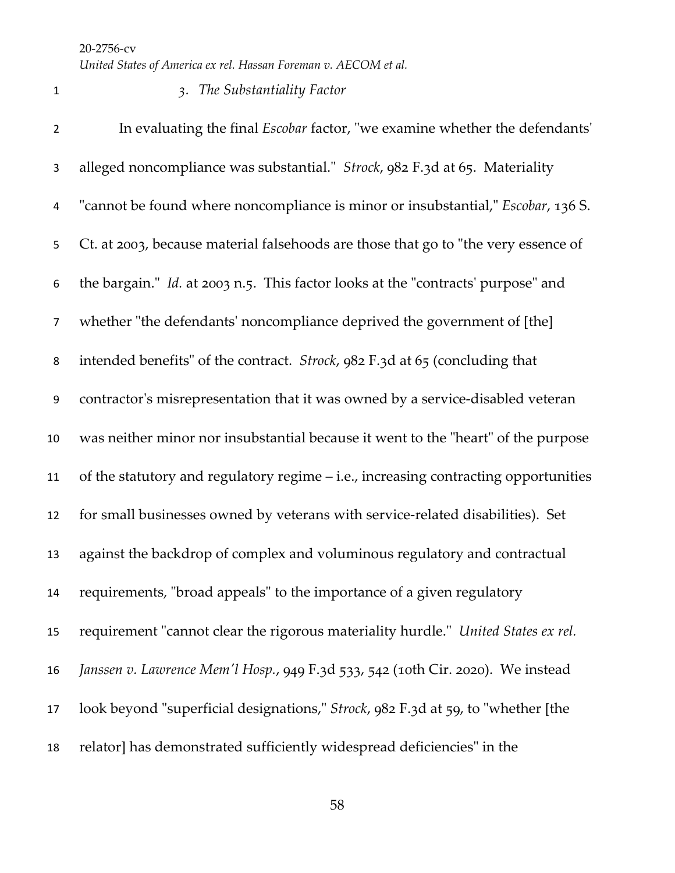## *3. The Substantiality Factor*

 In evaluating the final *Escobar* factor, "we examine whether the defendants' alleged noncompliance was substantial." *Strock*, 982 F.3d at 65. Materiality "cannot be found where noncompliance is minor or insubstantial," *Escobar*, 136 S. Ct. at 2003, because material falsehoods are those that go to "the very essence of the bargain." *Id.* at 2003 n.5. This factor looks at the "contracts' purpose" and whether "the defendants' noncompliance deprived the government of [the] intended benefits" of the contract. *Strock*, 982 F.3d at 65 (concluding that contractor's misrepresentation that it was owned by a service-disabled veteran was neither minor nor insubstantial because it went to the "heart" of the purpose of the statutory and regulatory regime – i.e., increasing contracting opportunities for small businesses owned by veterans with service-related disabilities). Set against the backdrop of complex and voluminous regulatory and contractual requirements, "broad appeals" to the importance of a given regulatory requirement "cannot clear the rigorous materiality hurdle." *United States ex rel. Janssen v. Lawrence Mem'l Hosp.*, 949 F.3d 533, 542 (10th Cir. 2020). We instead look beyond "superficial designations," *Strock*, 982 F.3d at 59, to "whether [the relator] has demonstrated sufficiently widespread deficiencies" in the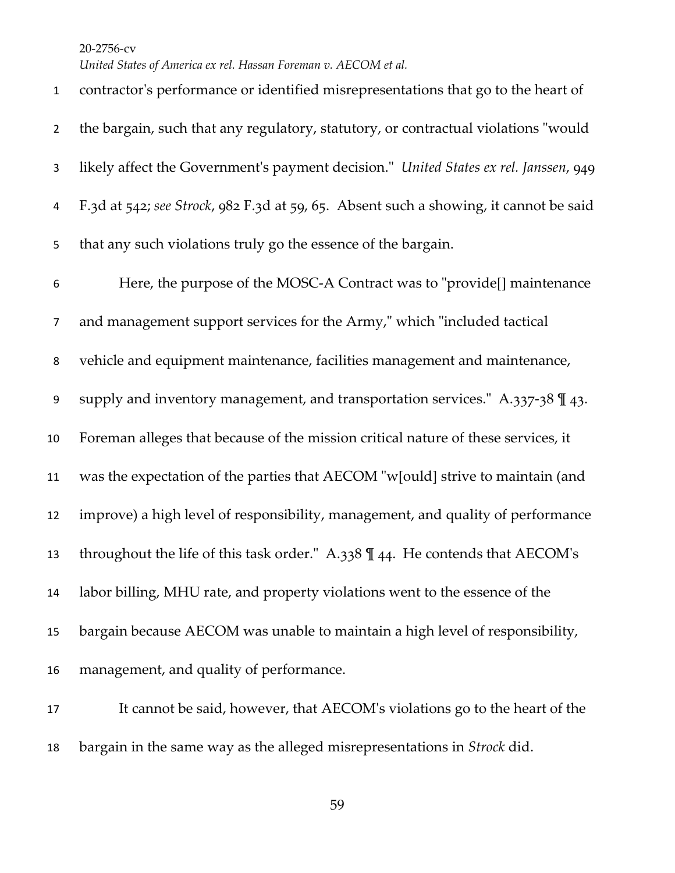*United States of America ex rel. Hassan Foreman v. AECOM et al.*

 contractor's performance or identified misrepresentations that go to the heart of the bargain, such that any regulatory, statutory, or contractual violations "would likely affect the Government's payment decision." *United States ex rel. Janssen*, 949 F.3d at 542; *see Strock*, 982 F.3d at 59, 65. Absent such a showing, it cannot be said that any such violations truly go the essence of the bargain. Here, the purpose of the MOSC-A Contract was to "provide[] maintenance and management support services for the Army," which "included tactical vehicle and equipment maintenance, facilities management and maintenance, supply and inventory management, and transportation services." A.337-38 ¶ 43. Foreman alleges that because of the mission critical nature of these services, it was the expectation of the parties that AECOM "w[ould] strive to maintain (and improve) a high level of responsibility, management, and quality of performance throughout the life of this task order." A.338 ¶ 44. He contends that AECOM's labor billing, MHU rate, and property violations went to the essence of the bargain because AECOM was unable to maintain a high level of responsibility, management, and quality of performance. It cannot be said, however, that AECOM's violations go to the heart of the

bargain in the same way as the alleged misrepresentations in *Strock* did.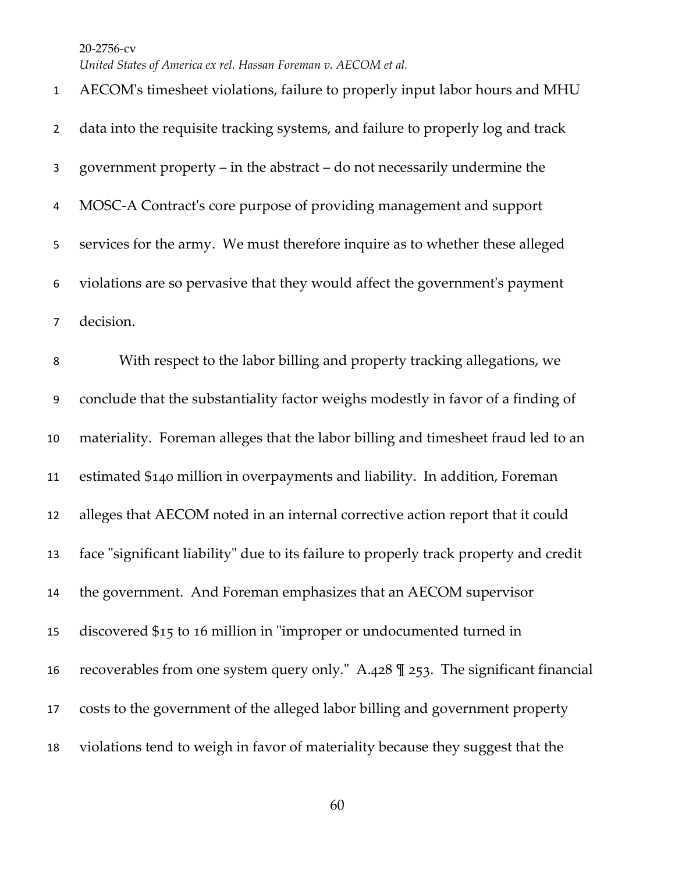AECOM's timesheet violations, failure to properly input labor hours and MHU data into the requisite tracking systems, and failure to properly log and track government property – in the abstract – do not necessarily undermine the MOSC-A Contract's core purpose of providing management and support services for the army. We must therefore inquire as to whether these alleged violations are so pervasive that they would affect the government's payment decision. With respect to the labor billing and property tracking allegations, we conclude that the substantiality factor weighs modestly in favor of a finding of materiality. Foreman alleges that the labor billing and timesheet fraud led to an estimated \$140 million in overpayments and liability. In addition, Foreman alleges that AECOM noted in an internal corrective action report that it could face "significant liability" due to its failure to properly track property and credit the government. And Foreman emphasizes that an AECOM supervisor discovered \$15 to 16 million in "improper or undocumented turned in recoverables from one system query only." A.428 ¶ 253. The significant financial costs to the government of the alleged labor billing and government property violations tend to weigh in favor of materiality because they suggest that the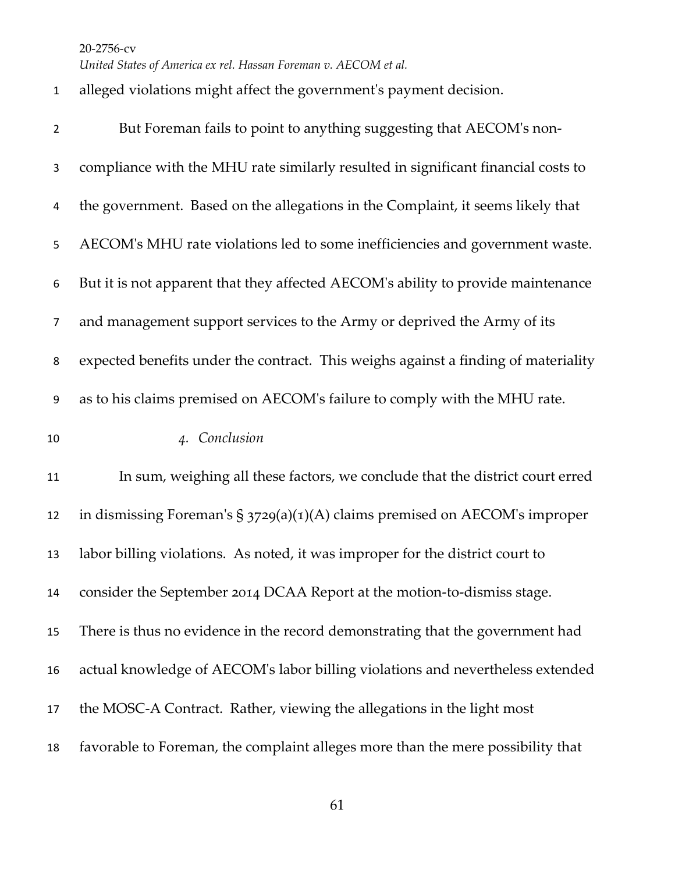*United States of America ex rel. Hassan Foreman v. AECOM et al.*

## alleged violations might affect the government's payment decision.

| $\overline{2}$ | But Foreman fails to point to anything suggesting that AECOM's non-                |
|----------------|------------------------------------------------------------------------------------|
| 3              | compliance with the MHU rate similarly resulted in significant financial costs to  |
| 4              | the government. Based on the allegations in the Complaint, it seems likely that    |
| 5              | AECOM's MHU rate violations led to some inefficiencies and government waste.       |
| 6              | But it is not apparent that they affected AECOM's ability to provide maintenance   |
| 7              | and management support services to the Army or deprived the Army of its            |
| 8              | expected benefits under the contract. This weighs against a finding of materiality |
| 9              | as to his claims premised on AECOM's failure to comply with the MHU rate.          |
| 10             | 4. Conclusion                                                                      |
| 11             | In sum, weighing all these factors, we conclude that the district court erred      |
| 12             | in dismissing Foreman's $\S$ 3729(a)(1)(A) claims premised on AECOM's improper     |
| 13             | labor billing violations. As noted, it was improper for the district court to      |
| 14             | consider the September 2014 DCAA Report at the motion-to-dismiss stage.            |
| 15             | There is thus no evidence in the record demonstrating that the government had      |
| 16             | actual knowledge of AECOM's labor billing violations and nevertheless extended     |
| 17             | the MOSC-A Contract. Rather, viewing the allegations in the light most             |
| 18             | favorable to Foreman, the complaint alleges more than the mere possibility that    |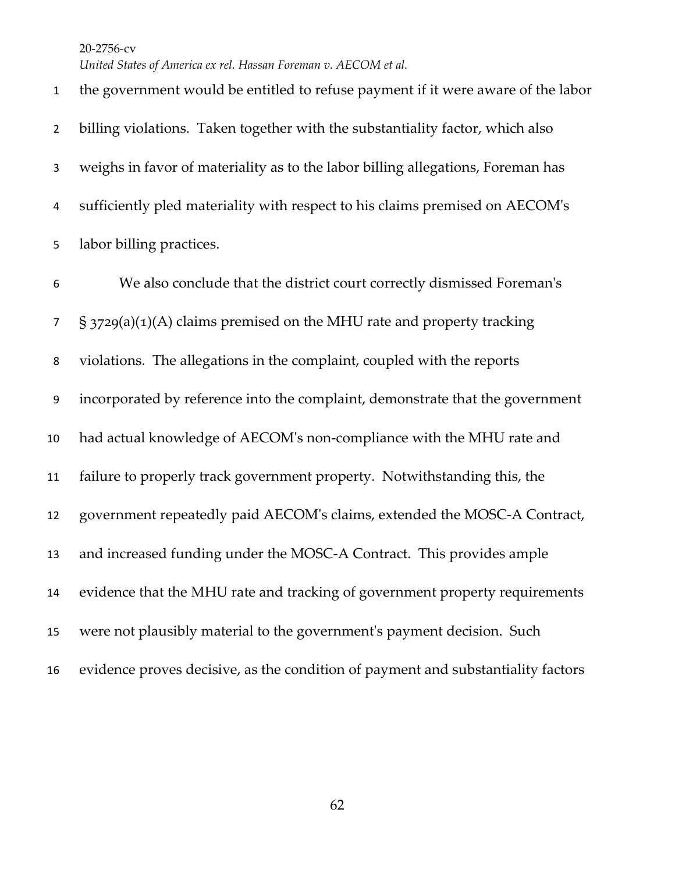the government would be entitled to refuse payment if it were aware of the labor billing violations. Taken together with the substantiality factor, which also weighs in favor of materiality as to the labor billing allegations, Foreman has sufficiently pled materiality with respect to his claims premised on AECOM's labor billing practices. We also conclude that the district court correctly dismissed Foreman's  $\frac{1}{2}$  § 3729(a)(1)(A) claims premised on the MHU rate and property tracking violations. The allegations in the complaint, coupled with the reports incorporated by reference into the complaint, demonstrate that the government had actual knowledge of AECOM's non-compliance with the MHU rate and failure to properly track government property. Notwithstanding this, the government repeatedly paid AECOM's claims, extended the MOSC-A Contract, and increased funding under the MOSC-A Contract. This provides ample evidence that the MHU rate and tracking of government property requirements were not plausibly material to the government's payment decision. Such evidence proves decisive, as the condition of payment and substantiality factors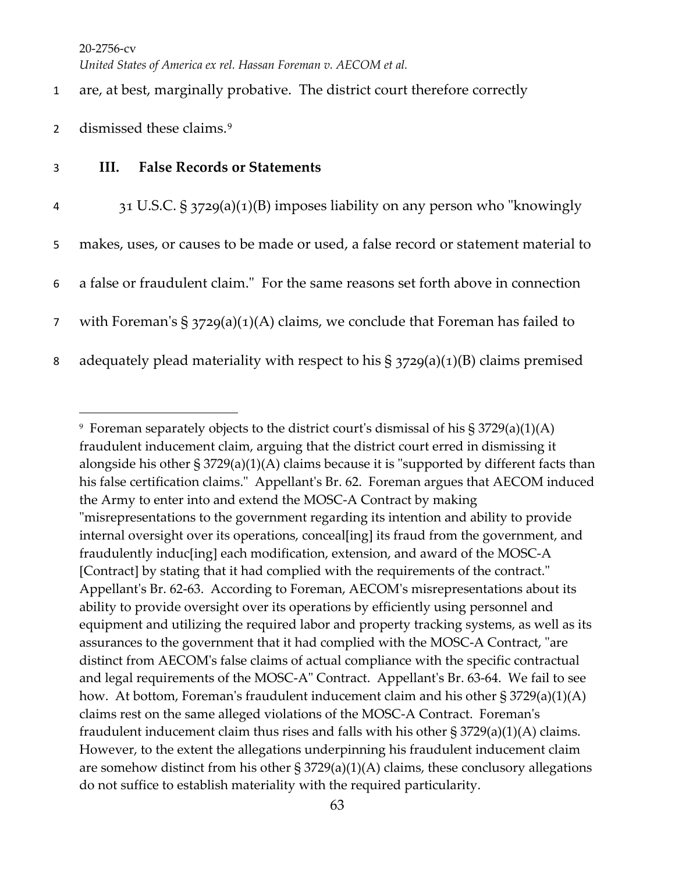1 are, at best, marginally probative. The district court therefore correctly

- 2 dismissed these claims.<sup>[9](#page-62-0)</sup>
- 3 **III. False Records or Statements**

| 4              | 31 U.S.C. § 3729(a)(1)(B) imposes liability on any person who "knowingly            |
|----------------|-------------------------------------------------------------------------------------|
| 5              | makes, uses, or causes to be made or used, a false record or statement material to  |
| 6              | a false or fraudulent claim." For the same reasons set forth above in connection    |
| 7 <sup>7</sup> | with Foreman's $\S$ 3729(a)(1)(A) claims, we conclude that Foreman has failed to    |
| 8              | adequately plead materiality with respect to his $\S$ 3729(a)(1)(B) claims premised |

<span id="page-62-0"></span><sup>&</sup>lt;sup>9</sup> Foreman separately objects to the district court's dismissal of his  $\S 3729(a)(1)(A)$ fraudulent inducement claim, arguing that the district court erred in dismissing it alongside his other § 3729(a)(1)(A) claims because it is "supported by different facts than his false certification claims." Appellant's Br. 62. Foreman argues that AECOM induced the Army to enter into and extend the MOSC-A Contract by making "misrepresentations to the government regarding its intention and ability to provide internal oversight over its operations, conceal[ing] its fraud from the government, and fraudulently induc[ing] each modification, extension, and award of the MOSC-A [Contract] by stating that it had complied with the requirements of the contract." Appellant's Br. 62-63. According to Foreman, AECOM's misrepresentations about its ability to provide oversight over its operations by efficiently using personnel and equipment and utilizing the required labor and property tracking systems, as well as its assurances to the government that it had complied with the MOSC-A Contract, "are distinct from AECOM's false claims of actual compliance with the specific contractual and legal requirements of the MOSC-A" Contract. Appellant's Br. 63-64. We fail to see how. At bottom, Foreman's fraudulent inducement claim and his other § 3729(a)(1)(A) claims rest on the same alleged violations of the MOSC-A Contract. Foreman's fraudulent inducement claim thus rises and falls with his other § 3729(a)(1)(A) claims. However, to the extent the allegations underpinning his fraudulent inducement claim are somehow distinct from his other  $\S 3729(a)(1)(A)$  claims, these conclusory allegations do not suffice to establish materiality with the required particularity.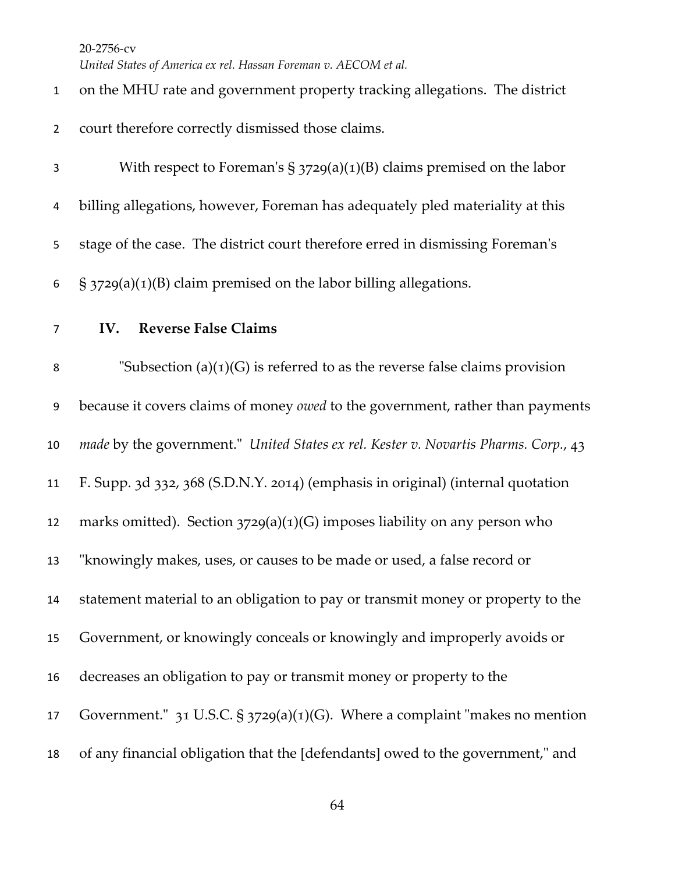*United States of America ex rel. Hassan Foreman v. AECOM et al.*

| $\mathbf{1}$   | on the MHU rate and government property tracking allegations. The district          |
|----------------|-------------------------------------------------------------------------------------|
| $\overline{2}$ | court therefore correctly dismissed those claims.                                   |
| 3              | With respect to Foreman's $\S$ 3729(a)(1)(B) claims premised on the labor           |
| 4              | billing allegations, however, Foreman has adequately pled materiality at this       |
| 5              | stage of the case. The district court therefore erred in dismissing Foreman's       |
| 6              | $\S$ 3729(a)(1)(B) claim premised on the labor billing allegations.                 |
| $\overline{7}$ | <b>Reverse False Claims</b><br>IV.                                                  |
| 8              | "Subsection $(a)(1)(G)$ is referred to as the reverse false claims provision        |
| 9              | because it covers claims of money owed to the government, rather than payments      |
| 10             | made by the government." United States ex rel. Kester v. Novartis Pharms. Corp., 43 |
| 11             | F. Supp. 3d 332, 368 (S.D.N.Y. 2014) (emphasis in original) (internal quotation     |
| 12             | marks omitted). Section $3729(a)(1)(G)$ imposes liability on any person who         |
| 13             | "knowingly makes, uses, or causes to be made or used, a false record or             |
| 14             | statement material to an obligation to pay or transmit money or property to the     |
| 15             | Government, or knowingly conceals or knowingly and improperly avoids or             |
| 16             | decreases an obligation to pay or transmit money or property to the                 |
| 17             | Government." $31$ U.S.C. § $3729(a)(1)(G)$ . Where a complaint "makes no mention    |
| 18             | of any financial obligation that the [defendants] owed to the government," and      |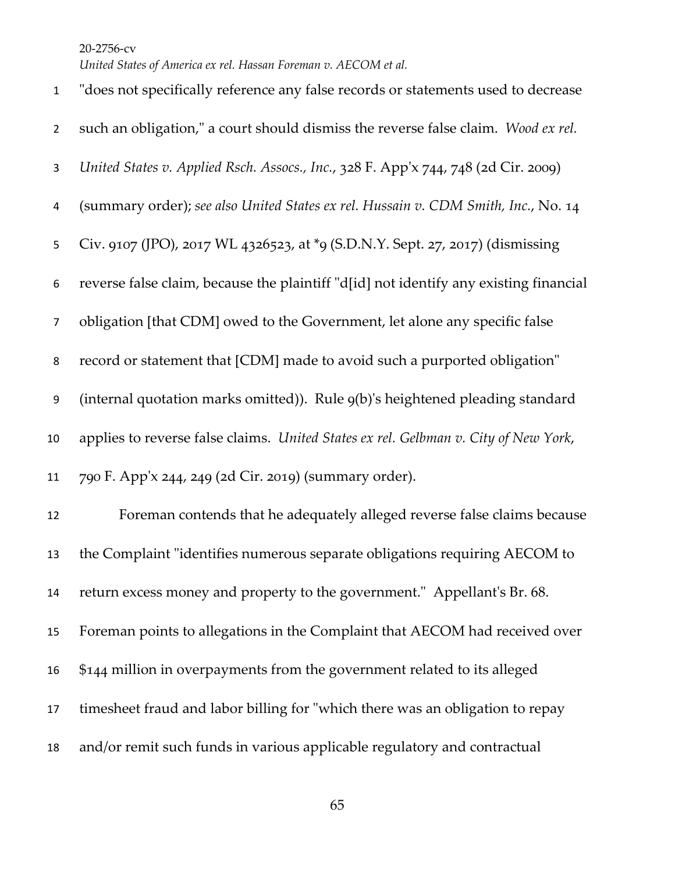| $\mathbf{1}$   | "does not specifically reference any false records or statements used to decrease     |
|----------------|---------------------------------------------------------------------------------------|
| $\overline{2}$ | such an obligation," a court should dismiss the reverse false claim. Wood ex rel.     |
| 3              | United States v. Applied Rsch. Assocs., Inc., 328 F. App'x 744, 748 (2d Cir. 2009)    |
| 4              | (summary order); see also United States ex rel. Hussain v. CDM Smith, Inc., No. 14    |
| 5              | Civ. 9107 (JPO), 2017 WL 4326523, at *9 (S.D.N.Y. Sept. 27, 2017) (dismissing         |
| 6              | reverse false claim, because the plaintiff "d[id] not identify any existing financial |
| $\overline{7}$ | obligation [that CDM] owed to the Government, let alone any specific false            |
| 8              | record or statement that [CDM] made to avoid such a purported obligation"             |
| 9              | (internal quotation marks omitted)). Rule 9(b)'s heightened pleading standard         |
| 10             | applies to reverse false claims. United States ex rel. Gelbman v. City of New York,   |
| 11             | 790 F. App'x 244, 249 (2d Cir. 2019) (summary order).                                 |
| 12             | Foreman contends that he adequately alleged reverse false claims because              |
| 13             | the Complaint "identifies numerous separate obligations requiring AECOM to            |
| 14             | return excess money and property to the government." Appellant's Br. 68.              |
| 15             | Foreman points to allegations in the Complaint that AECOM had received over           |
| 16             | \$144 million in overpayments from the government related to its alleged              |
| 17             | timesheet fraud and labor billing for "which there was an obligation to repay         |
| 18             | and/or remit such funds in various applicable regulatory and contractual              |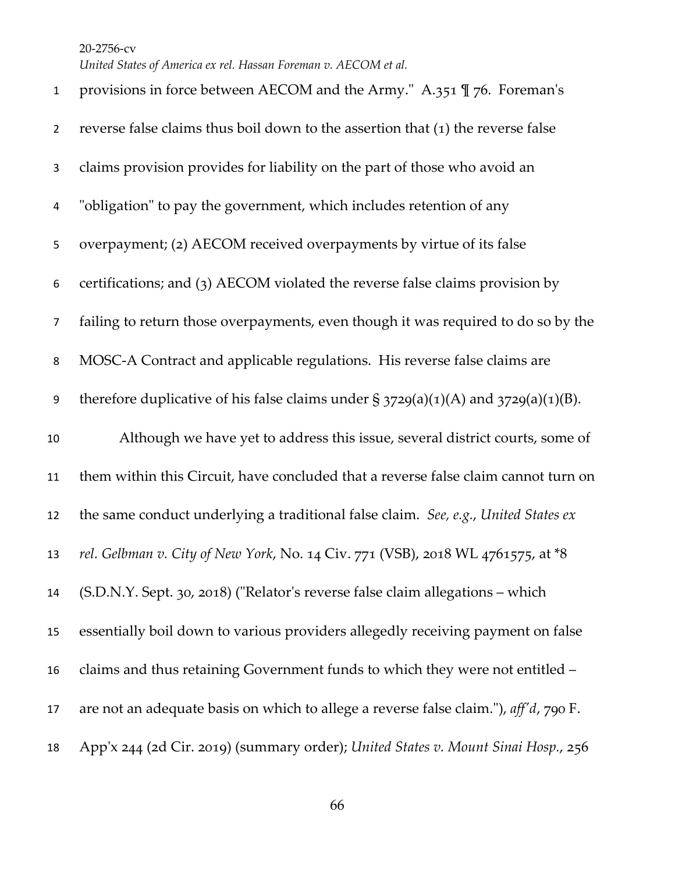*United States of America ex rel. Hassan Foreman v. AECOM et al.*

| $\mathbf{1}$   | provisions in force between AECOM and the Army." A.351 $\mathbb{I}$ 76. Foreman's        |
|----------------|------------------------------------------------------------------------------------------|
| $\overline{2}$ | reverse false claims thus boil down to the assertion that $(1)$ the reverse false        |
| 3              | claims provision provides for liability on the part of those who avoid an                |
| 4              | "obligation" to pay the government, which includes retention of any                      |
| 5              | overpayment; (2) AECOM received overpayments by virtue of its false                      |
| 6              | certifications; and (3) AECOM violated the reverse false claims provision by             |
| $\overline{7}$ | failing to return those overpayments, even though it was required to do so by the        |
| 8              | MOSC-A Contract and applicable regulations. His reverse false claims are                 |
| 9              | therefore duplicative of his false claims under $\S 3729(a)(1)(A)$ and $3729(a)(1)(B)$ . |
|                |                                                                                          |
| 10             | Although we have yet to address this issue, several district courts, some of             |
| 11             | them within this Circuit, have concluded that a reverse false claim cannot turn on       |
| 12             | the same conduct underlying a traditional false claim. See, e.g., United States ex       |
| 13             | rel. Gelbman v. City of New York, No. 14 Civ. 771 (VSB), 2018 WL 4761575, at *8          |
| 14             | (S.D.N.Y. Sept. 30, 2018) ("Relator's reverse false claim allegations - which            |
| 15             | essentially boil down to various providers allegedly receiving payment on false          |
| 16             | claims and thus retaining Government funds to which they were not entitled -             |
| 17             | are not an adequate basis on which to allege a reverse false claim."), aff'd, 790 F.     |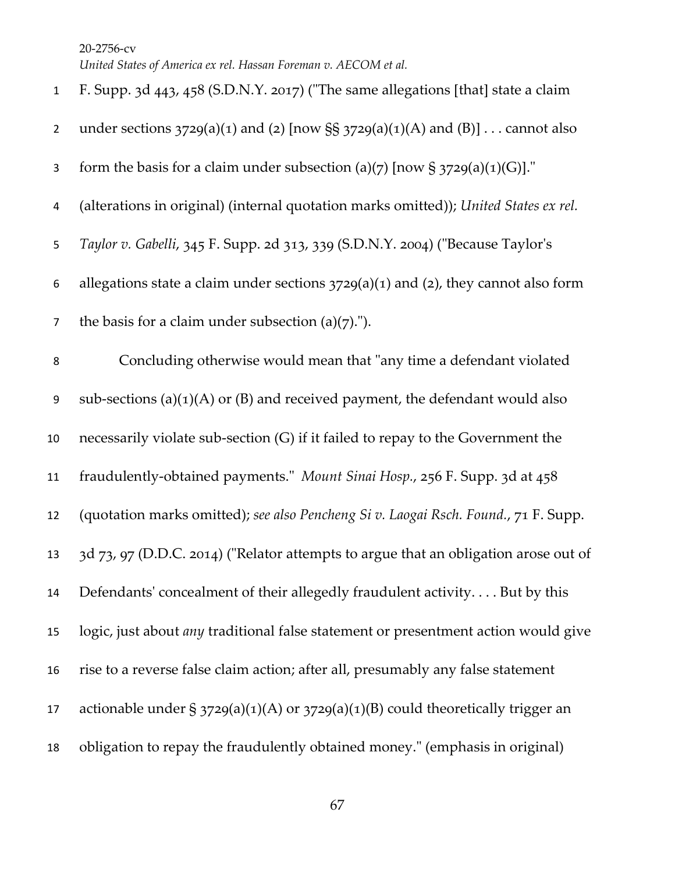| $\mathbf{1}$   | F. Supp. 3d 443, 458 (S.D.N.Y. 2017) ("The same allegations [that] state a claim          |
|----------------|-------------------------------------------------------------------------------------------|
| $\overline{2}$ | under sections $3729(a)(1)$ and (2) [now SS $3729(a)(1)(A)$ and (B)]  cannot also         |
| 3              | form the basis for a claim under subsection (a)(7) [now § 3729(a)(1)(G)]."                |
| 4              | (alterations in original) (internal quotation marks omitted)); United States ex rel.      |
| 5              | Taylor v. Gabelli, 345 F. Supp. 2d 313, 339 (S.D.N.Y. 2004) ("Because Taylor's            |
| 6              | allegations state a claim under sections $3729(a)(1)$ and (2), they cannot also form      |
| $\overline{7}$ | the basis for a claim under subsection (a) $(7)$ .").                                     |
| 8              | Concluding otherwise would mean that "any time a defendant violated                       |
| 9              | sub-sections (a) $(1)(A)$ or (B) and received payment, the defendant would also           |
| 10             | necessarily violate sub-section (G) if it failed to repay to the Government the           |
| 11             | fraudulently-obtained payments." Mount Sinai Hosp., 256 F. Supp. 3d at 458                |
| 12             | (quotation marks omitted); see also Pencheng Si v. Laogai Rsch. Found., 71 F. Supp.       |
| 13             | 3d 73, 97 (D.D.C. 2014) ("Relator attempts to argue that an obligation arose out of       |
| 14             | Defendants' concealment of their allegedly fraudulent activity But by this                |
| 15             | logic, just about <i>any</i> traditional false statement or presentment action would give |
| 16             | rise to a reverse false claim action; after all, presumably any false statement           |
| 17             | actionable under $\S 3729(a)(1)(A)$ or $3729(a)(1)(B)$ could theoretically trigger an     |
| 18             | obligation to repay the fraudulently obtained money." (emphasis in original)              |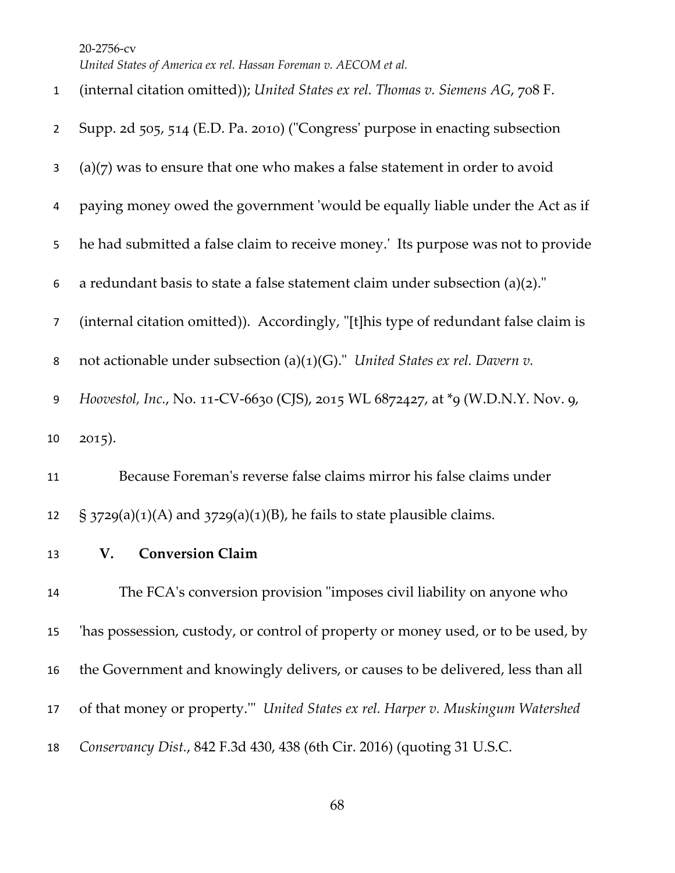(internal citation omitted)); *United States ex rel. Thomas v. Siemens AG*, 708 F.

| $\overline{2}$ | Supp. 2d 505, 514 (E.D. Pa. 2010) ("Congress' purpose in enacting subsection        |
|----------------|-------------------------------------------------------------------------------------|
| 3              | $(a)(7)$ was to ensure that one who makes a false statement in order to avoid       |
| 4              | paying money owed the government 'would be equally liable under the Act as if       |
| 5              | he had submitted a false claim to receive money.' Its purpose was not to provide    |
| 6              | a redundant basis to state a false statement claim under subsection $(a)(2)$ ."     |
| $\overline{7}$ | (internal citation omitted)). Accordingly, "[t]his type of redundant false claim is |
| 8              | not actionable under subsection (a)(1)(G)." United States ex rel. Davern v.         |
| 9              | Hoovestol, Inc., No. 11-CV-6630 (CJS), 2015 WL 6872427, at *9 (W.D.N.Y. Nov. 9,     |
| 10             | $2015$ ).                                                                           |
| 11             | Because Foreman's reverse false claims mirror his false claims under                |
| 12             | $\S$ 3729(a)(1)(A) and 3729(a)(1)(B), he fails to state plausible claims.           |
| 13             | <b>Conversion Claim</b><br>V.                                                       |
| 14             | The FCA's conversion provision "imposes civil liability on anyone who               |
| 15             | 'has possession, custody, or control of property or money used, or to be used, by   |
| 16             | the Government and knowingly delivers, or causes to be delivered, less than all     |
| 17             | of that money or property." United States ex rel. Harper v. Muskingum Watershed     |
| 18             | Conservancy Dist., 842 F.3d 430, 438 (6th Cir. 2016) (quoting 31 U.S.C.             |
|                |                                                                                     |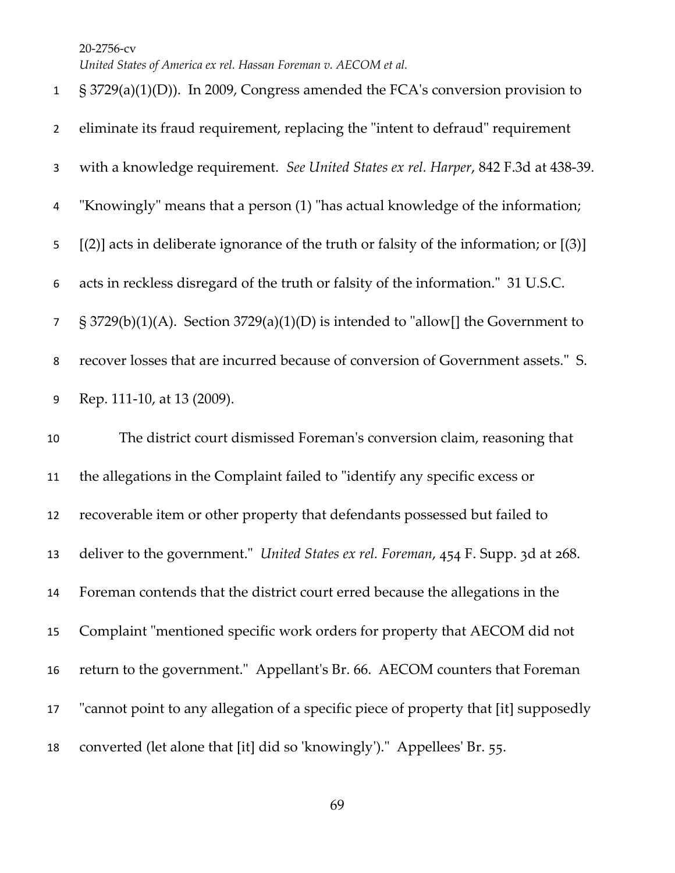*United States of America ex rel. Hassan Foreman v. AECOM et al.*

| $\mathbf{1}$   | § 3729(a)(1)(D)). In 2009, Congress amended the FCA's conversion provision to           |
|----------------|-----------------------------------------------------------------------------------------|
| $\overline{2}$ | eliminate its fraud requirement, replacing the "intent to defraud" requirement          |
| 3              | with a knowledge requirement. See United States ex rel. Harper, 842 F.3d at 438-39.     |
| 4              | "Knowingly" means that a person (1) "has actual knowledge of the information;           |
| 5              | $[2]$ acts in deliberate ignorance of the truth or falsity of the information; or $[3]$ |
| 6              | acts in reckless disregard of the truth or falsity of the information." 31 U.S.C.       |
| $\overline{7}$ | $\S$ 3729(b)(1)(A). Section 3729(a)(1)(D) is intended to "allow[] the Government to     |
| 8              | recover losses that are incurred because of conversion of Government assets." S.        |
| 9              | Rep. 111-10, at 13 (2009).                                                              |
| 10             | The district court dismissed Foreman's conversion claim, reasoning that                 |
| 11             |                                                                                         |
|                | the allegations in the Complaint failed to "identify any specific excess or             |
| 12             | recoverable item or other property that defendants possessed but failed to              |
| 13             | deliver to the government." United States ex rel. Foreman, 454 F. Supp. 3d at 268.      |
| 14             | Foreman contends that the district court erred because the allegations in the           |
| 15             | Complaint "mentioned specific work orders for property that AECOM did not               |
| 16             | return to the government." Appellant's Br. 66. AECOM counters that Foreman              |
| 17             | "cannot point to any allegation of a specific piece of property that [it] supposedly    |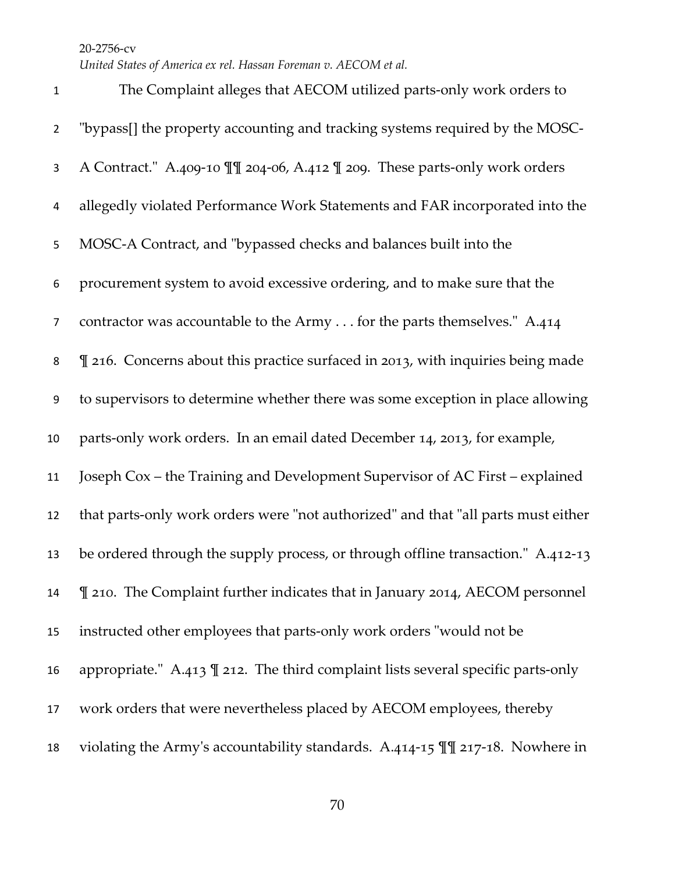The Complaint alleges that AECOM utilized parts-only work orders to "bypass[] the property accounting and tracking systems required by the MOSC- A Contract." A.409-10 ¶¶ 204-06, A.412 ¶ 209. These parts-only work orders allegedly violated Performance Work Statements and FAR incorporated into the MOSC-A Contract, and "bypassed checks and balances built into the procurement system to avoid excessive ordering, and to make sure that the contractor was accountable to the Army . . . for the parts themselves." A.414  $\parallel$  216. Concerns about this practice surfaced in 2013, with inquiries being made to supervisors to determine whether there was some exception in place allowing parts-only work orders. In an email dated December 14, 2013, for example, Joseph Cox – the Training and Development Supervisor of AC First – explained that parts-only work orders were "not authorized" and that "all parts must either be ordered through the supply process, or through offline transaction." A.412-13  $\parallel$  210. The Complaint further indicates that in January 2014, AECOM personnel instructed other employees that parts-only work orders "would not be appropriate." A.413 ¶ 212. The third complaint lists several specific parts-only work orders that were nevertheless placed by AECOM employees, thereby violating the Army's accountability standards. A.414-15 ¶¶ 217-18. Nowhere in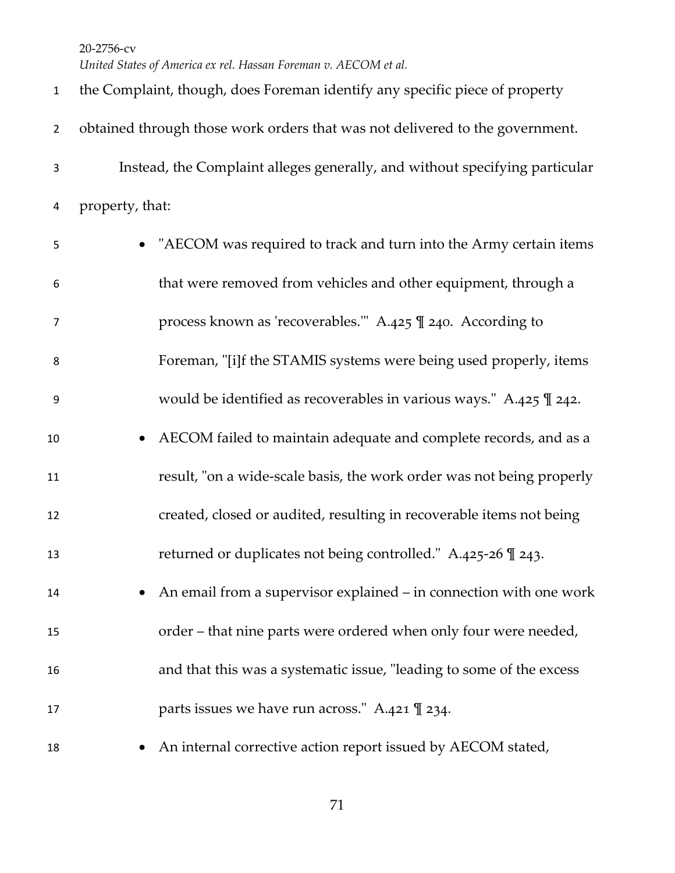*United States of America ex rel. Hassan Foreman v. AECOM et al.*

| $\mathbf{1}$     | the Complaint, though, does Foreman identify any specific piece of property   |
|------------------|-------------------------------------------------------------------------------|
| $\overline{2}$   | obtained through those work orders that was not delivered to the government.  |
| 3                | Instead, the Complaint alleges generally, and without specifying particular   |
| 4                | property, that:                                                               |
| 5                | • "AECOM was required to track and turn into the Army certain items           |
| 6                | that were removed from vehicles and other equipment, through a                |
| $\overline{7}$   | process known as 'recoverables." A.425 \le 240. According to                  |
| 8                | Foreman, "[i]f the STAMIS systems were being used properly, items             |
| $\boldsymbol{9}$ | would be identified as recoverables in various ways." A.425 $\mathbb{I}$ 242. |
| $10\,$           | AECOM failed to maintain adequate and complete records, and as a<br>$\bullet$ |
| 11               | result, "on a wide-scale basis, the work order was not being properly         |
| 12               | created, closed or audited, resulting in recoverable items not being          |
| 13               | returned or duplicates not being controlled." A.425-26 \[ 243.                |
| 14               | An email from a supervisor explained – in connection with one work            |
| 15               | order – that nine parts were ordered when only four were needed,              |
| 16               | and that this was a systematic issue, "leading to some of the excess          |
| 17               | parts issues we have run across." A.421 \ll 234.                              |
| 18               | An internal corrective action report issued by AECOM stated,                  |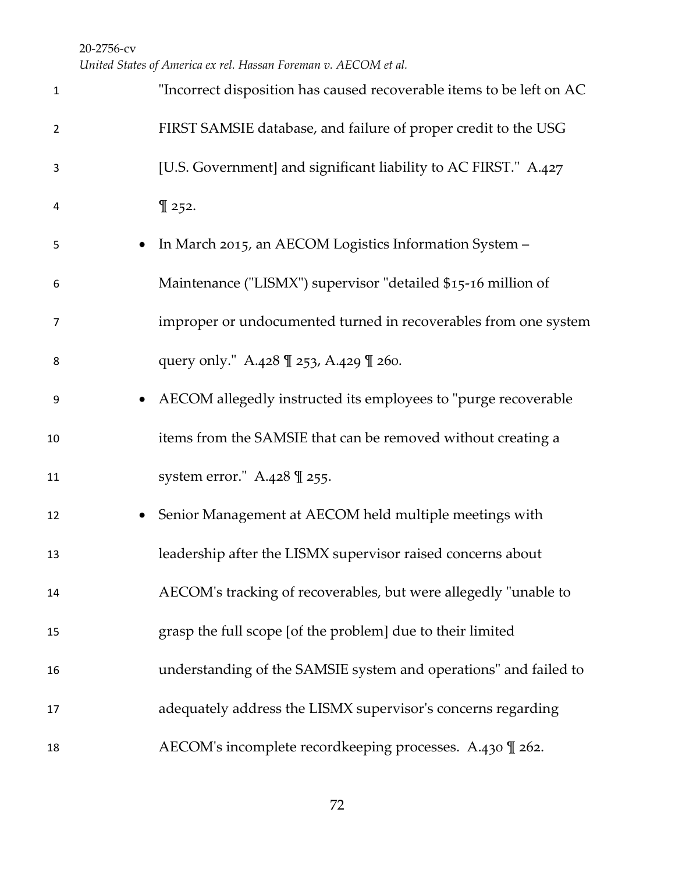*United States of America ex rel. Hassan Foreman v. AECOM et al.*

| $\mathbf{1}$   | "Incorrect disposition has caused recoverable items to be left on AC |
|----------------|----------------------------------------------------------------------|
| $\overline{2}$ | FIRST SAMSIE database, and failure of proper credit to the USG       |
| 3              | [U.S. Government] and significant liability to AC FIRST." A.427      |
| 4              | $\P$ 252.                                                            |
| 5              | In March 2015, an AECOM Logistics Information System -               |
| 6              | Maintenance ("LISMX") supervisor "detailed \$15-16 million of        |
| 7              | improper or undocumented turned in recoverables from one system      |
| 8              | query only." A.428 \ll 253, A.429 \ll 260.                           |
| 9              | AECOM allegedly instructed its employees to "purge recoverable"      |
| 10             | items from the SAMSIE that can be removed without creating a         |
| 11             | system error." A.428 \ll 255.                                        |
| 12             | Senior Management at AECOM held multiple meetings with               |
| 13             | leadership after the LISMX supervisor raised concerns about          |
| 14             | AECOM's tracking of recoverables, but were allegedly "unable to      |
| 15             | grasp the full scope [of the problem] due to their limited           |
| 16             | understanding of the SAMSIE system and operations" and failed to     |
| 17             | adequately address the LISMX supervisor's concerns regarding         |
| 18             | AECOM's incomplete recordkeeping processes. A.430 \l 262.            |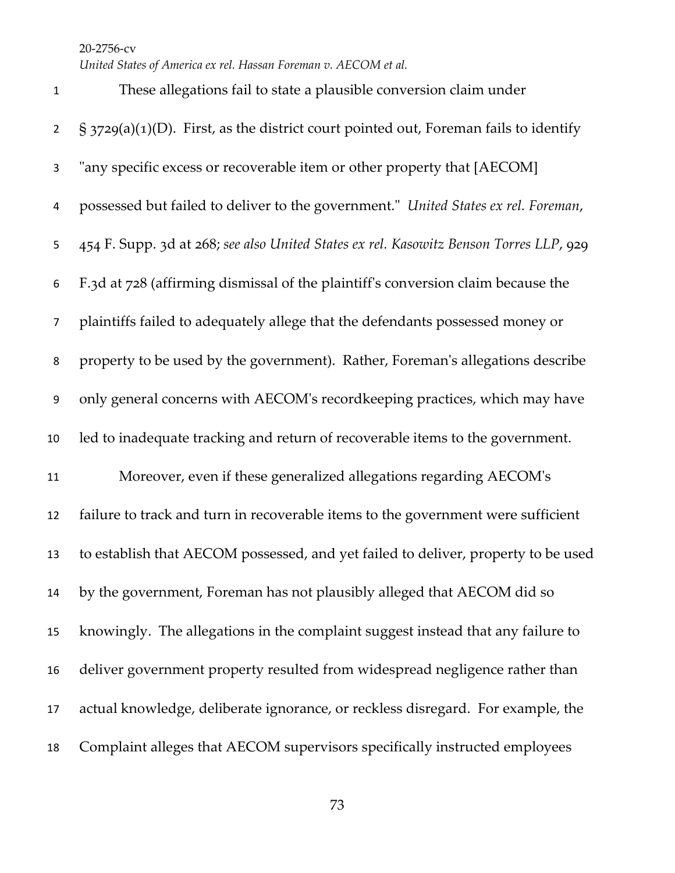*United States of America ex rel. Hassan Foreman v. AECOM et al.*

 These allegations fail to state a plausible conversion claim under  $\frac{1}{2}$  § 3729(a)(1)(D). First, as the district court pointed out, Foreman fails to identify "any specific excess or recoverable item or other property that [AECOM] possessed but failed to deliver to the government." *United States ex rel. Foreman*, 454 F. Supp. 3d at 268; *see also United States ex rel. Kasowitz Benson Torres LLP*, 929 F.3d at 728 (affirming dismissal of the plaintiff's conversion claim because the plaintiffs failed to adequately allege that the defendants possessed money or property to be used by the government). Rather, Foreman's allegations describe only general concerns with AECOM's recordkeeping practices, which may have led to inadequate tracking and return of recoverable items to the government. Moreover, even if these generalized allegations regarding AECOM's failure to track and turn in recoverable items to the government were sufficient to establish that AECOM possessed, and yet failed to deliver, property to be used by the government, Foreman has not plausibly alleged that AECOM did so knowingly. The allegations in the complaint suggest instead that any failure to deliver government property resulted from widespread negligence rather than actual knowledge, deliberate ignorance, or reckless disregard. For example, the Complaint alleges that AECOM supervisors specifically instructed employees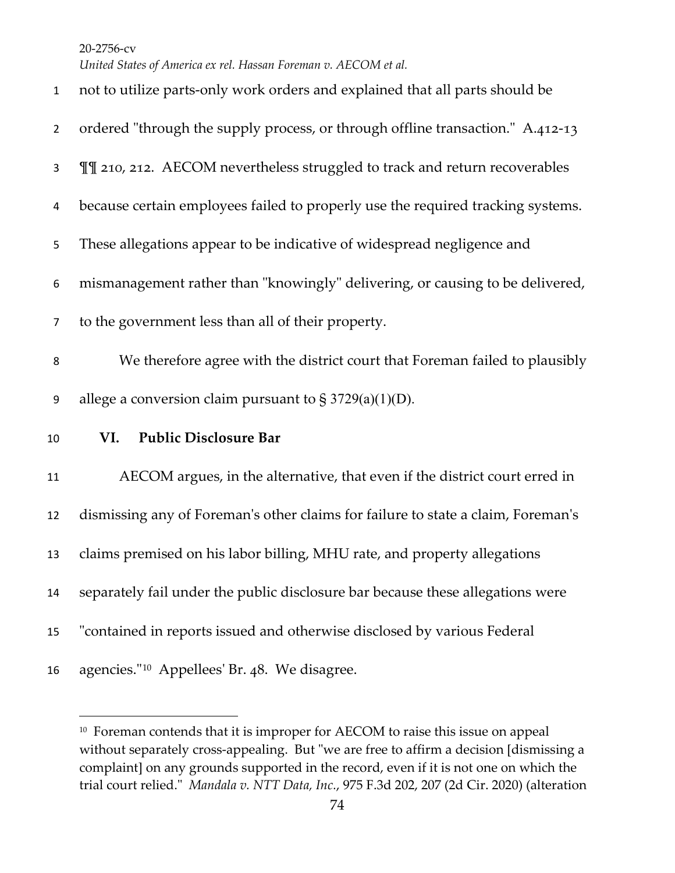*United States of America ex rel. Hassan Foreman v. AECOM et al.*

| $\mathbf{1}$   | not to utilize parts-only work orders and explained that all parts should be     |
|----------------|----------------------------------------------------------------------------------|
| $\overline{2}$ | ordered "through the supply process, or through offline transaction." A.412-13   |
| 3              | II 210, 212. AECOM nevertheless struggled to track and return recoverables       |
| 4              | because certain employees failed to properly use the required tracking systems.  |
| 5              | These allegations appear to be indicative of widespread negligence and           |
| 6              | mismanagement rather than "knowingly" delivering, or causing to be delivered,    |
| $\overline{7}$ | to the government less than all of their property.                               |
| 8              | We therefore agree with the district court that Foreman failed to plausibly      |
| 9              | allege a conversion claim pursuant to $\S 3729(a)(1)(D)$ .                       |
| 10             | <b>Public Disclosure Bar</b><br>VI.                                              |
| 11             | AECOM argues, in the alternative, that even if the district court erred in       |
| 12             | dismissing any of Foreman's other claims for failure to state a claim, Foreman's |
| 13             | claims premised on his labor billing, MHU rate, and property allegations         |
| 14             | separately fail under the public disclosure bar because these allegations were   |
| 15             | "contained in reports issued and otherwise disclosed by various Federal          |
| 16             | agencies." <sup>10</sup> Appellees' Br. 48. We disagree.                         |

<span id="page-73-0"></span><sup>&</sup>lt;sup>10</sup> Foreman contends that it is improper for AECOM to raise this issue on appeal without separately cross-appealing. But "we are free to affirm a decision [dismissing a complaint] on any grounds supported in the record, even if it is not one on which the trial court relied." *Mandala v. NTT Data, Inc.*, 975 F.3d 202, 207 (2d Cir. 2020) (alteration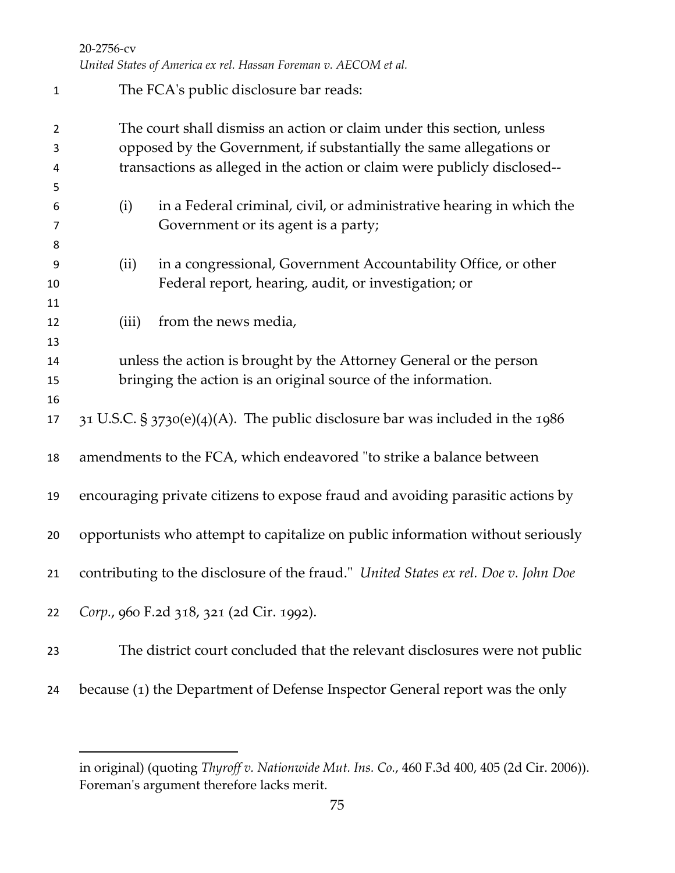*United States of America ex rel. Hassan Foreman v. AECOM et al.*

| $\mathbf 1$    |       | The FCA's public disclosure bar reads:                                              |
|----------------|-------|-------------------------------------------------------------------------------------|
| $\overline{2}$ |       | The court shall dismiss an action or claim under this section, unless               |
| 3              |       | opposed by the Government, if substantially the same allegations or                 |
| 4              |       | transactions as alleged in the action or claim were publicly disclosed--            |
| 5              |       |                                                                                     |
| 6              | (i)   | in a Federal criminal, civil, or administrative hearing in which the                |
| 7              |       | Government or its agent is a party;                                                 |
| 8              |       |                                                                                     |
| 9              | (ii)  | in a congressional, Government Accountability Office, or other                      |
| 10             |       | Federal report, hearing, audit, or investigation; or                                |
| 11             |       |                                                                                     |
| 12             | (iii) | from the news media,                                                                |
| 13             |       |                                                                                     |
| 14             |       | unless the action is brought by the Attorney General or the person                  |
| 15             |       | bringing the action is an original source of the information.                       |
| 16             |       |                                                                                     |
| 17             |       | $31$ U.S.C. § $3730(e)(4)$ (A). The public disclosure bar was included in the 1986  |
| 18             |       | amendments to the FCA, which endeavored "to strike a balance between                |
| 19             |       | encouraging private citizens to expose fraud and avoiding parasitic actions by      |
| 20             |       | opportunists who attempt to capitalize on public information without seriously      |
| 21             |       | contributing to the disclosure of the fraud." United States ex rel. Doe v. John Doe |
| 22             |       | Corp., 960 F.2d 318, 321 (2d Cir. 1992).                                            |
| 23             |       | The district court concluded that the relevant disclosures were not public          |
| 24             |       | because (1) the Department of Defense Inspector General report was the only         |

in original) (quoting *Thyroff v. Nationwide Mut. Ins. Co.*, 460 F.3d 400, 405 (2d Cir. 2006)). Foreman's argument therefore lacks merit.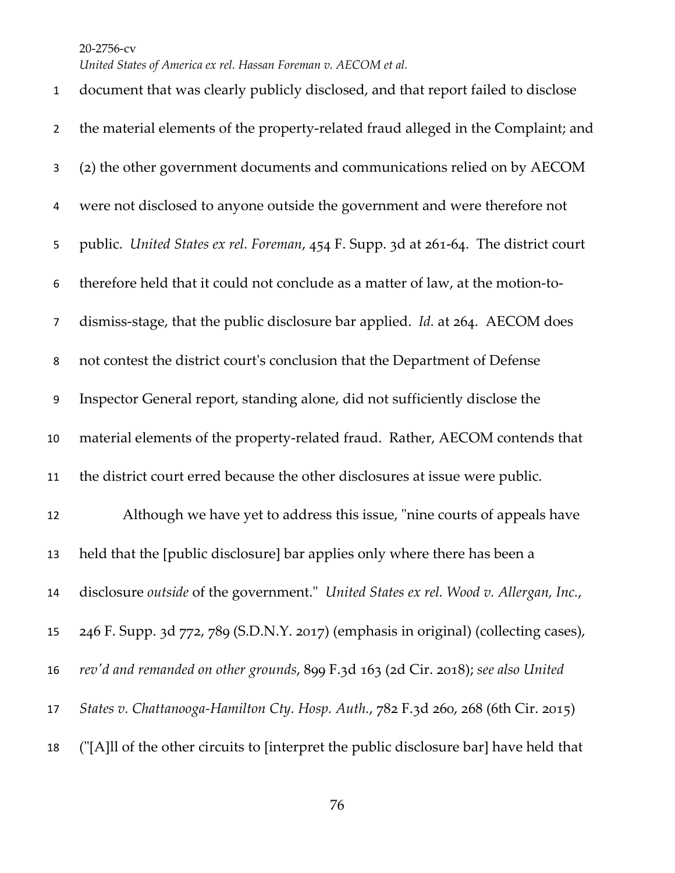*United States of America ex rel. Hassan Foreman v. AECOM et al.*

 document that was clearly publicly disclosed, and that report failed to disclose the material elements of the property-related fraud alleged in the Complaint; and (2) the other government documents and communications relied on by AECOM were not disclosed to anyone outside the government and were therefore not public. *United States ex rel. Foreman*, 454 F. Supp. 3d at 261-64. The district court therefore held that it could not conclude as a matter of law, at the motion-to- dismiss-stage, that the public disclosure bar applied. *Id.* at 264. AECOM does not contest the district court's conclusion that the Department of Defense Inspector General report, standing alone, did not sufficiently disclose the material elements of the property-related fraud. Rather, AECOM contends that the district court erred because the other disclosures at issue were public. Although we have yet to address this issue, "nine courts of appeals have held that the [public disclosure] bar applies only where there has been a disclosure *outside* of the government." *United States ex rel. Wood v. Allergan, Inc.*, 246 F. Supp. 3d 772, 789 (S.D.N.Y. 2017) (emphasis in original) (collecting cases), *rev'd and remanded on other grounds*, 899 F.3d 163 (2d Cir. 2018); *see also United States v. Chattanooga-Hamilton Cty. Hosp. Auth.*, 782 F.3d 260, 268 (6th Cir. 2015) ("[A]ll of the other circuits to [interpret the public disclosure bar] have held that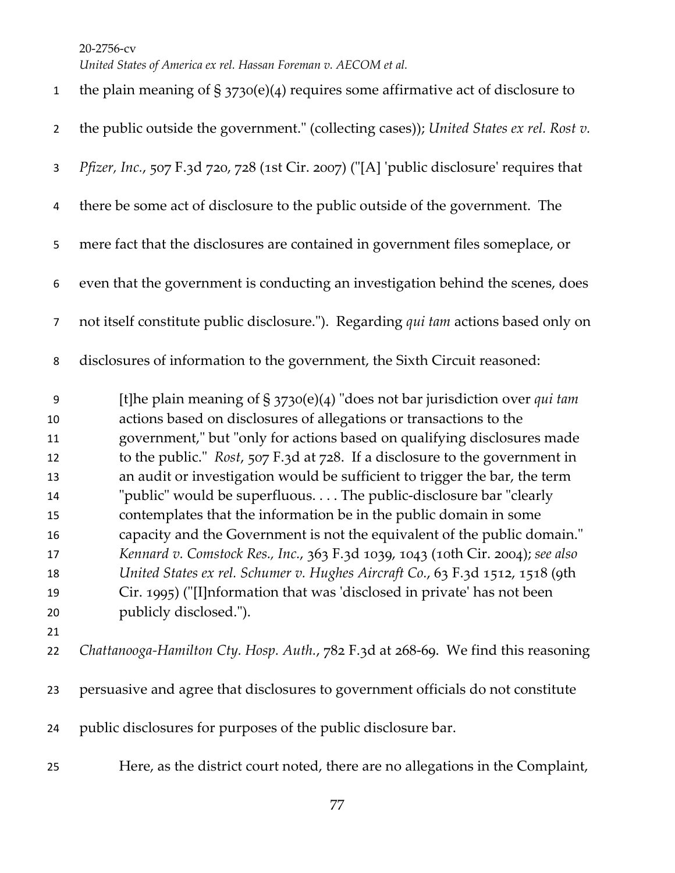| $\mathbf{1}$                                                              | the plain meaning of $\S 3730(e)(4)$ requires some affirmative act of disclosure to                                                                                                                                                                                                                                                                                                                                                                                                                                                                                                                                                                                                                                                                                                                                                                                                     |
|---------------------------------------------------------------------------|-----------------------------------------------------------------------------------------------------------------------------------------------------------------------------------------------------------------------------------------------------------------------------------------------------------------------------------------------------------------------------------------------------------------------------------------------------------------------------------------------------------------------------------------------------------------------------------------------------------------------------------------------------------------------------------------------------------------------------------------------------------------------------------------------------------------------------------------------------------------------------------------|
| $\overline{2}$                                                            | the public outside the government." (collecting cases)); United States ex rel. Rost $v$ .                                                                                                                                                                                                                                                                                                                                                                                                                                                                                                                                                                                                                                                                                                                                                                                               |
| 3                                                                         | Pfizer, Inc., 507 F.3d 720, 728 (1st Cir. 2007) ("[A] 'public disclosure' requires that                                                                                                                                                                                                                                                                                                                                                                                                                                                                                                                                                                                                                                                                                                                                                                                                 |
| 4                                                                         | there be some act of disclosure to the public outside of the government. The                                                                                                                                                                                                                                                                                                                                                                                                                                                                                                                                                                                                                                                                                                                                                                                                            |
| 5                                                                         | mere fact that the disclosures are contained in government files someplace, or                                                                                                                                                                                                                                                                                                                                                                                                                                                                                                                                                                                                                                                                                                                                                                                                          |
| 6                                                                         | even that the government is conducting an investigation behind the scenes, does                                                                                                                                                                                                                                                                                                                                                                                                                                                                                                                                                                                                                                                                                                                                                                                                         |
| $\overline{7}$                                                            | not itself constitute public disclosure."). Regarding qui tam actions based only on                                                                                                                                                                                                                                                                                                                                                                                                                                                                                                                                                                                                                                                                                                                                                                                                     |
| 8                                                                         | disclosures of information to the government, the Sixth Circuit reasoned:                                                                                                                                                                                                                                                                                                                                                                                                                                                                                                                                                                                                                                                                                                                                                                                                               |
| 9<br>10<br>11<br>12<br>13<br>14<br>15<br>16<br>17<br>18<br>19<br>20<br>21 | [t]he plain meaning of § 3730(e)(4) "does not bar jurisdiction over qui tam<br>actions based on disclosures of allegations or transactions to the<br>government," but "only for actions based on qualifying disclosures made<br>to the public." Rost, 507 F.3d at 728. If a disclosure to the government in<br>an audit or investigation would be sufficient to trigger the bar, the term<br>"public" would be superfluous. The public-disclosure bar "clearly<br>contemplates that the information be in the public domain in some<br>capacity and the Government is not the equivalent of the public domain."<br>Kennard v. Comstock Res., Inc., 363 F.3d 1039, 1043 (10th Cir. 2004); see also<br>United States ex rel. Schumer v. Hughes Aircraft Co., 63 F.3d 1512, 1518 (9th<br>Cir. 1995) ("[I]nformation that was 'disclosed in private' has not been<br>publicly disclosed."). |
| 22                                                                        | Chattanooga-Hamilton Cty. Hosp. Auth., 782 F.3d at 268-69. We find this reasoning                                                                                                                                                                                                                                                                                                                                                                                                                                                                                                                                                                                                                                                                                                                                                                                                       |
| 23                                                                        | persuasive and agree that disclosures to government officials do not constitute                                                                                                                                                                                                                                                                                                                                                                                                                                                                                                                                                                                                                                                                                                                                                                                                         |
| 24                                                                        | public disclosures for purposes of the public disclosure bar.                                                                                                                                                                                                                                                                                                                                                                                                                                                                                                                                                                                                                                                                                                                                                                                                                           |
| 25                                                                        | Here, as the district court noted, there are no allegations in the Complaint,                                                                                                                                                                                                                                                                                                                                                                                                                                                                                                                                                                                                                                                                                                                                                                                                           |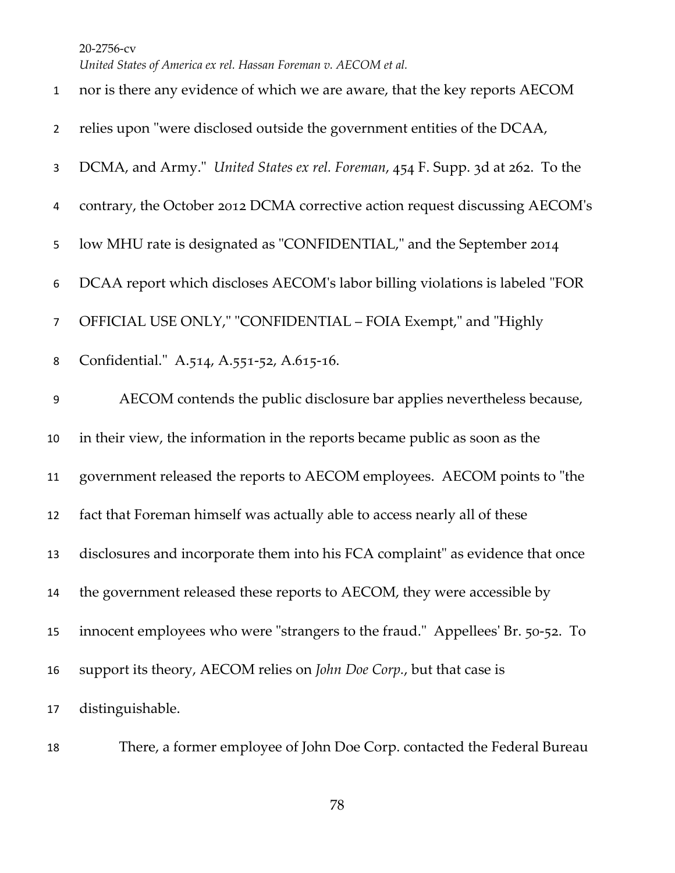| $\mathbf{1}$     | nor is there any evidence of which we are aware, that the key reports AECOM    |
|------------------|--------------------------------------------------------------------------------|
| $\overline{2}$   | relies upon "were disclosed outside the government entities of the DCAA,       |
| 3                | DCMA, and Army." United States ex rel. Foreman, 454 F. Supp. 3d at 262. To the |
| 4                | contrary, the October 2012 DCMA corrective action request discussing AECOM's   |
| 5                | low MHU rate is designated as "CONFIDENTIAL," and the September 2014           |
| 6                | DCAA report which discloses AECOM's labor billing violations is labeled "FOR   |
| $\overline{7}$   | OFFICIAL USE ONLY," "CONFIDENTIAL - FOIA Exempt," and "Highly                  |
| 8                | Confidential." A.514, A.551-52, A.615-16.                                      |
| $\boldsymbol{9}$ | AECOM contends the public disclosure bar applies nevertheless because,         |
| 10               | in their view, the information in the reports became public as soon as the     |
| 11               | government released the reports to AECOM employees. AECOM points to "the       |
| 12               | fact that Foreman himself was actually able to access nearly all of these      |
| 13               | disclosures and incorporate them into his FCA complaint" as evidence that once |
| 14               | the government released these reports to AECOM, they were accessible by        |
| 15               | innocent employees who were "strangers to the fraud." Appellees' Br. 50-52. To |
| 16               | support its theory, AECOM relies on John Doe Corp., but that case is           |
| 17               | distinguishable.                                                               |

There, a former employee of John Doe Corp. contacted the Federal Bureau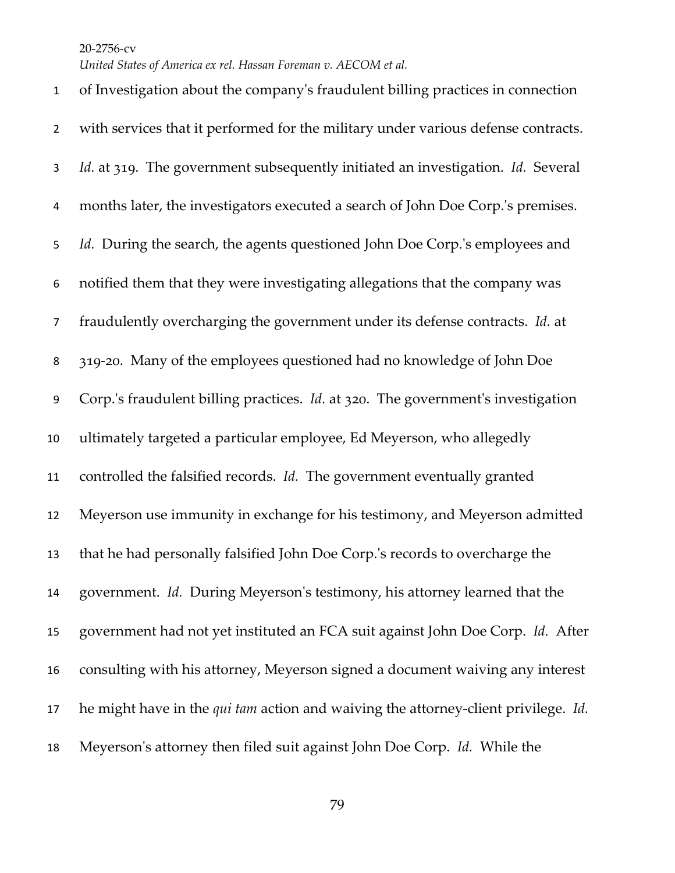*United States of America ex rel. Hassan Foreman v. AECOM et al.*

 of Investigation about the company's fraudulent billing practices in connection with services that it performed for the military under various defense contracts. *Id.* at 319. The government subsequently initiated an investigation. *Id.* Several months later, the investigators executed a search of John Doe Corp.'s premises. *Id.* During the search, the agents questioned John Doe Corp.'s employees and notified them that they were investigating allegations that the company was fraudulently overcharging the government under its defense contracts. *Id.* at 319-20. Many of the employees questioned had no knowledge of John Doe Corp.'s fraudulent billing practices. *Id.* at 320. The government's investigation ultimately targeted a particular employee, Ed Meyerson, who allegedly controlled the falsified records. *Id.* The government eventually granted Meyerson use immunity in exchange for his testimony, and Meyerson admitted that he had personally falsified John Doe Corp.'s records to overcharge the government. *Id.* During Meyerson's testimony, his attorney learned that the government had not yet instituted an FCA suit against John Doe Corp. *Id.* After consulting with his attorney, Meyerson signed a document waiving any interest he might have in the *qui tam* action and waiving the attorney-client privilege. *Id.* Meyerson's attorney then filed suit against John Doe Corp. *Id.* While the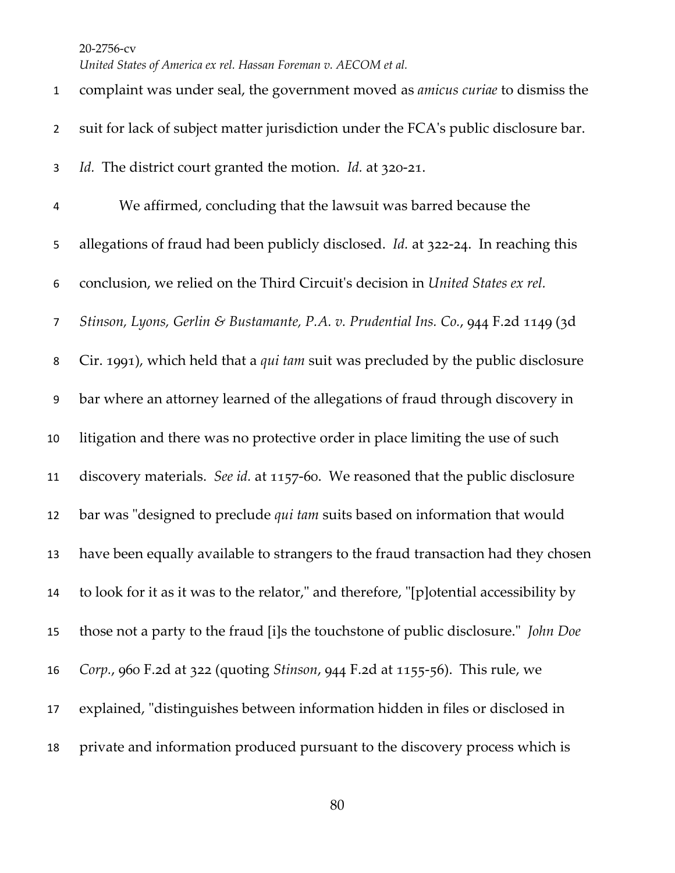*United States of America ex rel. Hassan Foreman v. AECOM et al.*

| $\mathbf{1}$   | complaint was under seal, the government moved as <i>amicus curiae</i> to dismiss the  |
|----------------|----------------------------------------------------------------------------------------|
| $\overline{2}$ | suit for lack of subject matter jurisdiction under the FCA's public disclosure bar.    |
| 3              | Id. The district court granted the motion. Id. at 320-21.                              |
| 4              | We affirmed, concluding that the lawsuit was barred because the                        |
| 5              | allegations of fraud had been publicly disclosed. Id. at 322-24. In reaching this      |
| 6              | conclusion, we relied on the Third Circuit's decision in United States ex rel.         |
| $\overline{7}$ | Stinson, Lyons, Gerlin & Bustamante, P.A. v. Prudential Ins. Co., 944 F.2d 1149 (3d    |
| 8              | Cir. 1991), which held that a qui tam suit was precluded by the public disclosure      |
| 9              | bar where an attorney learned of the allegations of fraud through discovery in         |
| 10             | litigation and there was no protective order in place limiting the use of such         |
| 11             | discovery materials. See id. at 1157-60. We reasoned that the public disclosure        |
| 12             | bar was "designed to preclude <i>qui tam</i> suits based on information that would     |
| 13             | have been equally available to strangers to the fraud transaction had they chosen      |
| 14             | to look for it as it was to the relator," and therefore, "[p]otential accessibility by |
| 15             | those not a party to the fraud [i]s the touchstone of public disclosure." John Doe     |
| 16             | Corp., 960 F.2d at 322 (quoting <i>Stinson</i> , 944 F.2d at 1155-56). This rule, we   |
| 17             | explained, "distinguishes between information hidden in files or disclosed in          |
| 18             | private and information produced pursuant to the discovery process which is            |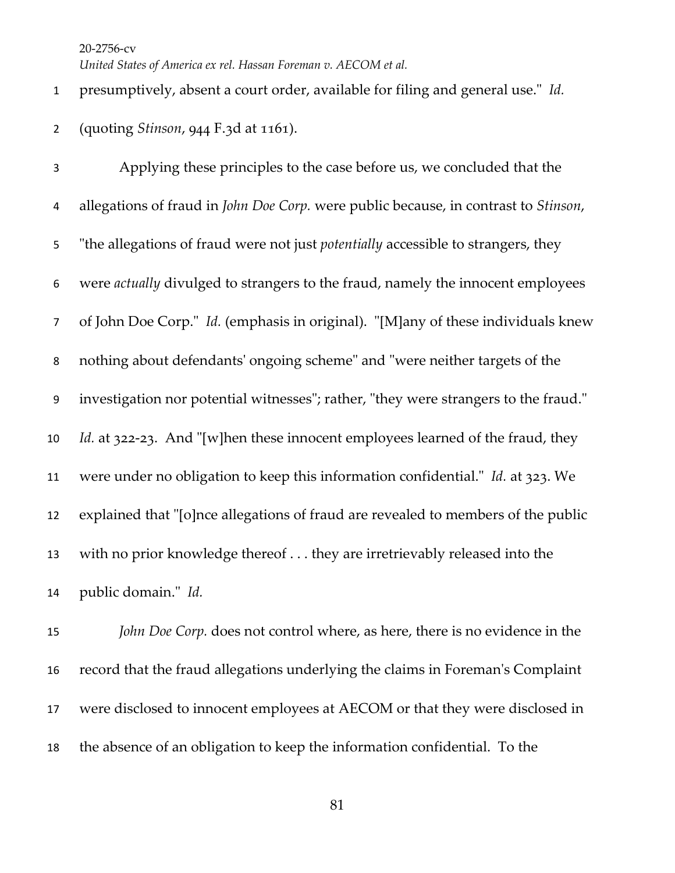## presumptively, absent a court order, available for filing and general use." *Id.* (quoting *Stinson*, 944 F.3d at 1161).

 Applying these principles to the case before us, we concluded that the allegations of fraud in *John Doe Corp.* were public because, in contrast to *Stinson*, "the allegations of fraud were not just *potentially* accessible to strangers, they were *actually* divulged to strangers to the fraud, namely the innocent employees of John Doe Corp." *Id.* (emphasis in original). "[M]any of these individuals knew nothing about defendants' ongoing scheme" and "were neither targets of the investigation nor potential witnesses"; rather, "they were strangers to the fraud." *Id.* at 322-23. And "[w]hen these innocent employees learned of the fraud, they were under no obligation to keep this information confidential." *Id.* at 323. We explained that "[o]nce allegations of fraud are revealed to members of the public with no prior knowledge thereof . . . they are irretrievably released into the public domain." *Id.*

 *John Doe Corp.* does not control where, as here, there is no evidence in the record that the fraud allegations underlying the claims in Foreman's Complaint were disclosed to innocent employees at AECOM or that they were disclosed in the absence of an obligation to keep the information confidential. To the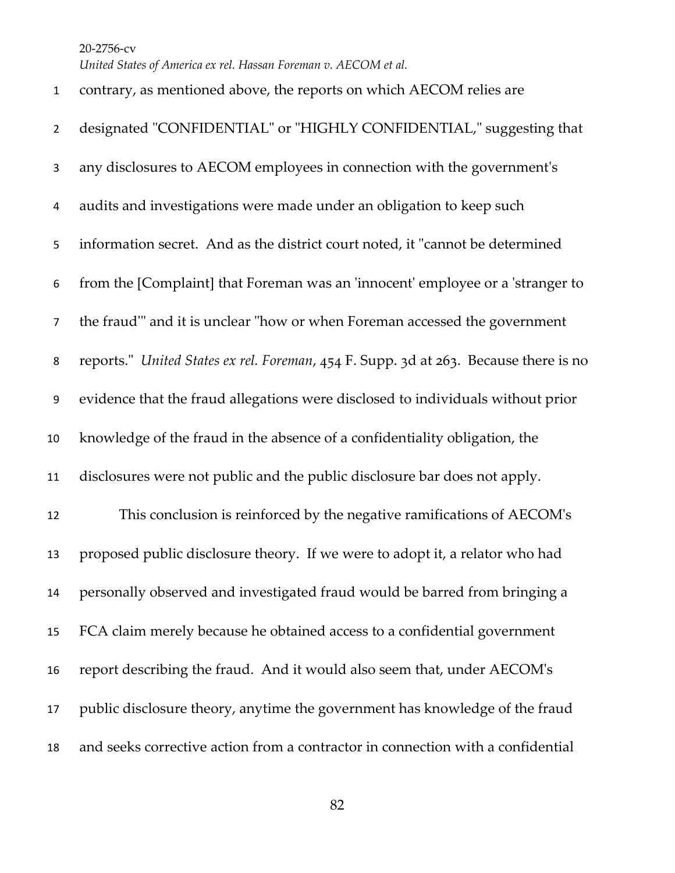| $\mathbf{1}$   | contrary, as mentioned above, the reports on which AECOM relies are                  |
|----------------|--------------------------------------------------------------------------------------|
| $\overline{2}$ | designated "CONFIDENTIAL" or "HIGHLY CONFIDENTIAL," suggesting that                  |
| 3              | any disclosures to AECOM employees in connection with the government's               |
| 4              | audits and investigations were made under an obligation to keep such                 |
| 5              | information secret. And as the district court noted, it "cannot be determined        |
| 6              | from the [Complaint] that Foreman was an 'innocent' employee or a 'stranger to       |
| $\overline{7}$ | the fraud" and it is unclear "how or when Foreman accessed the government            |
| 8              | reports." United States ex rel. Foreman, 454 F. Supp. 3d at 263. Because there is no |
| 9              | evidence that the fraud allegations were disclosed to individuals without prior      |
| 10             | knowledge of the fraud in the absence of a confidentiality obligation, the           |
| 11             | disclosures were not public and the public disclosure bar does not apply.            |
| 12             | This conclusion is reinforced by the negative ramifications of AECOM's               |
| 13             | proposed public disclosure theory. If we were to adopt it, a relator who had         |
| 14             | personally observed and investigated fraud would be barred from bringing a           |
| 15             | FCA claim merely because he obtained access to a confidential government             |
| 16             | report describing the fraud. And it would also seem that, under AECOM's              |
| 17             | public disclosure theory, anytime the government has knowledge of the fraud          |
| 18             | and seeks corrective action from a contractor in connection with a confidential      |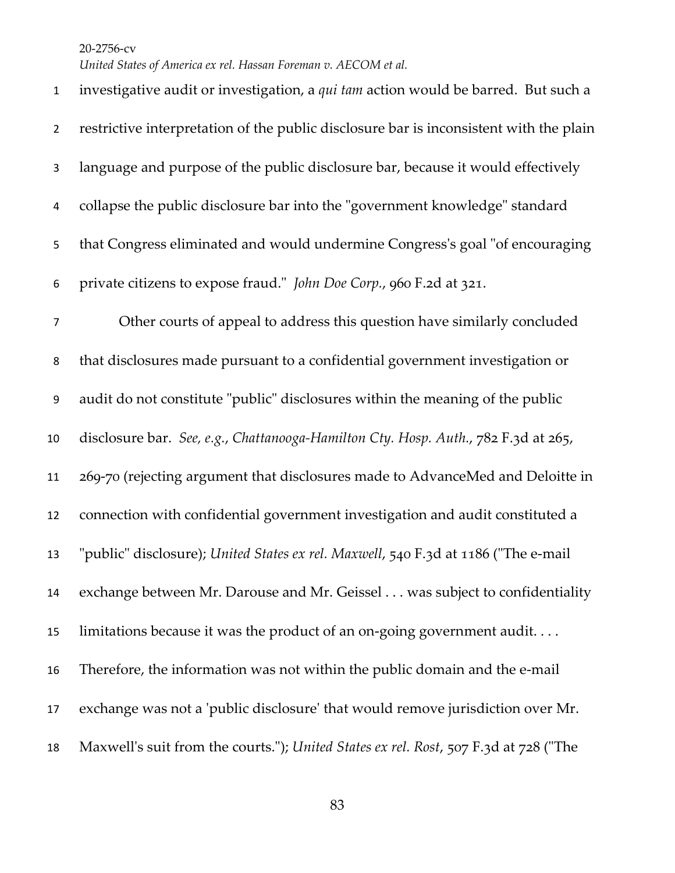*United States of America ex rel. Hassan Foreman v. AECOM et al.*

 investigative audit or investigation, a *qui tam* action would be barred. But such a restrictive interpretation of the public disclosure bar is inconsistent with the plain language and purpose of the public disclosure bar, because it would effectively collapse the public disclosure bar into the "government knowledge" standard that Congress eliminated and would undermine Congress's goal "of encouraging private citizens to expose fraud." *John Doe Corp.*, 960 F.2d at 321. Other courts of appeal to address this question have similarly concluded that disclosures made pursuant to a confidential government investigation or audit do not constitute "public" disclosures within the meaning of the public disclosure bar. *See, e.g.*, *Chattanooga-Hamilton Cty. Hosp. Auth.*, 782 F.3d at 265, 269-70 (rejecting argument that disclosures made to AdvanceMed and Deloitte in connection with confidential government investigation and audit constituted a "public" disclosure); *United States ex rel. Maxwell*, 540 F.3d at 1186 ("The e-mail exchange between Mr. Darouse and Mr. Geissel . . . was subject to confidentiality limitations because it was the product of an on-going government audit. . . . Therefore, the information was not within the public domain and the e-mail exchange was not a 'public disclosure' that would remove jurisdiction over Mr. Maxwell's suit from the courts."); *United States ex rel. Rost*, 507 F.3d at 728 ("The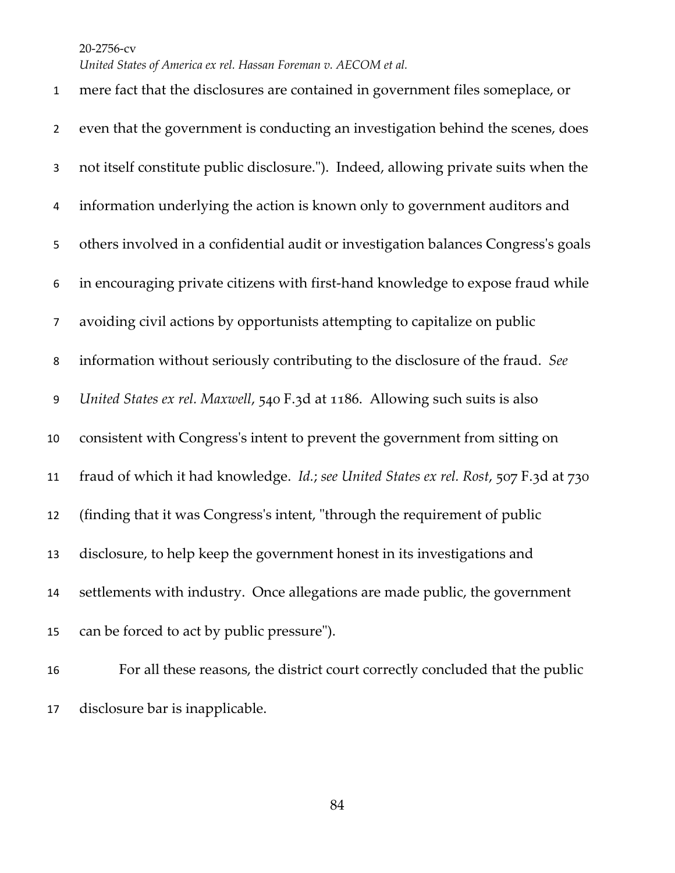*United States of America ex rel. Hassan Foreman v. AECOM et al.*

 mere fact that the disclosures are contained in government files someplace, or even that the government is conducting an investigation behind the scenes, does not itself constitute public disclosure."). Indeed, allowing private suits when the information underlying the action is known only to government auditors and others involved in a confidential audit or investigation balances Congress's goals in encouraging private citizens with first-hand knowledge to expose fraud while avoiding civil actions by opportunists attempting to capitalize on public information without seriously contributing to the disclosure of the fraud. *See United States ex rel. Maxwell*, 540 F.3d at 1186. Allowing such suits is also consistent with Congress's intent to prevent the government from sitting on fraud of which it had knowledge. *Id.*; *see United States ex rel. Rost*, 507 F.3d at 730 (finding that it was Congress's intent, "through the requirement of public disclosure, to help keep the government honest in its investigations and settlements with industry. Once allegations are made public, the government can be forced to act by public pressure").

 For all these reasons, the district court correctly concluded that the public disclosure bar is inapplicable.